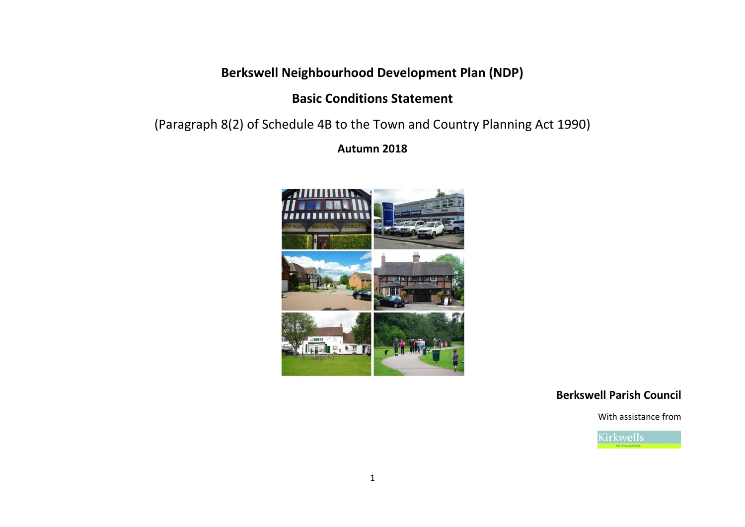# **Berkswell Neighbourhood Development Plan (NDP)**

# **Basic Conditions Statement**

[\(Paragraph 8\(2\) of Schedule 4B to the Town and Country Planning Act 1990\)](http://www.legislation.gov.uk/ukpga/2011/20/schedule/9/enacted)

**Autumn 2018**



## **Berkswell Parish Council**

With assistance from

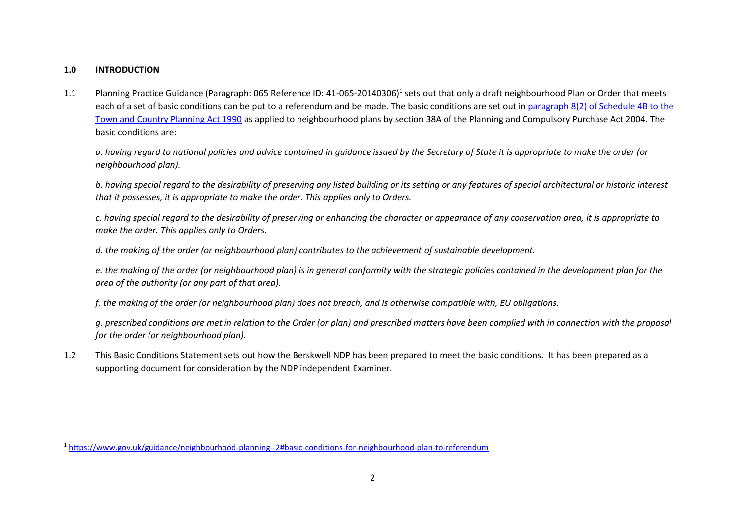#### **1.0 INTRODUCTION**

 $\overline{\phantom{a}}$ 

1.1 Planning Practice Guidance (Paragraph: 065 Reference ID: 41-065-20140306)<sup>1</sup> sets out that only a draft neighbourhood Plan or Order that meets each of a set of basic conditions can be put to a referendum and be made. The basic conditions are set out in paragraph 8(2) of Schedule 4B to the [Town and Country Planning Act 1990](http://www.legislation.gov.uk/ukpga/2011/20/schedule/9/enacted) as applied to neighbourhood plans by section 38A of the Planning and Compulsory Purchase Act 2004. The basic conditions are:

*a. having regard to national policies and advice contained in guidance issued by the Secretary of State it is appropriate to make the order (or neighbourhood plan).*

*b. having special regard to the desirability of preserving any listed building or its setting or any features of special architectural or historic interest that it possesses, it is appropriate to make the order. This applies only to Orders.*

*c. having special regard to the desirability of preserving or enhancing the character or appearance of any conservation area, it is appropriate to make the order. This applies only to Orders.*

*d. the making of the order (or neighbourhood plan) contributes to the achievement of sustainable development.*

*e. the making of the order (or neighbourhood plan) is in general conformity with the strategic policies contained in the development plan for the area of the authority (or any part of that area).*

*f. the making of the order (or neighbourhood plan) does not breach, and is otherwise compatible with, EU obligations.*

*g. prescribed conditions are met in relation to the Order (or plan) and prescribed matters have been complied with in connection with the proposal for the order (or neighbourhood plan).*

1.2 This Basic Conditions Statement sets out how the Berskwell NDP has been prepared to meet the basic conditions. It has been prepared as a supporting document for consideration by the NDP independent Examiner.

<sup>1</sup> <https://www.gov.uk/guidance/neighbourhood-planning--2#basic-conditions-for-neighbourhood-plan-to-referendum>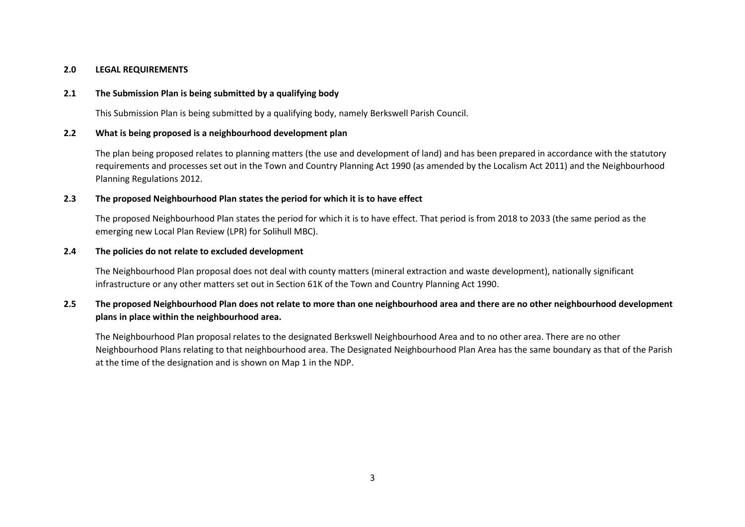#### **2.0 LEGAL REQUIREMENTS**

#### **2.1 The Submission Plan is being submitted by a qualifying body**

This Submission Plan is being submitted by a qualifying body, namely Berkswell Parish Council.

#### **2.2 What is being proposed is a neighbourhood development plan**

The plan being proposed relates to planning matters (the use and development of land) and has been prepared in accordance with the statutory requirements and processes set out in the Town and Country Planning Act 1990 (as amended by the Localism Act 2011) and the Neighbourhood Planning Regulations 2012.

#### **2.3 The proposed Neighbourhood Plan states the period for which it is to have effect**

The proposed Neighbourhood Plan states the period for which it is to have effect. That period is from 2018 to 2033 (the same period as the emerging new Local Plan Review (LPR) for Solihull MBC).

#### **2.4 The policies do not relate to excluded development**

The Neighbourhood Plan proposal does not deal with county matters (mineral extraction and waste development), nationally significant infrastructure or any other matters set out in Section 61K of the Town and Country Planning Act 1990.

## **2.5 The proposed Neighbourhood Plan does not relate to more than one neighbourhood area and there are no other neighbourhood development plans in place within the neighbourhood area.**

The Neighbourhood Plan proposal relates to the designated Berkswell Neighbourhood Area and to no other area. There are no other Neighbourhood Plans relating to that neighbourhood area. The Designated Neighbourhood Plan Area has the same boundary as that of the Parish at the time of the designation and is shown on Map 1 in the NDP.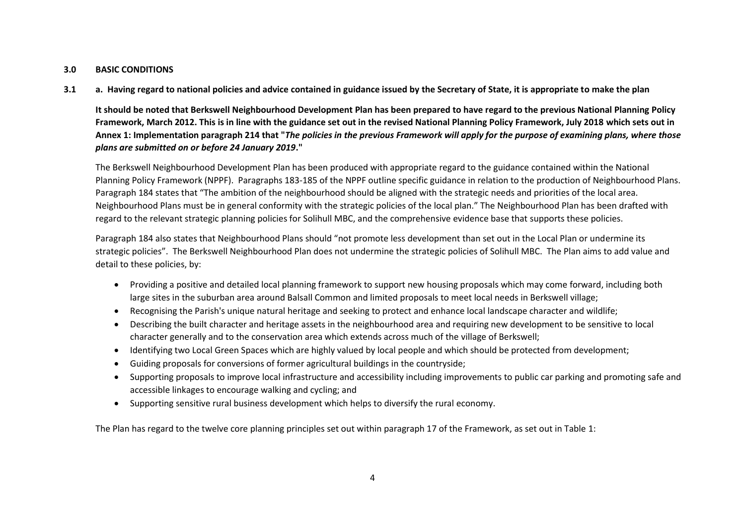#### **3.0 BASIC CONDITIONS**

**3.1 a. Having regard to national policies and advice contained in guidance issued by the Secretary of State, it is appropriate to make the plan**

**It should be noted that Berkswell Neighbourhood Development Plan has been prepared to have regard to the previous National Planning Policy Framework, March 2012. This is in line with the guidance set out in the revised National Planning Policy Framework, July 2018 which sets out in Annex 1: Implementation paragraph 214 that "***The policies in the previous Framework will apply for the purpose of examining plans, where those plans are submitted on or before 24 January 2019***."**

The Berkswell Neighbourhood Development Plan has been produced with appropriate regard to the guidance contained within the National Planning Policy Framework (NPPF). Paragraphs 183-185 of the NPPF outline specific guidance in relation to the production of Neighbourhood Plans. Paragraph 184 states that "The ambition of the neighbourhood should be aligned with the strategic needs and priorities of the local area. Neighbourhood Plans must be in general conformity with the strategic policies of the local plan." The Neighbourhood Plan has been drafted with regard to the relevant strategic planning policies for Solihull MBC, and the comprehensive evidence base that supports these policies.

Paragraph 184 also states that Neighbourhood Plans should "not promote less development than set out in the Local Plan or undermine its strategic policies". The Berkswell Neighbourhood Plan does not undermine the strategic policies of Solihull MBC. The Plan aims to add value and detail to these policies, by:

- Providing a positive and detailed local planning framework to support new housing proposals which may come forward, including both large sites in the suburban area around Balsall Common and limited proposals to meet local needs in Berkswell village;
- Recognising the Parish's unique natural heritage and seeking to protect and enhance local landscape character and wildlife;
- Describing the built character and heritage assets in the neighbourhood area and requiring new development to be sensitive to local character generally and to the conservation area which extends across much of the village of Berkswell;
- Identifying two Local Green Spaces which are highly valued by local people and which should be protected from development;
- Guiding proposals for conversions of former agricultural buildings in the countryside;
- Supporting proposals to improve local infrastructure and accessibility including improvements to public car parking and promoting safe and accessible linkages to encourage walking and cycling; and
- Supporting sensitive rural business development which helps to diversify the rural economy.

The Plan has regard to the twelve core planning principles set out within paragraph 17 of the Framework, as set out in Table 1: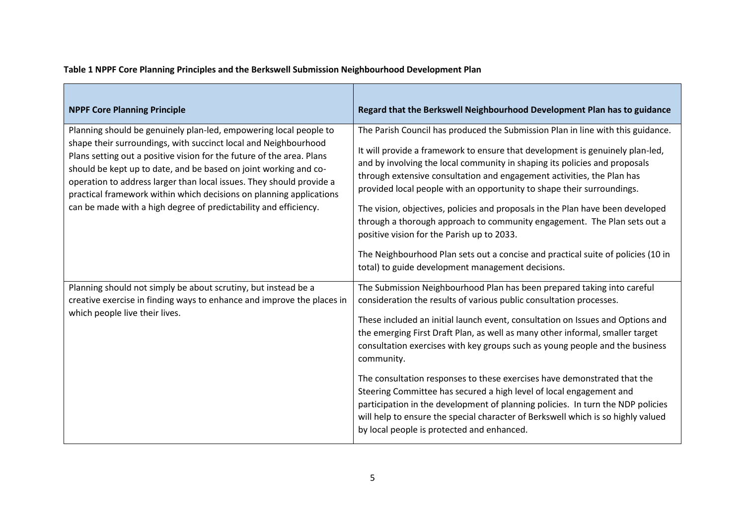**Table 1 NPPF Core Planning Principles and the Berkswell Submission Neighbourhood Development Plan**

| <b>NPPF Core Planning Principle</b>                                                                                                                                                                                                                                                                                                                                                                                                                                                                  | Regard that the Berkswell Neighbourhood Development Plan has to guidance                                                                                                                                                                                                                                                                                                                                                                                                                                                                                                                                                                                                                                                                                                                |
|------------------------------------------------------------------------------------------------------------------------------------------------------------------------------------------------------------------------------------------------------------------------------------------------------------------------------------------------------------------------------------------------------------------------------------------------------------------------------------------------------|-----------------------------------------------------------------------------------------------------------------------------------------------------------------------------------------------------------------------------------------------------------------------------------------------------------------------------------------------------------------------------------------------------------------------------------------------------------------------------------------------------------------------------------------------------------------------------------------------------------------------------------------------------------------------------------------------------------------------------------------------------------------------------------------|
| Planning should be genuinely plan-led, empowering local people to<br>shape their surroundings, with succinct local and Neighbourhood<br>Plans setting out a positive vision for the future of the area. Plans<br>should be kept up to date, and be based on joint working and co-<br>operation to address larger than local issues. They should provide a<br>practical framework within which decisions on planning applications<br>can be made with a high degree of predictability and efficiency. | The Parish Council has produced the Submission Plan in line with this guidance.<br>It will provide a framework to ensure that development is genuinely plan-led,<br>and by involving the local community in shaping its policies and proposals<br>through extensive consultation and engagement activities, the Plan has<br>provided local people with an opportunity to shape their surroundings.<br>The vision, objectives, policies and proposals in the Plan have been developed<br>through a thorough approach to community engagement. The Plan sets out a<br>positive vision for the Parish up to 2033.<br>The Neighbourhood Plan sets out a concise and practical suite of policies (10 in<br>total) to guide development management decisions.                                 |
| Planning should not simply be about scrutiny, but instead be a<br>creative exercise in finding ways to enhance and improve the places in<br>which people live their lives.                                                                                                                                                                                                                                                                                                                           | The Submission Neighbourhood Plan has been prepared taking into careful<br>consideration the results of various public consultation processes.<br>These included an initial launch event, consultation on Issues and Options and<br>the emerging First Draft Plan, as well as many other informal, smaller target<br>consultation exercises with key groups such as young people and the business<br>community.<br>The consultation responses to these exercises have demonstrated that the<br>Steering Committee has secured a high level of local engagement and<br>participation in the development of planning policies. In turn the NDP policies<br>will help to ensure the special character of Berkswell which is so highly valued<br>by local people is protected and enhanced. |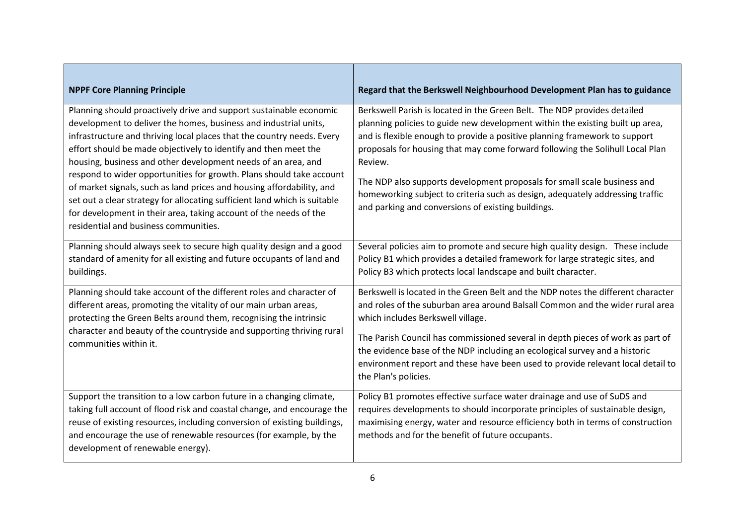| <b>NPPF Core Planning Principle</b>                                                                                                                                                                                                                                                                                                                                                                                                                                                                                                                                                                                                                                                              | Regard that the Berkswell Neighbourhood Development Plan has to guidance                                                                                                                                                                                                                                                                                                                                                                                                                                                                               |
|--------------------------------------------------------------------------------------------------------------------------------------------------------------------------------------------------------------------------------------------------------------------------------------------------------------------------------------------------------------------------------------------------------------------------------------------------------------------------------------------------------------------------------------------------------------------------------------------------------------------------------------------------------------------------------------------------|--------------------------------------------------------------------------------------------------------------------------------------------------------------------------------------------------------------------------------------------------------------------------------------------------------------------------------------------------------------------------------------------------------------------------------------------------------------------------------------------------------------------------------------------------------|
| Planning should proactively drive and support sustainable economic<br>development to deliver the homes, business and industrial units,<br>infrastructure and thriving local places that the country needs. Every<br>effort should be made objectively to identify and then meet the<br>housing, business and other development needs of an area, and<br>respond to wider opportunities for growth. Plans should take account<br>of market signals, such as land prices and housing affordability, and<br>set out a clear strategy for allocating sufficient land which is suitable<br>for development in their area, taking account of the needs of the<br>residential and business communities. | Berkswell Parish is located in the Green Belt. The NDP provides detailed<br>planning policies to guide new development within the existing built up area,<br>and is flexible enough to provide a positive planning framework to support<br>proposals for housing that may come forward following the Solihull Local Plan<br>Review.<br>The NDP also supports development proposals for small scale business and<br>homeworking subject to criteria such as design, adequately addressing traffic<br>and parking and conversions of existing buildings. |
| Planning should always seek to secure high quality design and a good<br>standard of amenity for all existing and future occupants of land and<br>buildings.                                                                                                                                                                                                                                                                                                                                                                                                                                                                                                                                      | Several policies aim to promote and secure high quality design. These include<br>Policy B1 which provides a detailed framework for large strategic sites, and<br>Policy B3 which protects local landscape and built character.                                                                                                                                                                                                                                                                                                                         |
| Planning should take account of the different roles and character of<br>different areas, promoting the vitality of our main urban areas,<br>protecting the Green Belts around them, recognising the intrinsic<br>character and beauty of the countryside and supporting thriving rural<br>communities within it.                                                                                                                                                                                                                                                                                                                                                                                 | Berkswell is located in the Green Belt and the NDP notes the different character<br>and roles of the suburban area around Balsall Common and the wider rural area<br>which includes Berkswell village.<br>The Parish Council has commissioned several in depth pieces of work as part of<br>the evidence base of the NDP including an ecological survey and a historic<br>environment report and these have been used to provide relevant local detail to<br>the Plan's policies.                                                                      |
| Support the transition to a low carbon future in a changing climate,<br>taking full account of flood risk and coastal change, and encourage the<br>reuse of existing resources, including conversion of existing buildings,<br>and encourage the use of renewable resources (for example, by the<br>development of renewable energy).                                                                                                                                                                                                                                                                                                                                                            | Policy B1 promotes effective surface water drainage and use of SuDS and<br>requires developments to should incorporate principles of sustainable design,<br>maximising energy, water and resource efficiency both in terms of construction<br>methods and for the benefit of future occupants.                                                                                                                                                                                                                                                         |

 $\blacksquare$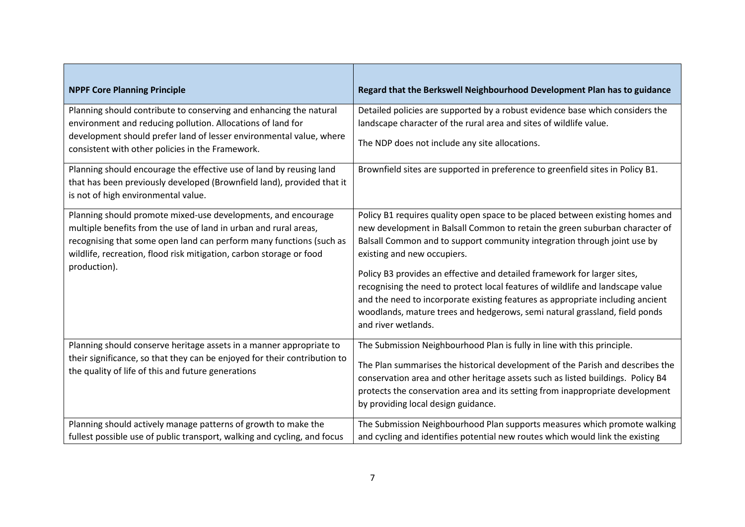| <b>NPPF Core Planning Principle</b>                                                                                                                                                                                                                                                             | Regard that the Berkswell Neighbourhood Development Plan has to guidance                                                                                                                                                                                                                                                                                                                                                                                                                                                                                                                                                     |
|-------------------------------------------------------------------------------------------------------------------------------------------------------------------------------------------------------------------------------------------------------------------------------------------------|------------------------------------------------------------------------------------------------------------------------------------------------------------------------------------------------------------------------------------------------------------------------------------------------------------------------------------------------------------------------------------------------------------------------------------------------------------------------------------------------------------------------------------------------------------------------------------------------------------------------------|
| Planning should contribute to conserving and enhancing the natural<br>environment and reducing pollution. Allocations of land for<br>development should prefer land of lesser environmental value, where<br>consistent with other policies in the Framework.                                    | Detailed policies are supported by a robust evidence base which considers the<br>landscape character of the rural area and sites of wildlife value.<br>The NDP does not include any site allocations.                                                                                                                                                                                                                                                                                                                                                                                                                        |
| Planning should encourage the effective use of land by reusing land<br>that has been previously developed (Brownfield land), provided that it<br>is not of high environmental value.                                                                                                            | Brownfield sites are supported in preference to greenfield sites in Policy B1.                                                                                                                                                                                                                                                                                                                                                                                                                                                                                                                                               |
| Planning should promote mixed-use developments, and encourage<br>multiple benefits from the use of land in urban and rural areas,<br>recognising that some open land can perform many functions (such as<br>wildlife, recreation, flood risk mitigation, carbon storage or food<br>production). | Policy B1 requires quality open space to be placed between existing homes and<br>new development in Balsall Common to retain the green suburban character of<br>Balsall Common and to support community integration through joint use by<br>existing and new occupiers.<br>Policy B3 provides an effective and detailed framework for larger sites,<br>recognising the need to protect local features of wildlife and landscape value<br>and the need to incorporate existing features as appropriate including ancient<br>woodlands, mature trees and hedgerows, semi natural grassland, field ponds<br>and river wetlands. |
| Planning should conserve heritage assets in a manner appropriate to<br>their significance, so that they can be enjoyed for their contribution to<br>the quality of life of this and future generations                                                                                          | The Submission Neighbourhood Plan is fully in line with this principle.<br>The Plan summarises the historical development of the Parish and describes the<br>conservation area and other heritage assets such as listed buildings. Policy B4<br>protects the conservation area and its setting from inappropriate development<br>by providing local design guidance.                                                                                                                                                                                                                                                         |
| Planning should actively manage patterns of growth to make the<br>fullest possible use of public transport, walking and cycling, and focus                                                                                                                                                      | The Submission Neighbourhood Plan supports measures which promote walking<br>and cycling and identifies potential new routes which would link the existing                                                                                                                                                                                                                                                                                                                                                                                                                                                                   |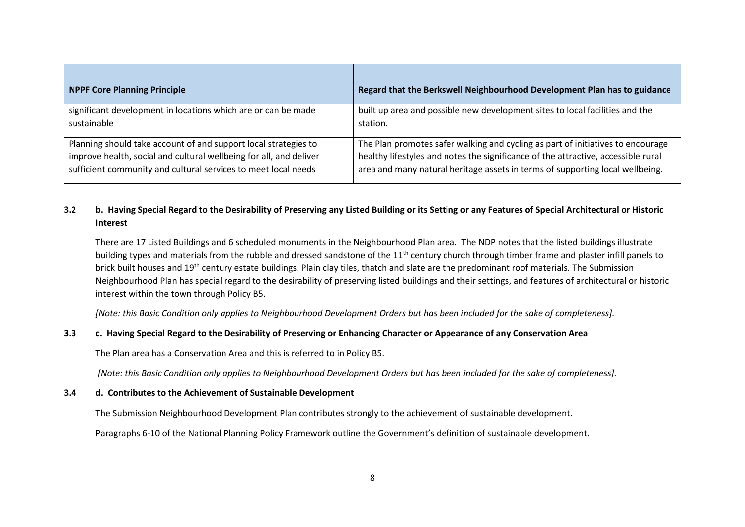| <b>NPPF Core Planning Principle</b>                                | Regard that the Berkswell Neighbourhood Development Plan has to guidance          |
|--------------------------------------------------------------------|-----------------------------------------------------------------------------------|
| significant development in locations which are or can be made      | built up area and possible new development sites to local facilities and the      |
| sustainable                                                        | station.                                                                          |
| Planning should take account of and support local strategies to    | The Plan promotes safer walking and cycling as part of initiatives to encourage   |
| improve health, social and cultural wellbeing for all, and deliver | healthy lifestyles and notes the significance of the attractive, accessible rural |
| sufficient community and cultural services to meet local needs     | area and many natural heritage assets in terms of supporting local wellbeing.     |

## **3.2 b. Having Special Regard to the Desirability of Preserving any Listed Building or its Setting or any Features of Special Architectural or Historic Interest**

There are 17 Listed Buildings and 6 scheduled monuments in the Neighbourhood Plan area. The NDP notes that the listed buildings illustrate building types and materials from the rubble and dressed sandstone of the 11<sup>th</sup> century church through timber frame and plaster infill panels to brick built houses and 19<sup>th</sup> century estate buildings. Plain clay tiles, thatch and slate are the predominant roof materials. The Submission Neighbourhood Plan has special regard to the desirability of preserving listed buildings and their settings, and features of architectural or historic interest within the town through Policy B5.

*[Note: this Basic Condition only applies to Neighbourhood Development Orders but has been included for the sake of completeness].*

## **3.3 c. Having Special Regard to the Desirability of Preserving or Enhancing Character or Appearance of any Conservation Area**

The Plan area has a Conservation Area and this is referred to in Policy B5.

*[Note: this Basic Condition only applies to Neighbourhood Development Orders but has been included for the sake of completeness].*

## **3.4 d. Contributes to the Achievement of Sustainable Development**

The Submission Neighbourhood Development Plan contributes strongly to the achievement of sustainable development.

Paragraphs 6-10 of the National Planning Policy Framework outline the Government's definition of sustainable development.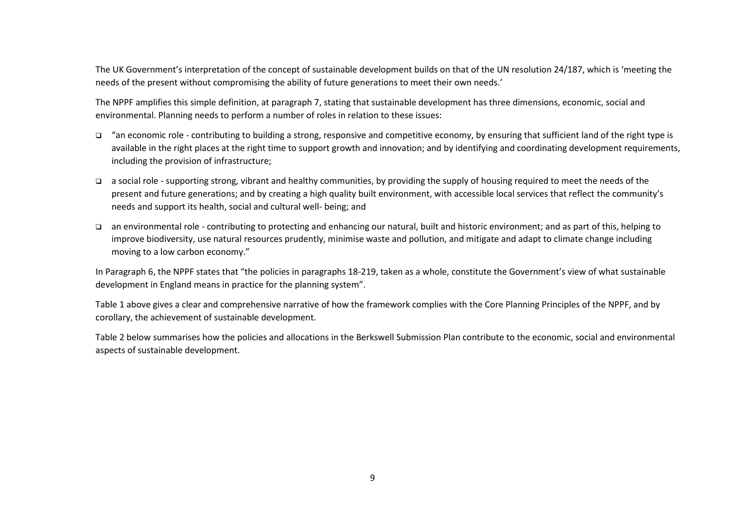The UK Government's interpretation of the concept of sustainable development builds on that of the UN resolution 24/187, which is 'meeting the needs of the present without compromising the ability of future generations to meet their own needs.'

The NPPF amplifies this simple definition, at paragraph 7, stating that sustainable development has three dimensions, economic, social and environmental. Planning needs to perform a number of roles in relation to these issues:

- ❑ "an economic role contributing to building a strong, responsive and competitive economy, by ensuring that sufficient land of the right type is available in the right places at the right time to support growth and innovation; and by identifying and coordinating development requirements, including the provision of infrastructure;
- ❑ a social role supporting strong, vibrant and healthy communities, by providing the supply of housing required to meet the needs of the present and future generations; and by creating a high quality built environment, with accessible local services that reflect the community's needs and support its health, social and cultural well- being; and
- ❑ an environmental role contributing to protecting and enhancing our natural, built and historic environment; and as part of this, helping to improve biodiversity, use natural resources prudently, minimise waste and pollution, and mitigate and adapt to climate change including moving to a low carbon economy."

In Paragraph 6, the NPPF states that "the policies in paragraphs 18-219, taken as a whole, constitute the Government's view of what sustainable development in England means in practice for the planning system".

Table 1 above gives a clear and comprehensive narrative of how the framework complies with the Core Planning Principles of the NPPF, and by corollary, the achievement of sustainable development.

Table 2 below summarises how the policies and allocations in the Berkswell Submission Plan contribute to the economic, social and environmental aspects of sustainable development.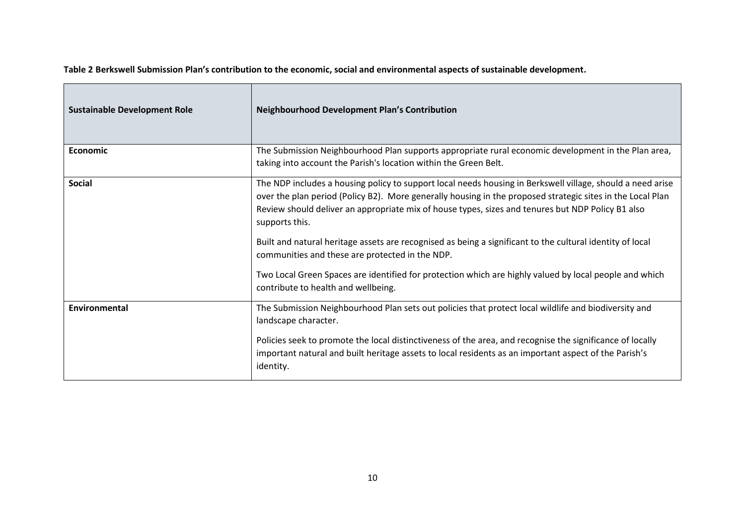**Table 2 Berkswell Submission Plan's contribution to the economic, social and environmental aspects of sustainable development.**

| <b>Sustainable Development Role</b> | <b>Neighbourhood Development Plan's Contribution</b>                                                                                                                                                                                                                                                                                            |
|-------------------------------------|-------------------------------------------------------------------------------------------------------------------------------------------------------------------------------------------------------------------------------------------------------------------------------------------------------------------------------------------------|
| Economic                            | The Submission Neighbourhood Plan supports appropriate rural economic development in the Plan area,<br>taking into account the Parish's location within the Green Belt.                                                                                                                                                                         |
| <b>Social</b>                       | The NDP includes a housing policy to support local needs housing in Berkswell village, should a need arise<br>over the plan period (Policy B2). More generally housing in the proposed strategic sites in the Local Plan<br>Review should deliver an appropriate mix of house types, sizes and tenures but NDP Policy B1 also<br>supports this. |
|                                     | Built and natural heritage assets are recognised as being a significant to the cultural identity of local<br>communities and these are protected in the NDP.                                                                                                                                                                                    |
|                                     | Two Local Green Spaces are identified for protection which are highly valued by local people and which<br>contribute to health and wellbeing.                                                                                                                                                                                                   |
| <b>Environmental</b>                | The Submission Neighbourhood Plan sets out policies that protect local wildlife and biodiversity and<br>landscape character.                                                                                                                                                                                                                    |
|                                     | Policies seek to promote the local distinctiveness of the area, and recognise the significance of locally<br>important natural and built heritage assets to local residents as an important aspect of the Parish's<br>identity.                                                                                                                 |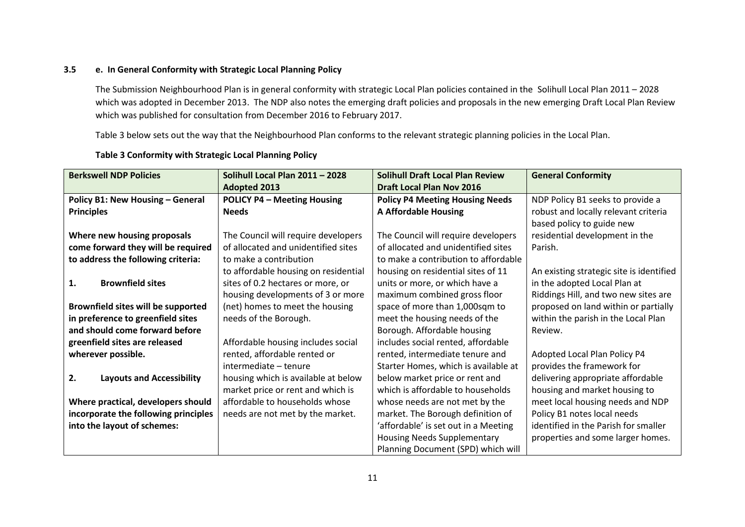#### **3.5 e. In General Conformity with Strategic Local Planning Policy**

The Submission Neighbourhood Plan is in general conformity with strategic Local Plan policies contained in the Solihull Local Plan 2011 – 2028 which was adopted in December 2013. The NDP also notes the emerging draft policies and proposals in the new emerging Draft Local Plan Review which was published for consultation from December 2016 to February 2017.

Table 3 below sets out the way that the Neighbourhood Plan conforms to the relevant strategic planning policies in the Local Plan.

| <b>Berkswell NDP Policies</b>          | Solihull Local Plan 2011 - 2028      | <b>Solihull Draft Local Plan Review</b> | <b>General Conformity</b>                |
|----------------------------------------|--------------------------------------|-----------------------------------------|------------------------------------------|
|                                        | <b>Adopted 2013</b>                  | <b>Draft Local Plan Nov 2016</b>        |                                          |
| Policy B1: New Housing - General       | <b>POLICY P4 - Meeting Housing</b>   | <b>Policy P4 Meeting Housing Needs</b>  | NDP Policy B1 seeks to provide a         |
| <b>Principles</b>                      | <b>Needs</b>                         | <b>A Affordable Housing</b>             | robust and locally relevant criteria     |
|                                        |                                      |                                         | based policy to guide new                |
| Where new housing proposals            | The Council will require developers  | The Council will require developers     | residential development in the           |
| come forward they will be required     | of allocated and unidentified sites  | of allocated and unidentified sites     | Parish.                                  |
| to address the following criteria:     | to make a contribution               | to make a contribution to affordable    |                                          |
|                                        | to affordable housing on residential | housing on residential sites of 11      | An existing strategic site is identified |
| 1.<br><b>Brownfield sites</b>          | sites of 0.2 hectares or more, or    | units or more, or which have a          | in the adopted Local Plan at             |
|                                        | housing developments of 3 or more    | maximum combined gross floor            | Riddings Hill, and two new sites are     |
| Brownfield sites will be supported     | (net) homes to meet the housing      | space of more than 1,000sqm to          | proposed on land within or partially     |
| in preference to greenfield sites      | needs of the Borough.                | meet the housing needs of the           | within the parish in the Local Plan      |
| and should come forward before         |                                      | Borough. Affordable housing             | Review.                                  |
| greenfield sites are released          | Affordable housing includes social   | includes social rented, affordable      |                                          |
| wherever possible.                     | rented, affordable rented or         | rented, intermediate tenure and         | Adopted Local Plan Policy P4             |
|                                        | intermediate - tenure                | Starter Homes, which is available at    | provides the framework for               |
| 2.<br><b>Layouts and Accessibility</b> | housing which is available at below  | below market price or rent and          | delivering appropriate affordable        |
|                                        | market price or rent and which is    | which is affordable to households       | housing and market housing to            |
| Where practical, developers should     | affordable to households whose       | whose needs are not met by the          | meet local housing needs and NDP         |
| incorporate the following principles   | needs are not met by the market.     | market. The Borough definition of       | Policy B1 notes local needs              |
| into the layout of schemes:            |                                      | 'affordable' is set out in a Meeting    | identified in the Parish for smaller     |
|                                        |                                      | <b>Housing Needs Supplementary</b>      | properties and some larger homes.        |
|                                        |                                      | Planning Document (SPD) which will      |                                          |

#### **Table 3 Conformity with Strategic Local Planning Policy**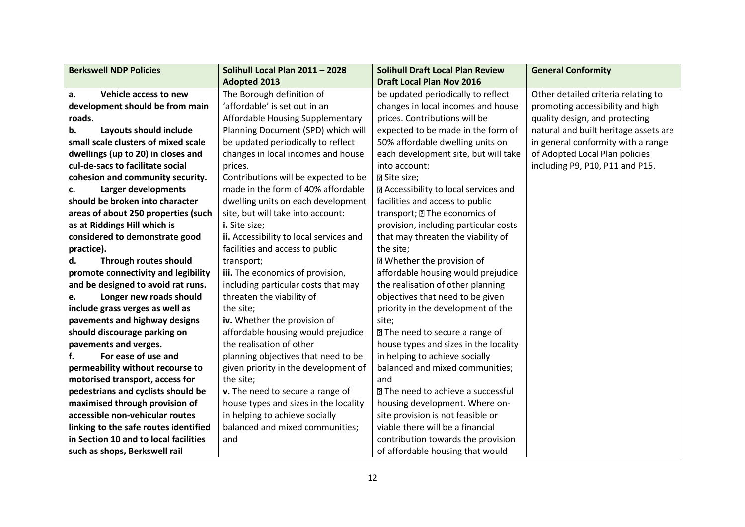| <b>Berkswell NDP Policies</b>         | Solihull Local Plan 2011 - 2028         | <b>Solihull Draft Local Plan Review</b>      | <b>General Conformity</b>             |
|---------------------------------------|-----------------------------------------|----------------------------------------------|---------------------------------------|
|                                       | <b>Adopted 2013</b>                     | <b>Draft Local Plan Nov 2016</b>             |                                       |
| Vehicle access to new<br>a.           | The Borough definition of               | be updated periodically to reflect           | Other detailed criteria relating to   |
| development should be from main       | 'affordable' is set out in an           | changes in local incomes and house           | promoting accessibility and high      |
| roads.                                | Affordable Housing Supplementary        | prices. Contributions will be                | quality design, and protecting        |
| Layouts should include<br>b.          | Planning Document (SPD) which will      | expected to be made in the form of           | natural and built heritage assets are |
| small scale clusters of mixed scale   | be updated periodically to reflect      | 50% affordable dwelling units on             | in general conformity with a range    |
| dwellings (up to 20) in closes and    | changes in local incomes and house      | each development site, but will take         | of Adopted Local Plan policies        |
| cul-de-sacs to facilitate social      | prices.                                 | into account:                                | including P9, P10, P11 and P15.       |
| cohesion and community security.      | Contributions will be expected to be    | <b>2 Site size;</b>                          |                                       |
| <b>Larger developments</b><br>c.      | made in the form of 40% affordable      | <b>E</b> Accessibility to local services and |                                       |
| should be broken into character       | dwelling units on each development      | facilities and access to public              |                                       |
| areas of about 250 properties (such   | site, but will take into account:       | transport; ? The economics of                |                                       |
| as at Riddings Hill which is          | i. Site size;                           | provision, including particular costs        |                                       |
| considered to demonstrate good        | ii. Accessibility to local services and | that may threaten the viability of           |                                       |
| practice).                            | facilities and access to public         | the site;                                    |                                       |
| Through routes should<br>d.           | transport;                              | <b>2 Whether the provision of</b>            |                                       |
| promote connectivity and legibility   | iii. The economics of provision,        | affordable housing would prejudice           |                                       |
| and be designed to avoid rat runs.    | including particular costs that may     | the realisation of other planning            |                                       |
| Longer new roads should<br>e.         | threaten the viability of               | objectives that need to be given             |                                       |
| include grass verges as well as       | the site;                               | priority in the development of the           |                                       |
| pavements and highway designs         | iv. Whether the provision of            | site;                                        |                                       |
| should discourage parking on          | affordable housing would prejudice      | 7 The need to secure a range of              |                                       |
| pavements and verges.                 | the realisation of other                | house types and sizes in the locality        |                                       |
| For ease of use and<br>f.             | planning objectives that need to be     | in helping to achieve socially               |                                       |
| permeability without recourse to      | given priority in the development of    | balanced and mixed communities;              |                                       |
| motorised transport, access for       | the site;                               | and                                          |                                       |
| pedestrians and cyclists should be    | v. The need to secure a range of        | <b>27 The need to achieve a successful</b>   |                                       |
| maximised through provision of        | house types and sizes in the locality   | housing development. Where on-               |                                       |
| accessible non-vehicular routes       | in helping to achieve socially          | site provision is not feasible or            |                                       |
| linking to the safe routes identified | balanced and mixed communities;         | viable there will be a financial             |                                       |
| in Section 10 and to local facilities | and                                     | contribution towards the provision           |                                       |
| such as shops, Berkswell rail         |                                         | of affordable housing that would             |                                       |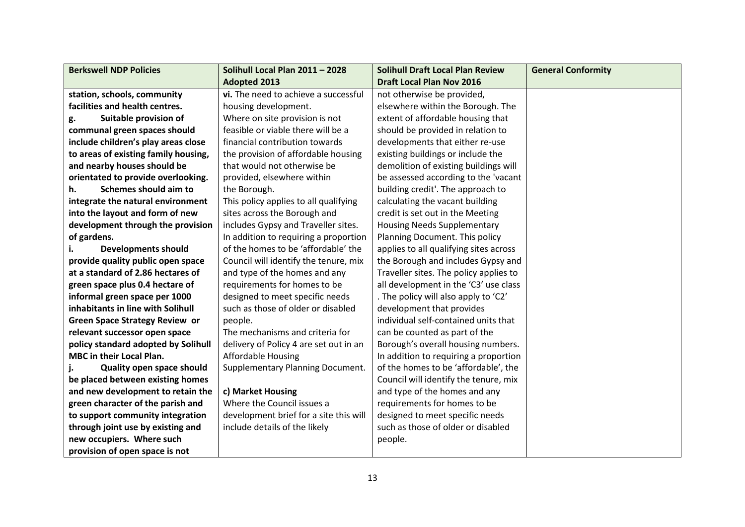| <b>Berkswell NDP Policies</b>         | Solihull Local Plan 2011 - 2028         | <b>Solihull Draft Local Plan Review</b> | <b>General Conformity</b> |
|---------------------------------------|-----------------------------------------|-----------------------------------------|---------------------------|
|                                       | <b>Adopted 2013</b>                     | <b>Draft Local Plan Nov 2016</b>        |                           |
| station, schools, community           | vi. The need to achieve a successful    | not otherwise be provided,              |                           |
| facilities and health centres.        | housing development.                    | elsewhere within the Borough. The       |                           |
| Suitable provision of<br>g.           | Where on site provision is not          | extent of affordable housing that       |                           |
| communal green spaces should          | feasible or viable there will be a      | should be provided in relation to       |                           |
| include children's play areas close   | financial contribution towards          | developments that either re-use         |                           |
| to areas of existing family housing,  | the provision of affordable housing     | existing buildings or include the       |                           |
| and nearby houses should be           | that would not otherwise be             | demolition of existing buildings will   |                           |
| orientated to provide overlooking.    | provided, elsewhere within              | be assessed according to the 'vacant    |                           |
| Schemes should aim to<br>h.           | the Borough.                            | building credit'. The approach to       |                           |
| integrate the natural environment     | This policy applies to all qualifying   | calculating the vacant building         |                           |
| into the layout and form of new       | sites across the Borough and            | credit is set out in the Meeting        |                           |
| development through the provision     | includes Gypsy and Traveller sites.     | <b>Housing Needs Supplementary</b>      |                           |
| of gardens.                           | In addition to requiring a proportion   | Planning Document. This policy          |                           |
| <b>Developments should</b><br>i.      | of the homes to be 'affordable' the     | applies to all qualifying sites across  |                           |
| provide quality public open space     | Council will identify the tenure, mix   | the Borough and includes Gypsy and      |                           |
| at a standard of 2.86 hectares of     | and type of the homes and any           | Traveller sites. The policy applies to  |                           |
| green space plus 0.4 hectare of       | requirements for homes to be            | all development in the 'C3' use class   |                           |
| informal green space per 1000         | designed to meet specific needs         | . The policy will also apply to 'C2'    |                           |
| inhabitants in line with Solihull     | such as those of older or disabled      | development that provides               |                           |
| <b>Green Space Strategy Review or</b> | people.                                 | individual self-contained units that    |                           |
| relevant successor open space         | The mechanisms and criteria for         | can be counted as part of the           |                           |
| policy standard adopted by Solihull   | delivery of Policy 4 are set out in an  | Borough's overall housing numbers.      |                           |
| MBC in their Local Plan.              | <b>Affordable Housing</b>               | In addition to requiring a proportion   |                           |
| <b>Quality open space should</b>      | <b>Supplementary Planning Document.</b> | of the homes to be 'affordable', the    |                           |
| be placed between existing homes      |                                         | Council will identify the tenure, mix   |                           |
| and new development to retain the     | c) Market Housing                       | and type of the homes and any           |                           |
| green character of the parish and     | Where the Council issues a              | requirements for homes to be            |                           |
| to support community integration      | development brief for a site this will  | designed to meet specific needs         |                           |
| through joint use by existing and     | include details of the likely           | such as those of older or disabled      |                           |
| new occupiers. Where such             |                                         | people.                                 |                           |
| provision of open space is not        |                                         |                                         |                           |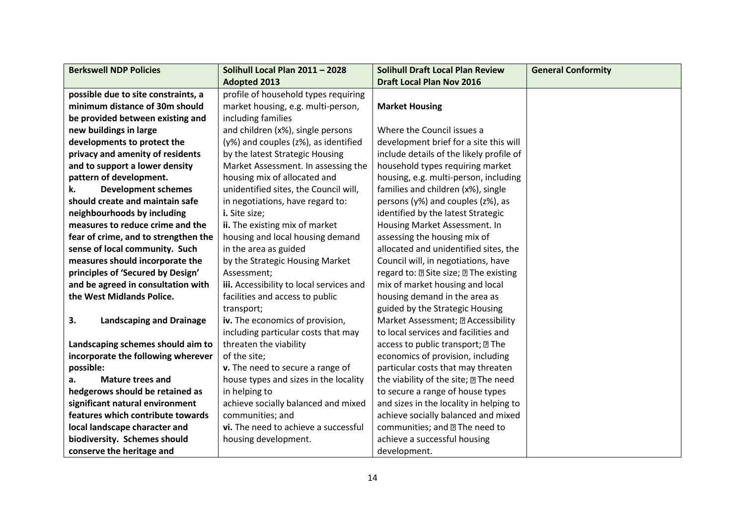| <b>Berkswell NDP Policies</b>         | Solihull Local Plan 2011 - 2028          | <b>Solihull Draft Local Plan Review</b>       | <b>General Conformity</b> |
|---------------------------------------|------------------------------------------|-----------------------------------------------|---------------------------|
|                                       | <b>Adopted 2013</b>                      | <b>Draft Local Plan Nov 2016</b>              |                           |
| possible due to site constraints, a   | profile of household types requiring     |                                               |                           |
| minimum distance of 30m should        | market housing, e.g. multi-person,       | <b>Market Housing</b>                         |                           |
| be provided between existing and      | including families                       |                                               |                           |
| new buildings in large                | and children (x%), single persons        | Where the Council issues a                    |                           |
| developments to protect the           | (y%) and couples (z%), as identified     | development brief for a site this will        |                           |
| privacy and amenity of residents      | by the latest Strategic Housing          | include details of the likely profile of      |                           |
| and to support a lower density        | Market Assessment. In assessing the      | household types requiring market              |                           |
| pattern of development.               | housing mix of allocated and             | housing, e.g. multi-person, including         |                           |
| <b>Development schemes</b><br>k.      | unidentified sites, the Council will,    | families and children (x%), single            |                           |
| should create and maintain safe       | in negotiations, have regard to:         | persons (y%) and couples (z%), as             |                           |
| neighbourhoods by including           | i. Site size;                            | identified by the latest Strategic            |                           |
| measures to reduce crime and the      | ii. The existing mix of market           | Housing Market Assessment. In                 |                           |
| fear of crime, and to strengthen the  | housing and local housing demand         | assessing the housing mix of                  |                           |
| sense of local community. Such        | in the area as guided                    | allocated and unidentified sites, the         |                           |
| measures should incorporate the       | by the Strategic Housing Market          | Council will, in negotiations, have           |                           |
| principles of 'Secured by Design'     | Assessment;                              | regard to: 2 Site size; 2 The existing        |                           |
| and be agreed in consultation with    | iii. Accessibility to local services and | mix of market housing and local               |                           |
| the West Midlands Police.             | facilities and access to public          | housing demand in the area as                 |                           |
|                                       | transport;                               | guided by the Strategic Housing               |                           |
| 3.<br><b>Landscaping and Drainage</b> | iv. The economics of provision,          | Market Assessment; 2 Accessibility            |                           |
|                                       | including particular costs that may      | to local services and facilities and          |                           |
| Landscaping schemes should aim to     | threaten the viability                   | access to public transport; ? The             |                           |
| incorporate the following wherever    | of the site;                             | economics of provision, including             |                           |
| possible:                             | v. The need to secure a range of         | particular costs that may threaten            |                           |
| <b>Mature trees and</b><br>a.         | house types and sizes in the locality    | the viability of the site; <b>II</b> The need |                           |
| hedgerows should be retained as       | in helping to                            | to secure a range of house types              |                           |
| significant natural environment       | achieve socially balanced and mixed      | and sizes in the locality in helping to       |                           |
| features which contribute towards     | communities; and                         | achieve socially balanced and mixed           |                           |
| local landscape character and         | vi. The need to achieve a successful     | communities; and 2 The need to                |                           |
| biodiversity. Schemes should          | housing development.                     | achieve a successful housing                  |                           |
| conserve the heritage and             |                                          | development.                                  |                           |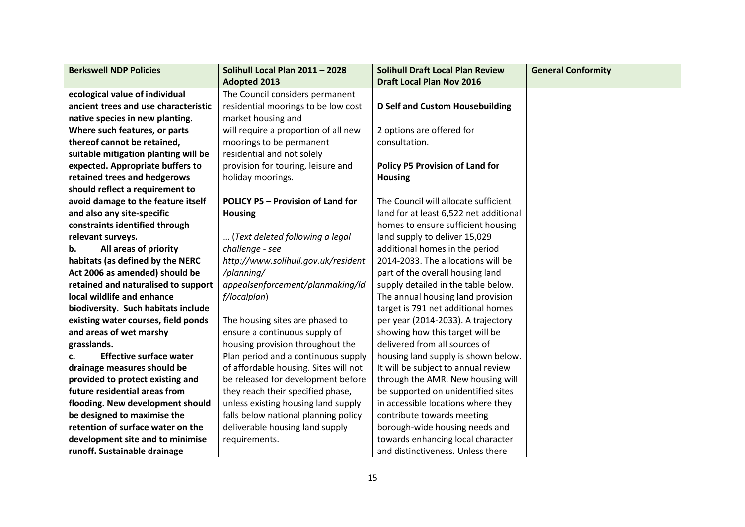| <b>Berkswell NDP Policies</b>        | Solihull Local Plan 2011 - 2028          | <b>Solihull Draft Local Plan Review</b> | <b>General Conformity</b> |
|--------------------------------------|------------------------------------------|-----------------------------------------|---------------------------|
|                                      | <b>Adopted 2013</b>                      | <b>Draft Local Plan Nov 2016</b>        |                           |
| ecological value of individual       | The Council considers permanent          |                                         |                           |
| ancient trees and use characteristic | residential moorings to be low cost      | <b>D Self and Custom Housebuilding</b>  |                           |
| native species in new planting.      | market housing and                       |                                         |                           |
| Where such features, or parts        | will require a proportion of all new     | 2 options are offered for               |                           |
| thereof cannot be retained,          | moorings to be permanent                 | consultation.                           |                           |
| suitable mitigation planting will be | residential and not solely               |                                         |                           |
| expected. Appropriate buffers to     | provision for touring, leisure and       | <b>Policy P5 Provision of Land for</b>  |                           |
| retained trees and hedgerows         | holiday moorings.                        | <b>Housing</b>                          |                           |
| should reflect a requirement to      |                                          |                                         |                           |
| avoid damage to the feature itself   | <b>POLICY P5 - Provision of Land for</b> | The Council will allocate sufficient    |                           |
| and also any site-specific           | <b>Housing</b>                           | land for at least 6,522 net additional  |                           |
| constraints identified through       |                                          | homes to ensure sufficient housing      |                           |
| relevant surveys.                    | (Text deleted following a legal          | land supply to deliver 15,029           |                           |
| All areas of priority<br>b.          | challenge - see                          | additional homes in the period          |                           |
| habitats (as defined by the NERC     | http://www.solihull.gov.uk/resident      | 2014-2033. The allocations will be      |                           |
| Act 2006 as amended) should be       | /planning/                               | part of the overall housing land        |                           |
| retained and naturalised to support  | appealsenforcement/planmaking/ld         | supply detailed in the table below.     |                           |
| local wildlife and enhance           | f/localplan)                             | The annual housing land provision       |                           |
| biodiversity. Such habitats include  |                                          | target is 791 net additional homes      |                           |
| existing water courses, field ponds  | The housing sites are phased to          | per year (2014-2033). A trajectory      |                           |
| and areas of wet marshy              | ensure a continuous supply of            | showing how this target will be         |                           |
| grasslands.                          | housing provision throughout the         | delivered from all sources of           |                           |
| <b>Effective surface water</b><br>c. | Plan period and a continuous supply      | housing land supply is shown below.     |                           |
| drainage measures should be          | of affordable housing. Sites will not    | It will be subject to annual review     |                           |
| provided to protect existing and     | be released for development before       | through the AMR. New housing will       |                           |
| future residential areas from        | they reach their specified phase,        | be supported on unidentified sites      |                           |
| flooding. New development should     | unless existing housing land supply      | in accessible locations where they      |                           |
| be designed to maximise the          | falls below national planning policy     | contribute towards meeting              |                           |
| retention of surface water on the    | deliverable housing land supply          | borough-wide housing needs and          |                           |
| development site and to minimise     | requirements.                            | towards enhancing local character       |                           |
| runoff. Sustainable drainage         |                                          | and distinctiveness. Unless there       |                           |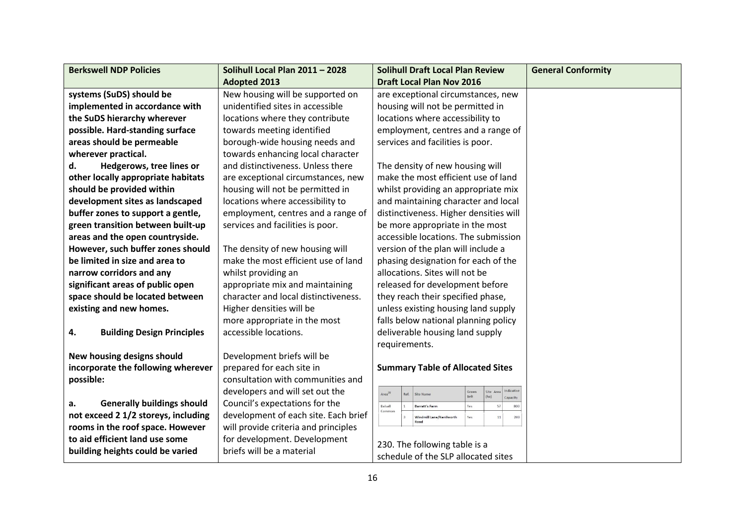| <b>Berkswell NDP Policies</b>           | Solihull Local Plan 2011 - 2028      | <b>Solihull Draft Local Plan Review</b>                                                                 | <b>General Conformity</b> |
|-----------------------------------------|--------------------------------------|---------------------------------------------------------------------------------------------------------|---------------------------|
|                                         | <b>Adopted 2013</b>                  | <b>Draft Local Plan Nov 2016</b>                                                                        |                           |
| systems (SuDS) should be                | New housing will be supported on     | are exceptional circumstances, new                                                                      |                           |
| implemented in accordance with          | unidentified sites in accessible     | housing will not be permitted in                                                                        |                           |
| the SuDS hierarchy wherever             | locations where they contribute      | locations where accessibility to                                                                        |                           |
| possible. Hard-standing surface         | towards meeting identified           | employment, centres and a range of                                                                      |                           |
| areas should be permeable               | borough-wide housing needs and       | services and facilities is poor.                                                                        |                           |
| wherever practical.                     | towards enhancing local character    |                                                                                                         |                           |
| Hedgerows, tree lines or<br>d.          | and distinctiveness. Unless there    | The density of new housing will                                                                         |                           |
| other locally appropriate habitats      | are exceptional circumstances, new   | make the most efficient use of land                                                                     |                           |
| should be provided within               | housing will not be permitted in     | whilst providing an appropriate mix                                                                     |                           |
| development sites as landscaped         | locations where accessibility to     | and maintaining character and local                                                                     |                           |
| buffer zones to support a gentle,       | employment, centres and a range of   | distinctiveness. Higher densities will                                                                  |                           |
| green transition between built-up       | services and facilities is poor.     | be more appropriate in the most                                                                         |                           |
| areas and the open countryside.         |                                      | accessible locations. The submission                                                                    |                           |
| However, such buffer zones should       | The density of new housing will      | version of the plan will include a                                                                      |                           |
| be limited in size and area to          | make the most efficient use of land  | phasing designation for each of the                                                                     |                           |
| narrow corridors and any                | whilst providing an                  | allocations. Sites will not be                                                                          |                           |
| significant areas of public open        | appropriate mix and maintaining      | released for development before                                                                         |                           |
| space should be located between         | character and local distinctiveness. | they reach their specified phase,                                                                       |                           |
| existing and new homes.                 | Higher densities will be             | unless existing housing land supply                                                                     |                           |
|                                         | more appropriate in the most         | falls below national planning policy                                                                    |                           |
| 4.<br><b>Building Design Principles</b> | accessible locations.                | deliverable housing land supply                                                                         |                           |
|                                         |                                      | requirements.                                                                                           |                           |
| New housing designs should              | Development briefs will be           |                                                                                                         |                           |
| incorporate the following wherever      | prepared for each site in            | <b>Summary Table of Allocated Sites</b>                                                                 |                           |
| possible:                               | consultation with communities and    |                                                                                                         |                           |
|                                         | developers and will set out the      | Indicative<br>Site Area<br>Green<br>Area <sup>28</sup><br>Site Name<br>Ref.<br>(ha)<br>Belt<br>Capacity |                           |
| <b>Generally buildings should</b><br>a. | Council's expectations for the       | Balsall<br><b>Barratt's Farm</b><br>Yes<br>common                                                       |                           |
| not exceed 2 1/2 storeys, including     | development of each site. Each brief | Windmill Lane/Kenilworth<br>Yes<br>11<br>200                                                            |                           |
| rooms in the roof space. However        | will provide criteria and principles |                                                                                                         |                           |
| to aid efficient land use some          | for development. Development         | 230. The following table is a                                                                           |                           |
| building heights could be varied        | briefs will be a material            | schedule of the SLP allocated sites                                                                     |                           |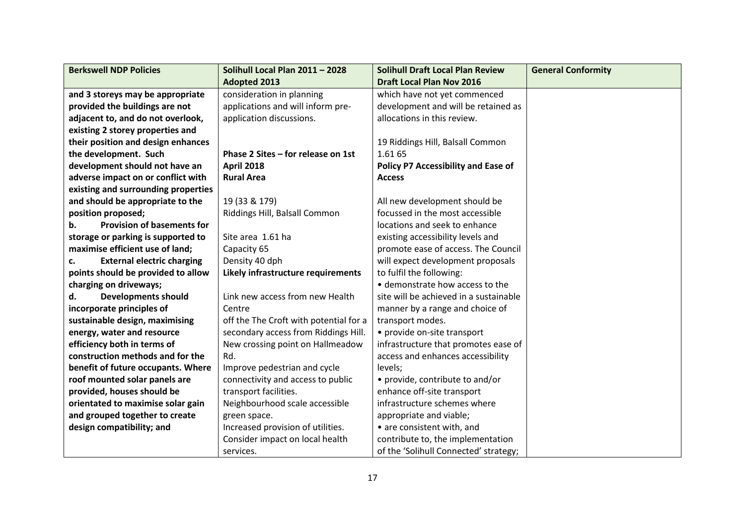| <b>Berkswell NDP Policies</b>           | Solihull Local Plan 2011 - 2028        | <b>Solihull Draft Local Plan Review</b>    | <b>General Conformity</b> |
|-----------------------------------------|----------------------------------------|--------------------------------------------|---------------------------|
|                                         | <b>Adopted 2013</b>                    | <b>Draft Local Plan Nov 2016</b>           |                           |
| and 3 storeys may be appropriate        | consideration in planning              | which have not yet commenced               |                           |
| provided the buildings are not          | applications and will inform pre-      | development and will be retained as        |                           |
| adjacent to, and do not overlook,       | application discussions.               | allocations in this review.                |                           |
| existing 2 storey properties and        |                                        |                                            |                           |
| their position and design enhances      |                                        | 19 Riddings Hill, Balsall Common           |                           |
| the development. Such                   | Phase 2 Sites - for release on 1st     | 1.61 65                                    |                           |
| development should not have an          | <b>April 2018</b>                      | <b>Policy P7 Accessibility and Ease of</b> |                           |
| adverse impact on or conflict with      | <b>Rural Area</b>                      | <b>Access</b>                              |                           |
| existing and surrounding properties     |                                        |                                            |                           |
| and should be appropriate to the        | 19 (33 & 179)                          | All new development should be              |                           |
| position proposed;                      | Riddings Hill, Balsall Common          | focussed in the most accessible            |                           |
| <b>Provision of basements for</b><br>b. |                                        | locations and seek to enhance              |                           |
| storage or parking is supported to      | Site area 1.61 ha                      | existing accessibility levels and          |                           |
| maximise efficient use of land;         | Capacity 65                            | promote ease of access. The Council        |                           |
| <b>External electric charging</b><br>c. | Density 40 dph                         | will expect development proposals          |                           |
| points should be provided to allow      | Likely infrastructure requirements     | to fulfil the following:                   |                           |
| charging on driveways;                  |                                        | · demonstrate how access to the            |                           |
| <b>Developments should</b><br>d.        | Link new access from new Health        | site will be achieved in a sustainable     |                           |
| incorporate principles of               | Centre                                 | manner by a range and choice of            |                           |
| sustainable design, maximising          | off the The Croft with potential for a | transport modes.                           |                           |
| energy, water and resource              | secondary access from Riddings Hill.   | • provide on-site transport                |                           |
| efficiency both in terms of             | New crossing point on Hallmeadow       | infrastructure that promotes ease of       |                           |
| construction methods and for the        | Rd.                                    | access and enhances accessibility          |                           |
| benefit of future occupants. Where      | Improve pedestrian and cycle           | levels;                                    |                           |
| roof mounted solar panels are           | connectivity and access to public      | • provide, contribute to and/or            |                           |
| provided, houses should be              | transport facilities.                  | enhance off-site transport                 |                           |
| orientated to maximise solar gain       | Neighbourhood scale accessible         | infrastructure schemes where               |                           |
| and grouped together to create          | green space.                           | appropriate and viable;                    |                           |
| design compatibility; and               | Increased provision of utilities.      | • are consistent with, and                 |                           |
|                                         | Consider impact on local health        | contribute to, the implementation          |                           |
|                                         | services.                              | of the 'Solihull Connected' strategy;      |                           |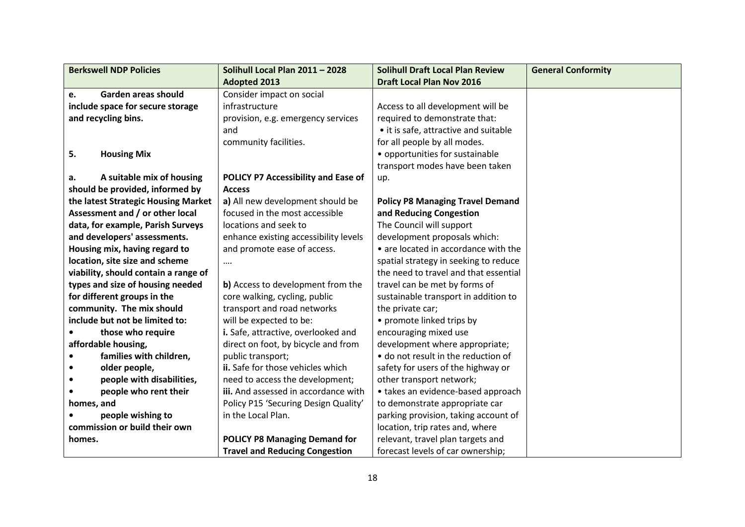| <b>Berkswell NDP Policies</b>        | Solihull Local Plan 2011 - 2028       | <b>Solihull Draft Local Plan Review</b> | <b>General Conformity</b> |
|--------------------------------------|---------------------------------------|-----------------------------------------|---------------------------|
|                                      | <b>Adopted 2013</b>                   | <b>Draft Local Plan Nov 2016</b>        |                           |
| Garden areas should<br>e.            | Consider impact on social             |                                         |                           |
| include space for secure storage     | infrastructure                        | Access to all development will be       |                           |
| and recycling bins.                  | provision, e.g. emergency services    | required to demonstrate that:           |                           |
|                                      | and                                   | • it is safe, attractive and suitable   |                           |
|                                      | community facilities.                 | for all people by all modes.            |                           |
| 5.<br><b>Housing Mix</b>             |                                       | • opportunities for sustainable         |                           |
|                                      |                                       | transport modes have been taken         |                           |
| A suitable mix of housing<br>a.      | POLICY P7 Accessibility and Ease of   | up.                                     |                           |
| should be provided, informed by      | <b>Access</b>                         |                                         |                           |
| the latest Strategic Housing Market  | a) All new development should be      | <b>Policy P8 Managing Travel Demand</b> |                           |
| Assessment and / or other local      | focused in the most accessible        | and Reducing Congestion                 |                           |
| data, for example, Parish Surveys    | locations and seek to                 | The Council will support                |                           |
| and developers' assessments.         | enhance existing accessibility levels | development proposals which:            |                           |
| Housing mix, having regard to        | and promote ease of access.           | • are located in accordance with the    |                           |
| location, site size and scheme       |                                       | spatial strategy in seeking to reduce   |                           |
| viability, should contain a range of |                                       | the need to travel and that essential   |                           |
| types and size of housing needed     | b) Access to development from the     | travel can be met by forms of           |                           |
| for different groups in the          | core walking, cycling, public         | sustainable transport in addition to    |                           |
| community. The mix should            | transport and road networks           | the private car;                        |                           |
| include but not be limited to:       | will be expected to be:               | • promote linked trips by               |                           |
| those who require                    | i. Safe, attractive, overlooked and   | encouraging mixed use                   |                           |
| affordable housing,                  | direct on foot, by bicycle and from   | development where appropriate;          |                           |
| families with children,              | public transport;                     | • do not result in the reduction of     |                           |
| older people,                        | ii. Safe for those vehicles which     | safety for users of the highway or      |                           |
| people with disabilities,            | need to access the development;       | other transport network;                |                           |
| people who rent their                | iii. And assessed in accordance with  | • takes an evidence-based approach      |                           |
| homes, and                           | Policy P15 'Securing Design Quality'  | to demonstrate appropriate car          |                           |
| people wishing to                    | in the Local Plan.                    | parking provision, taking account of    |                           |
| commission or build their own        |                                       | location, trip rates and, where         |                           |
| homes.                               | <b>POLICY P8 Managing Demand for</b>  | relevant, travel plan targets and       |                           |
|                                      | <b>Travel and Reducing Congestion</b> | forecast levels of car ownership;       |                           |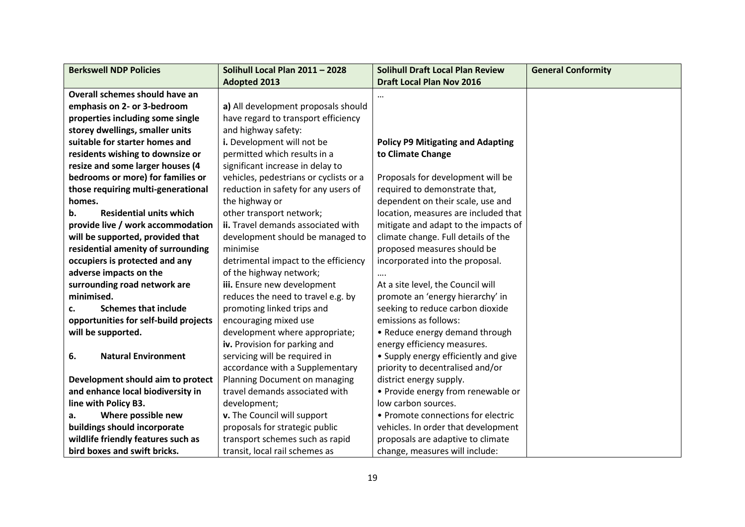| <b>Berkswell NDP Policies</b>         | Solihull Local Plan 2011 - 2028        | <b>Solihull Draft Local Plan Review</b>  | <b>General Conformity</b> |
|---------------------------------------|----------------------------------------|------------------------------------------|---------------------------|
|                                       | <b>Adopted 2013</b>                    | <b>Draft Local Plan Nov 2016</b>         |                           |
| Overall schemes should have an        |                                        | $\cdots$                                 |                           |
| emphasis on 2- or 3-bedroom           | a) All development proposals should    |                                          |                           |
| properties including some single      | have regard to transport efficiency    |                                          |                           |
| storey dwellings, smaller units       | and highway safety:                    |                                          |                           |
| suitable for starter homes and        | i. Development will not be             | <b>Policy P9 Mitigating and Adapting</b> |                           |
| residents wishing to downsize or      | permitted which results in a           | to Climate Change                        |                           |
| resize and some larger houses (4      | significant increase in delay to       |                                          |                           |
| bedrooms or more) for families or     | vehicles, pedestrians or cyclists or a | Proposals for development will be        |                           |
| those requiring multi-generational    | reduction in safety for any users of   | required to demonstrate that,            |                           |
| homes.                                | the highway or                         | dependent on their scale, use and        |                           |
| <b>Residential units which</b><br>b.  | other transport network;               | location, measures are included that     |                           |
| provide live / work accommodation     | ii. Travel demands associated with     | mitigate and adapt to the impacts of     |                           |
| will be supported, provided that      | development should be managed to       | climate change. Full details of the      |                           |
| residential amenity of surrounding    | minimise                               | proposed measures should be              |                           |
| occupiers is protected and any        | detrimental impact to the efficiency   | incorporated into the proposal.          |                           |
| adverse impacts on the                | of the highway network;                |                                          |                           |
| surrounding road network are          | iii. Ensure new development            | At a site level, the Council will        |                           |
| minimised.                            | reduces the need to travel e.g. by     | promote an 'energy hierarchy' in         |                           |
| <b>Schemes that include</b><br>c.     | promoting linked trips and             | seeking to reduce carbon dioxide         |                           |
| opportunities for self-build projects | encouraging mixed use                  | emissions as follows:                    |                           |
| will be supported.                    | development where appropriate;         | • Reduce energy demand through           |                           |
|                                       | iv. Provision for parking and          | energy efficiency measures.              |                           |
| <b>Natural Environment</b><br>6.      | servicing will be required in          | • Supply energy efficiently and give     |                           |
|                                       | accordance with a Supplementary        | priority to decentralised and/or         |                           |
| Development should aim to protect     | Planning Document on managing          | district energy supply.                  |                           |
| and enhance local biodiversity in     | travel demands associated with         | • Provide energy from renewable or       |                           |
| line with Policy B3.                  | development;                           | low carbon sources.                      |                           |
| Where possible new<br>а.              | v. The Council will support            | • Promote connections for electric       |                           |
| buildings should incorporate          | proposals for strategic public         | vehicles. In order that development      |                           |
| wildlife friendly features such as    | transport schemes such as rapid        | proposals are adaptive to climate        |                           |
| bird boxes and swift bricks.          | transit, local rail schemes as         | change, measures will include:           |                           |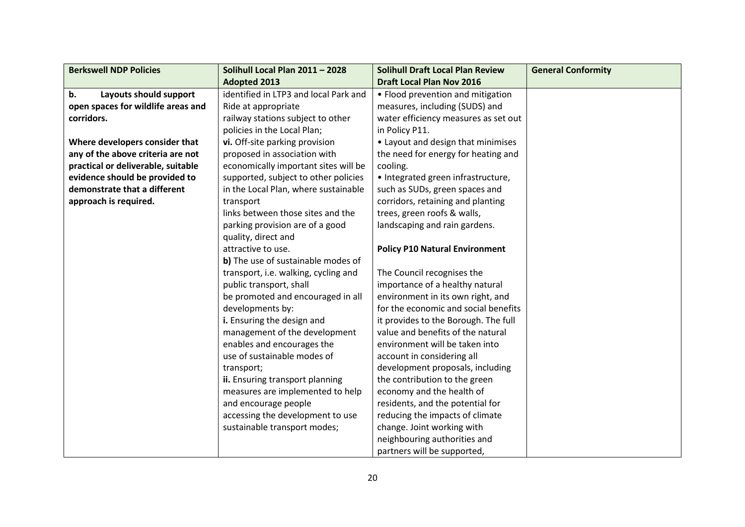| <b>Berkswell NDP Policies</b>      | Solihull Local Plan 2011 - 2028       | <b>Solihull Draft Local Plan Review</b> | <b>General Conformity</b> |
|------------------------------------|---------------------------------------|-----------------------------------------|---------------------------|
|                                    | <b>Adopted 2013</b>                   | <b>Draft Local Plan Nov 2016</b>        |                           |
| Layouts should support<br>b.       | identified in LTP3 and local Park and | • Flood prevention and mitigation       |                           |
| open spaces for wildlife areas and | Ride at appropriate                   | measures, including (SUDS) and          |                           |
| corridors.                         | railway stations subject to other     | water efficiency measures as set out    |                           |
|                                    | policies in the Local Plan;           | in Policy P11.                          |                           |
| Where developers consider that     | vi. Off-site parking provision        | • Layout and design that minimises      |                           |
| any of the above criteria are not  | proposed in association with          | the need for energy for heating and     |                           |
| practical or deliverable, suitable | economically important sites will be  | cooling.                                |                           |
| evidence should be provided to     | supported, subject to other policies  | • Integrated green infrastructure,      |                           |
| demonstrate that a different       | in the Local Plan, where sustainable  | such as SUDs, green spaces and          |                           |
| approach is required.              | transport                             | corridors, retaining and planting       |                           |
|                                    | links between those sites and the     | trees, green roofs & walls,             |                           |
|                                    | parking provision are of a good       | landscaping and rain gardens.           |                           |
|                                    | quality, direct and                   |                                         |                           |
|                                    | attractive to use.                    | <b>Policy P10 Natural Environment</b>   |                           |
|                                    | b) The use of sustainable modes of    |                                         |                           |
|                                    | transport, i.e. walking, cycling and  | The Council recognises the              |                           |
|                                    | public transport, shall               | importance of a healthy natural         |                           |
|                                    | be promoted and encouraged in all     | environment in its own right, and       |                           |
|                                    | developments by:                      | for the economic and social benefits    |                           |
|                                    | i. Ensuring the design and            | it provides to the Borough. The full    |                           |
|                                    | management of the development         | value and benefits of the natural       |                           |
|                                    | enables and encourages the            | environment will be taken into          |                           |
|                                    | use of sustainable modes of           | account in considering all              |                           |
|                                    | transport;                            | development proposals, including        |                           |
|                                    | ii. Ensuring transport planning       | the contribution to the green           |                           |
|                                    | measures are implemented to help      | economy and the health of               |                           |
|                                    | and encourage people                  | residents, and the potential for        |                           |
|                                    | accessing the development to use      | reducing the impacts of climate         |                           |
|                                    | sustainable transport modes;          | change. Joint working with              |                           |
|                                    |                                       | neighbouring authorities and            |                           |
|                                    |                                       | partners will be supported,             |                           |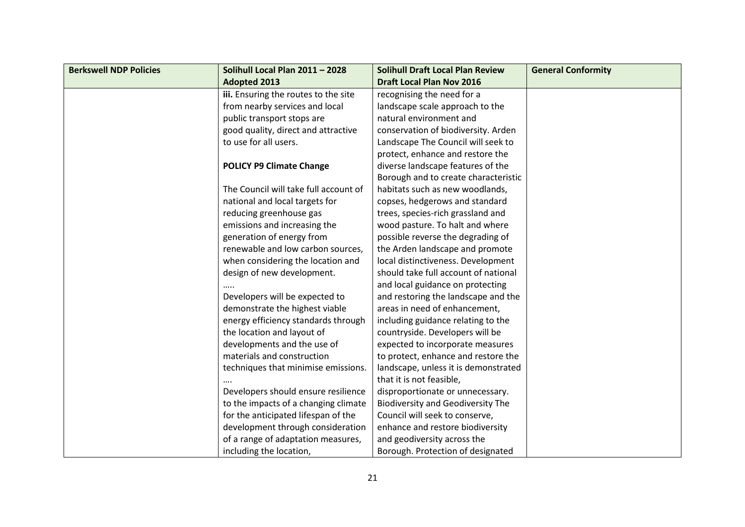| <b>Berkswell NDP Policies</b> | Solihull Local Plan 2011 - 2028       | <b>Solihull Draft Local Plan Review</b>  | <b>General Conformity</b> |
|-------------------------------|---------------------------------------|------------------------------------------|---------------------------|
|                               | <b>Adopted 2013</b>                   | <b>Draft Local Plan Nov 2016</b>         |                           |
|                               | iii. Ensuring the routes to the site  | recognising the need for a               |                           |
|                               | from nearby services and local        | landscape scale approach to the          |                           |
|                               | public transport stops are            | natural environment and                  |                           |
|                               | good quality, direct and attractive   | conservation of biodiversity. Arden      |                           |
|                               | to use for all users.                 | Landscape The Council will seek to       |                           |
|                               |                                       | protect, enhance and restore the         |                           |
|                               | <b>POLICY P9 Climate Change</b>       | diverse landscape features of the        |                           |
|                               |                                       | Borough and to create characteristic     |                           |
|                               | The Council will take full account of | habitats such as new woodlands,          |                           |
|                               | national and local targets for        | copses, hedgerows and standard           |                           |
|                               | reducing greenhouse gas               | trees, species-rich grassland and        |                           |
|                               | emissions and increasing the          | wood pasture. To halt and where          |                           |
|                               | generation of energy from             | possible reverse the degrading of        |                           |
|                               | renewable and low carbon sources,     | the Arden landscape and promote          |                           |
|                               | when considering the location and     | local distinctiveness. Development       |                           |
|                               | design of new development.            | should take full account of national     |                           |
|                               |                                       | and local guidance on protecting         |                           |
|                               | Developers will be expected to        | and restoring the landscape and the      |                           |
|                               | demonstrate the highest viable        | areas in need of enhancement,            |                           |
|                               | energy efficiency standards through   | including guidance relating to the       |                           |
|                               | the location and layout of            | countryside. Developers will be          |                           |
|                               | developments and the use of           | expected to incorporate measures         |                           |
|                               | materials and construction            | to protect, enhance and restore the      |                           |
|                               | techniques that minimise emissions.   | landscape, unless it is demonstrated     |                           |
|                               |                                       | that it is not feasible,                 |                           |
|                               | Developers should ensure resilience   | disproportionate or unnecessary.         |                           |
|                               | to the impacts of a changing climate  | <b>Biodiversity and Geodiversity The</b> |                           |
|                               | for the anticipated lifespan of the   | Council will seek to conserve,           |                           |
|                               | development through consideration     | enhance and restore biodiversity         |                           |
|                               | of a range of adaptation measures,    | and geodiversity across the              |                           |
|                               | including the location,               | Borough. Protection of designated        |                           |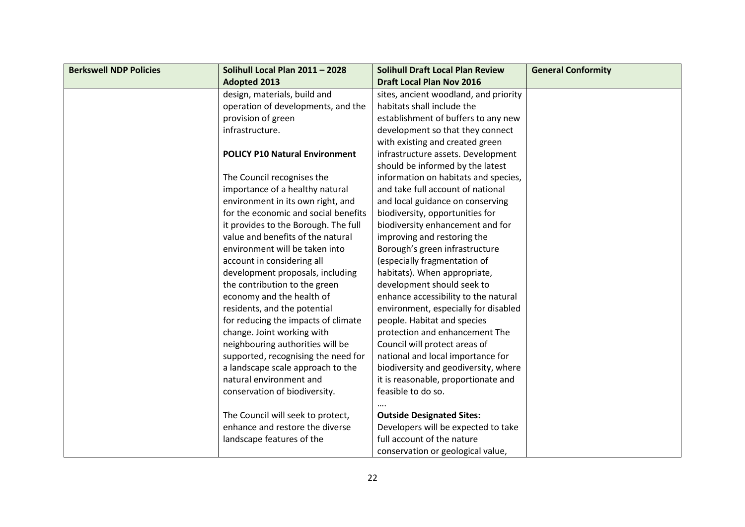| <b>Berkswell NDP Policies</b> | Solihull Local Plan 2011 - 2028       | <b>Solihull Draft Local Plan Review</b> | <b>General Conformity</b> |
|-------------------------------|---------------------------------------|-----------------------------------------|---------------------------|
|                               | <b>Adopted 2013</b>                   | <b>Draft Local Plan Nov 2016</b>        |                           |
|                               | design, materials, build and          | sites, ancient woodland, and priority   |                           |
|                               | operation of developments, and the    | habitats shall include the              |                           |
|                               | provision of green                    | establishment of buffers to any new     |                           |
|                               | infrastructure.                       | development so that they connect        |                           |
|                               |                                       | with existing and created green         |                           |
|                               | <b>POLICY P10 Natural Environment</b> | infrastructure assets. Development      |                           |
|                               |                                       | should be informed by the latest        |                           |
|                               | The Council recognises the            | information on habitats and species,    |                           |
|                               | importance of a healthy natural       | and take full account of national       |                           |
|                               | environment in its own right, and     | and local guidance on conserving        |                           |
|                               | for the economic and social benefits  | biodiversity, opportunities for         |                           |
|                               | it provides to the Borough. The full  | biodiversity enhancement and for        |                           |
|                               | value and benefits of the natural     | improving and restoring the             |                           |
|                               | environment will be taken into        | Borough's green infrastructure          |                           |
|                               | account in considering all            | (especially fragmentation of            |                           |
|                               | development proposals, including      | habitats). When appropriate,            |                           |
|                               | the contribution to the green         | development should seek to              |                           |
|                               | economy and the health of             | enhance accessibility to the natural    |                           |
|                               | residents, and the potential          | environment, especially for disabled    |                           |
|                               | for reducing the impacts of climate   | people. Habitat and species             |                           |
|                               | change. Joint working with            | protection and enhancement The          |                           |
|                               | neighbouring authorities will be      | Council will protect areas of           |                           |
|                               | supported, recognising the need for   | national and local importance for       |                           |
|                               | a landscape scale approach to the     | biodiversity and geodiversity, where    |                           |
|                               | natural environment and               | it is reasonable, proportionate and     |                           |
|                               | conservation of biodiversity.         | feasible to do so.                      |                           |
|                               |                                       |                                         |                           |
|                               | The Council will seek to protect,     | <b>Outside Designated Sites:</b>        |                           |
|                               | enhance and restore the diverse       | Developers will be expected to take     |                           |
|                               | landscape features of the             | full account of the nature              |                           |
|                               |                                       | conservation or geological value,       |                           |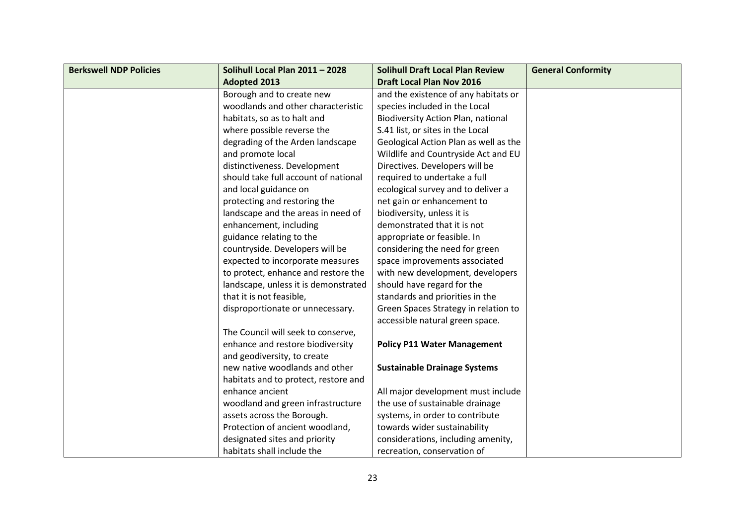| <b>Berkswell NDP Policies</b> | Solihull Local Plan 2011 - 2028      | <b>Solihull Draft Local Plan Review</b>   | <b>General Conformity</b> |
|-------------------------------|--------------------------------------|-------------------------------------------|---------------------------|
|                               | <b>Adopted 2013</b>                  | <b>Draft Local Plan Nov 2016</b>          |                           |
|                               | Borough and to create new            | and the existence of any habitats or      |                           |
|                               | woodlands and other characteristic   | species included in the Local             |                           |
|                               | habitats, so as to halt and          | <b>Biodiversity Action Plan, national</b> |                           |
|                               | where possible reverse the           | S.41 list, or sites in the Local          |                           |
|                               | degrading of the Arden landscape     | Geological Action Plan as well as the     |                           |
|                               | and promote local                    | Wildlife and Countryside Act and EU       |                           |
|                               | distinctiveness. Development         | Directives. Developers will be            |                           |
|                               | should take full account of national | required to undertake a full              |                           |
|                               | and local guidance on                | ecological survey and to deliver a        |                           |
|                               | protecting and restoring the         | net gain or enhancement to                |                           |
|                               | landscape and the areas in need of   | biodiversity, unless it is                |                           |
|                               | enhancement, including               | demonstrated that it is not               |                           |
|                               | guidance relating to the             | appropriate or feasible. In               |                           |
|                               | countryside. Developers will be      | considering the need for green            |                           |
|                               | expected to incorporate measures     | space improvements associated             |                           |
|                               | to protect, enhance and restore the  | with new development, developers          |                           |
|                               | landscape, unless it is demonstrated | should have regard for the                |                           |
|                               | that it is not feasible,             | standards and priorities in the           |                           |
|                               | disproportionate or unnecessary.     | Green Spaces Strategy in relation to      |                           |
|                               |                                      | accessible natural green space.           |                           |
|                               | The Council will seek to conserve,   |                                           |                           |
|                               | enhance and restore biodiversity     | <b>Policy P11 Water Management</b>        |                           |
|                               | and geodiversity, to create          |                                           |                           |
|                               | new native woodlands and other       | <b>Sustainable Drainage Systems</b>       |                           |
|                               | habitats and to protect, restore and |                                           |                           |
|                               | enhance ancient                      | All major development must include        |                           |
|                               | woodland and green infrastructure    | the use of sustainable drainage           |                           |
|                               | assets across the Borough.           | systems, in order to contribute           |                           |
|                               | Protection of ancient woodland,      | towards wider sustainability              |                           |
|                               | designated sites and priority        | considerations, including amenity,        |                           |
|                               | habitats shall include the           | recreation, conservation of               |                           |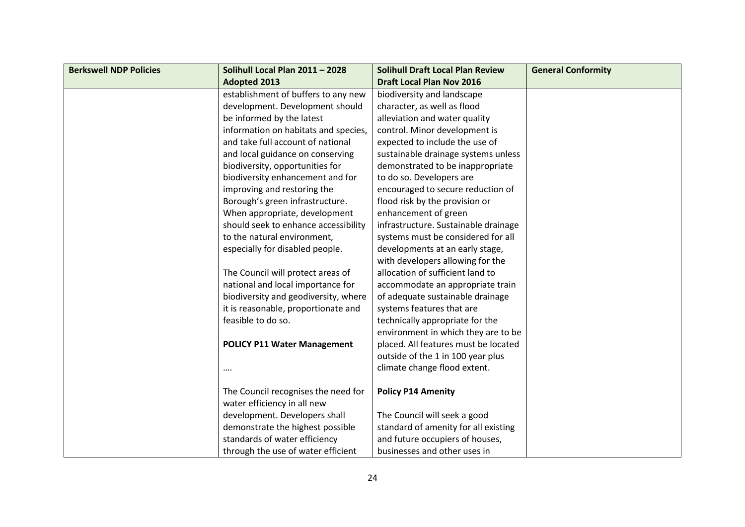| <b>Berkswell NDP Policies</b> | Solihull Local Plan 2011 - 2028      | <b>Solihull Draft Local Plan Review</b> | <b>General Conformity</b> |
|-------------------------------|--------------------------------------|-----------------------------------------|---------------------------|
|                               | <b>Adopted 2013</b>                  | <b>Draft Local Plan Nov 2016</b>        |                           |
|                               | establishment of buffers to any new  | biodiversity and landscape              |                           |
|                               | development. Development should      | character, as well as flood             |                           |
|                               | be informed by the latest            | alleviation and water quality           |                           |
|                               | information on habitats and species, | control. Minor development is           |                           |
|                               | and take full account of national    | expected to include the use of          |                           |
|                               | and local guidance on conserving     | sustainable drainage systems unless     |                           |
|                               | biodiversity, opportunities for      | demonstrated to be inappropriate        |                           |
|                               | biodiversity enhancement and for     | to do so. Developers are                |                           |
|                               | improving and restoring the          | encouraged to secure reduction of       |                           |
|                               | Borough's green infrastructure.      | flood risk by the provision or          |                           |
|                               | When appropriate, development        | enhancement of green                    |                           |
|                               | should seek to enhance accessibility | infrastructure. Sustainable drainage    |                           |
|                               | to the natural environment,          | systems must be considered for all      |                           |
|                               | especially for disabled people.      | developments at an early stage,         |                           |
|                               |                                      | with developers allowing for the        |                           |
|                               | The Council will protect areas of    | allocation of sufficient land to        |                           |
|                               | national and local importance for    | accommodate an appropriate train        |                           |
|                               | biodiversity and geodiversity, where | of adequate sustainable drainage        |                           |
|                               | it is reasonable, proportionate and  | systems features that are               |                           |
|                               | feasible to do so.                   | technically appropriate for the         |                           |
|                               |                                      | environment in which they are to be     |                           |
|                               | <b>POLICY P11 Water Management</b>   | placed. All features must be located    |                           |
|                               |                                      | outside of the 1 in 100 year plus       |                           |
|                               |                                      | climate change flood extent.            |                           |
|                               |                                      |                                         |                           |
|                               | The Council recognises the need for  | <b>Policy P14 Amenity</b>               |                           |
|                               | water efficiency in all new          |                                         |                           |
|                               | development. Developers shall        | The Council will seek a good            |                           |
|                               | demonstrate the highest possible     | standard of amenity for all existing    |                           |
|                               | standards of water efficiency        | and future occupiers of houses,         |                           |
|                               | through the use of water efficient   | businesses and other uses in            |                           |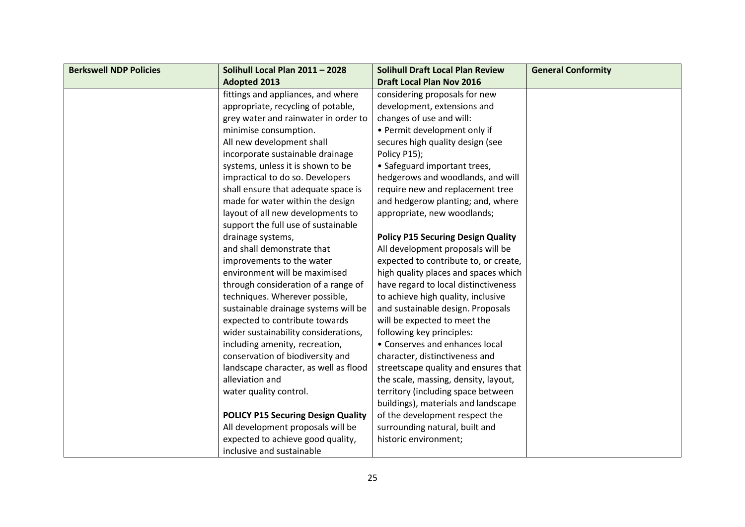| <b>Berkswell NDP Policies</b> | Solihull Local Plan 2011 - 2028           | <b>Solihull Draft Local Plan Review</b>   | <b>General Conformity</b> |
|-------------------------------|-------------------------------------------|-------------------------------------------|---------------------------|
|                               | <b>Adopted 2013</b>                       | <b>Draft Local Plan Nov 2016</b>          |                           |
|                               | fittings and appliances, and where        | considering proposals for new             |                           |
|                               | appropriate, recycling of potable,        | development, extensions and               |                           |
|                               | grey water and rainwater in order to      | changes of use and will:                  |                           |
|                               | minimise consumption.                     | • Permit development only if              |                           |
|                               | All new development shall                 | secures high quality design (see          |                           |
|                               | incorporate sustainable drainage          | Policy P15);                              |                           |
|                               | systems, unless it is shown to be         | • Safeguard important trees,              |                           |
|                               | impractical to do so. Developers          | hedgerows and woodlands, and will         |                           |
|                               | shall ensure that adequate space is       | require new and replacement tree          |                           |
|                               | made for water within the design          | and hedgerow planting; and, where         |                           |
|                               | layout of all new developments to         | appropriate, new woodlands;               |                           |
|                               | support the full use of sustainable       |                                           |                           |
|                               | drainage systems,                         | <b>Policy P15 Securing Design Quality</b> |                           |
|                               | and shall demonstrate that                | All development proposals will be         |                           |
|                               | improvements to the water                 | expected to contribute to, or create,     |                           |
|                               | environment will be maximised             | high quality places and spaces which      |                           |
|                               | through consideration of a range of       | have regard to local distinctiveness      |                           |
|                               | techniques. Wherever possible,            | to achieve high quality, inclusive        |                           |
|                               | sustainable drainage systems will be      | and sustainable design. Proposals         |                           |
|                               | expected to contribute towards            | will be expected to meet the              |                           |
|                               | wider sustainability considerations,      | following key principles:                 |                           |
|                               | including amenity, recreation,            | • Conserves and enhances local            |                           |
|                               | conservation of biodiversity and          | character, distinctiveness and            |                           |
|                               | landscape character, as well as flood     | streetscape quality and ensures that      |                           |
|                               | alleviation and                           | the scale, massing, density, layout,      |                           |
|                               | water quality control.                    | territory (including space between        |                           |
|                               |                                           | buildings), materials and landscape       |                           |
|                               | <b>POLICY P15 Securing Design Quality</b> | of the development respect the            |                           |
|                               | All development proposals will be         | surrounding natural, built and            |                           |
|                               | expected to achieve good quality,         | historic environment;                     |                           |
|                               | inclusive and sustainable                 |                                           |                           |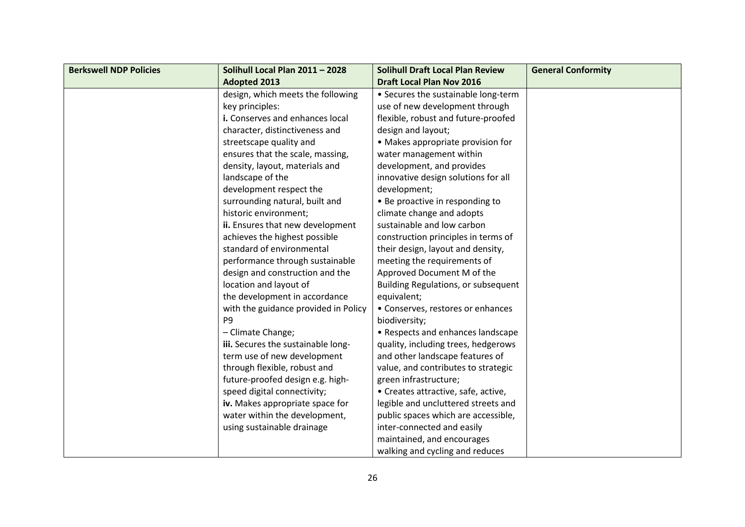| <b>Berkswell NDP Policies</b> | Solihull Local Plan 2011 - 2028      | <b>Solihull Draft Local Plan Review</b> | <b>General Conformity</b> |
|-------------------------------|--------------------------------------|-----------------------------------------|---------------------------|
|                               | <b>Adopted 2013</b>                  | <b>Draft Local Plan Nov 2016</b>        |                           |
|                               | design, which meets the following    | • Secures the sustainable long-term     |                           |
|                               | key principles:                      | use of new development through          |                           |
|                               | i. Conserves and enhances local      | flexible, robust and future-proofed     |                           |
|                               | character, distinctiveness and       | design and layout;                      |                           |
|                               | streetscape quality and              | • Makes appropriate provision for       |                           |
|                               | ensures that the scale, massing,     | water management within                 |                           |
|                               | density, layout, materials and       | development, and provides               |                           |
|                               | landscape of the                     | innovative design solutions for all     |                           |
|                               | development respect the              | development;                            |                           |
|                               | surrounding natural, built and       | • Be proactive in responding to         |                           |
|                               | historic environment;                | climate change and adopts               |                           |
|                               | ii. Ensures that new development     | sustainable and low carbon              |                           |
|                               | achieves the highest possible        | construction principles in terms of     |                           |
|                               | standard of environmental            | their design, layout and density,       |                           |
|                               | performance through sustainable      | meeting the requirements of             |                           |
|                               | design and construction and the      | Approved Document M of the              |                           |
|                               | location and layout of               | Building Regulations, or subsequent     |                           |
|                               | the development in accordance        | equivalent;                             |                           |
|                               | with the guidance provided in Policy | • Conserves, restores or enhances       |                           |
|                               | P <sub>9</sub>                       | biodiversity;                           |                           |
|                               | - Climate Change;                    | • Respects and enhances landscape       |                           |
|                               | iii. Secures the sustainable long-   | quality, including trees, hedgerows     |                           |
|                               | term use of new development          | and other landscape features of         |                           |
|                               | through flexible, robust and         | value, and contributes to strategic     |                           |
|                               | future-proofed design e.g. high-     | green infrastructure;                   |                           |
|                               | speed digital connectivity;          | • Creates attractive, safe, active,     |                           |
|                               | iv. Makes appropriate space for      | legible and uncluttered streets and     |                           |
|                               | water within the development,        | public spaces which are accessible,     |                           |
|                               | using sustainable drainage           | inter-connected and easily              |                           |
|                               |                                      | maintained, and encourages              |                           |
|                               |                                      | walking and cycling and reduces         |                           |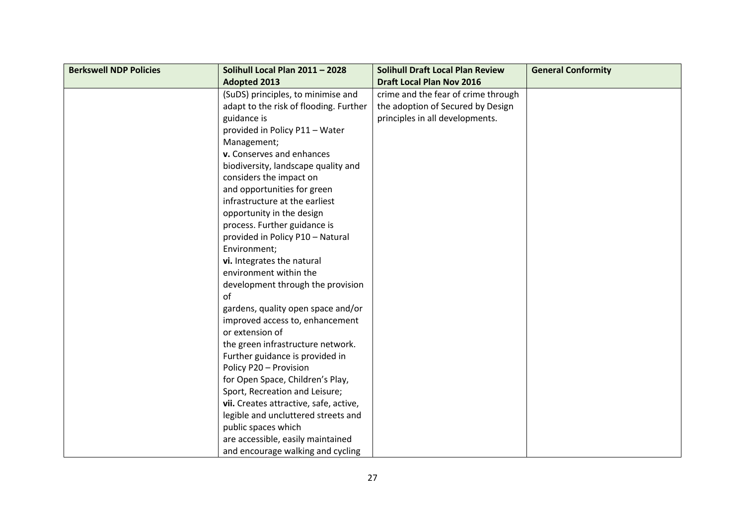| <b>Berkswell NDP Policies</b> | Solihull Local Plan 2011 - 2028        | <b>Solihull Draft Local Plan Review</b> | <b>General Conformity</b> |
|-------------------------------|----------------------------------------|-----------------------------------------|---------------------------|
|                               | <b>Adopted 2013</b>                    | <b>Draft Local Plan Nov 2016</b>        |                           |
|                               | (SuDS) principles, to minimise and     | crime and the fear of crime through     |                           |
|                               | adapt to the risk of flooding. Further | the adoption of Secured by Design       |                           |
|                               | guidance is                            | principles in all developments.         |                           |
|                               | provided in Policy P11 - Water         |                                         |                           |
|                               | Management;                            |                                         |                           |
|                               | v. Conserves and enhances              |                                         |                           |
|                               | biodiversity, landscape quality and    |                                         |                           |
|                               | considers the impact on                |                                         |                           |
|                               | and opportunities for green            |                                         |                           |
|                               | infrastructure at the earliest         |                                         |                           |
|                               | opportunity in the design              |                                         |                           |
|                               | process. Further guidance is           |                                         |                           |
|                               | provided in Policy P10 - Natural       |                                         |                           |
|                               | Environment;                           |                                         |                           |
|                               | vi. Integrates the natural             |                                         |                           |
|                               | environment within the                 |                                         |                           |
|                               | development through the provision      |                                         |                           |
|                               | of                                     |                                         |                           |
|                               | gardens, quality open space and/or     |                                         |                           |
|                               | improved access to, enhancement        |                                         |                           |
|                               | or extension of                        |                                         |                           |
|                               | the green infrastructure network.      |                                         |                           |
|                               | Further guidance is provided in        |                                         |                           |
|                               | Policy P20 - Provision                 |                                         |                           |
|                               | for Open Space, Children's Play,       |                                         |                           |
|                               | Sport, Recreation and Leisure;         |                                         |                           |
|                               | vii. Creates attractive, safe, active, |                                         |                           |
|                               | legible and uncluttered streets and    |                                         |                           |
|                               | public spaces which                    |                                         |                           |
|                               | are accessible, easily maintained      |                                         |                           |
|                               | and encourage walking and cycling      |                                         |                           |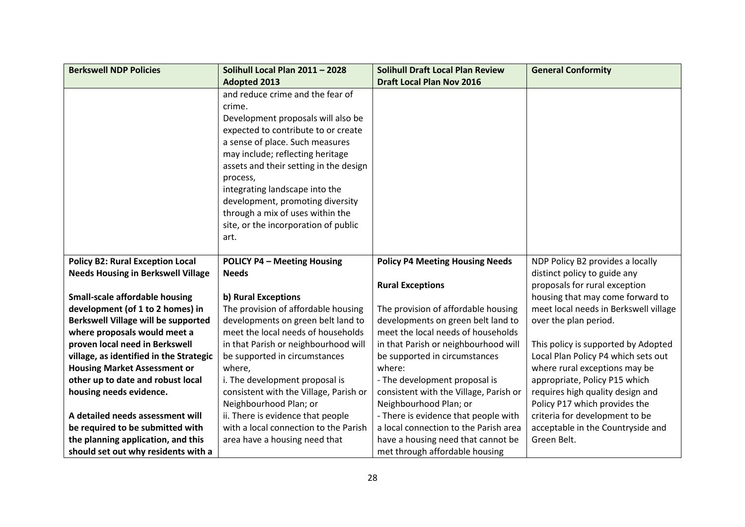| <b>Berkswell NDP Policies</b>              | Solihull Local Plan 2011 - 2028        | <b>Solihull Draft Local Plan Review</b> | <b>General Conformity</b>             |
|--------------------------------------------|----------------------------------------|-----------------------------------------|---------------------------------------|
|                                            | <b>Adopted 2013</b>                    | <b>Draft Local Plan Nov 2016</b>        |                                       |
|                                            | and reduce crime and the fear of       |                                         |                                       |
|                                            | crime.                                 |                                         |                                       |
|                                            | Development proposals will also be     |                                         |                                       |
|                                            | expected to contribute to or create    |                                         |                                       |
|                                            | a sense of place. Such measures        |                                         |                                       |
|                                            | may include; reflecting heritage       |                                         |                                       |
|                                            | assets and their setting in the design |                                         |                                       |
|                                            | process,                               |                                         |                                       |
|                                            | integrating landscape into the         |                                         |                                       |
|                                            | development, promoting diversity       |                                         |                                       |
|                                            | through a mix of uses within the       |                                         |                                       |
|                                            | site, or the incorporation of public   |                                         |                                       |
|                                            | art.                                   |                                         |                                       |
|                                            |                                        |                                         |                                       |
| <b>Policy B2: Rural Exception Local</b>    | <b>POLICY P4 - Meeting Housing</b>     | <b>Policy P4 Meeting Housing Needs</b>  | NDP Policy B2 provides a locally      |
| <b>Needs Housing in Berkswell Village</b>  | <b>Needs</b>                           |                                         | distinct policy to guide any          |
|                                            |                                        | <b>Rural Exceptions</b>                 | proposals for rural exception         |
| <b>Small-scale affordable housing</b>      | b) Rural Exceptions                    |                                         | housing that may come forward to      |
| development (of 1 to 2 homes) in           | The provision of affordable housing    | The provision of affordable housing     | meet local needs in Berkswell village |
| <b>Berkswell Village will be supported</b> | developments on green belt land to     | developments on green belt land to      | over the plan period.                 |
| where proposals would meet a               | meet the local needs of households     | meet the local needs of households      |                                       |
| proven local need in Berkswell             | in that Parish or neighbourhood will   | in that Parish or neighbourhood will    | This policy is supported by Adopted   |
| village, as identified in the Strategic    | be supported in circumstances          | be supported in circumstances           | Local Plan Policy P4 which sets out   |
| <b>Housing Market Assessment or</b>        | where,                                 | where:                                  | where rural exceptions may be         |
| other up to date and robust local          | i. The development proposal is         | - The development proposal is           | appropriate, Policy P15 which         |
| housing needs evidence.                    | consistent with the Village, Parish or | consistent with the Village, Parish or  | requires high quality design and      |
|                                            | Neighbourhood Plan; or                 | Neighbourhood Plan; or                  | Policy P17 which provides the         |
| A detailed needs assessment will           | ii. There is evidence that people      | - There is evidence that people with    | criteria for development to be        |
| be required to be submitted with           | with a local connection to the Parish  | a local connection to the Parish area   | acceptable in the Countryside and     |
| the planning application, and this         | area have a housing need that          | have a housing need that cannot be      | Green Belt.                           |
| should set out why residents with a        |                                        | met through affordable housing          |                                       |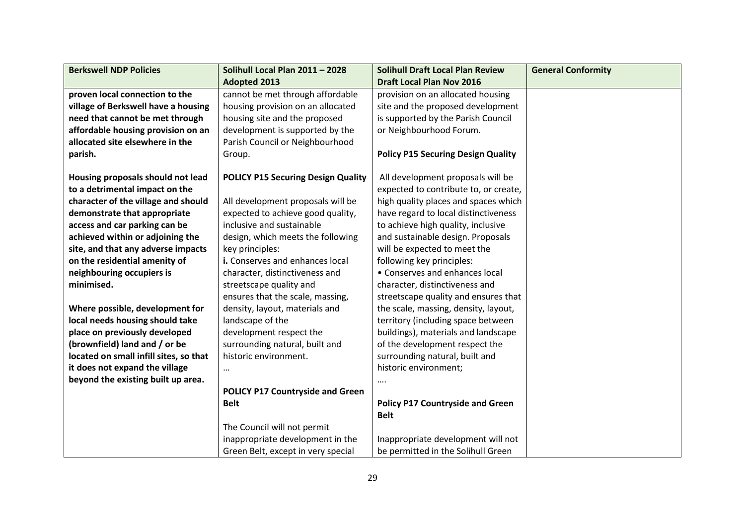| <b>Berkswell NDP Policies</b>          | Solihull Local Plan 2011 - 2028           | <b>Solihull Draft Local Plan Review</b>   | <b>General Conformity</b> |
|----------------------------------------|-------------------------------------------|-------------------------------------------|---------------------------|
|                                        | <b>Adopted 2013</b>                       | <b>Draft Local Plan Nov 2016</b>          |                           |
| proven local connection to the         | cannot be met through affordable          | provision on an allocated housing         |                           |
| village of Berkswell have a housing    | housing provision on an allocated         | site and the proposed development         |                           |
| need that cannot be met through        | housing site and the proposed             | is supported by the Parish Council        |                           |
| affordable housing provision on an     | development is supported by the           | or Neighbourhood Forum.                   |                           |
| allocated site elsewhere in the        | Parish Council or Neighbourhood           |                                           |                           |
| parish.                                | Group.                                    | <b>Policy P15 Securing Design Quality</b> |                           |
|                                        |                                           |                                           |                           |
| Housing proposals should not lead      | <b>POLICY P15 Securing Design Quality</b> | All development proposals will be         |                           |
| to a detrimental impact on the         |                                           | expected to contribute to, or create,     |                           |
| character of the village and should    | All development proposals will be         | high quality places and spaces which      |                           |
| demonstrate that appropriate           | expected to achieve good quality,         | have regard to local distinctiveness      |                           |
| access and car parking can be          | inclusive and sustainable                 | to achieve high quality, inclusive        |                           |
| achieved within or adjoining the       | design, which meets the following         | and sustainable design. Proposals         |                           |
| site, and that any adverse impacts     | key principles:                           | will be expected to meet the              |                           |
| on the residential amenity of          | i. Conserves and enhances local           | following key principles:                 |                           |
| neighbouring occupiers is              | character, distinctiveness and            | • Conserves and enhances local            |                           |
| minimised.                             | streetscape quality and                   | character, distinctiveness and            |                           |
|                                        | ensures that the scale, massing,          | streetscape quality and ensures that      |                           |
| Where possible, development for        | density, layout, materials and            | the scale, massing, density, layout,      |                           |
| local needs housing should take        | landscape of the                          | territory (including space between        |                           |
| place on previously developed          | development respect the                   | buildings), materials and landscape       |                           |
| (brownfield) land and / or be          | surrounding natural, built and            | of the development respect the            |                           |
| located on small infill sites, so that | historic environment.                     | surrounding natural, built and            |                           |
| it does not expand the village         | $\cdots$                                  | historic environment;                     |                           |
| beyond the existing built up area.     |                                           | $\cdots$                                  |                           |
|                                        | <b>POLICY P17 Countryside and Green</b>   |                                           |                           |
|                                        | <b>Belt</b>                               | <b>Policy P17 Countryside and Green</b>   |                           |
|                                        |                                           | <b>Belt</b>                               |                           |
|                                        | The Council will not permit               |                                           |                           |
|                                        | inappropriate development in the          | Inappropriate development will not        |                           |
|                                        | Green Belt, except in very special        | be permitted in the Solihull Green        |                           |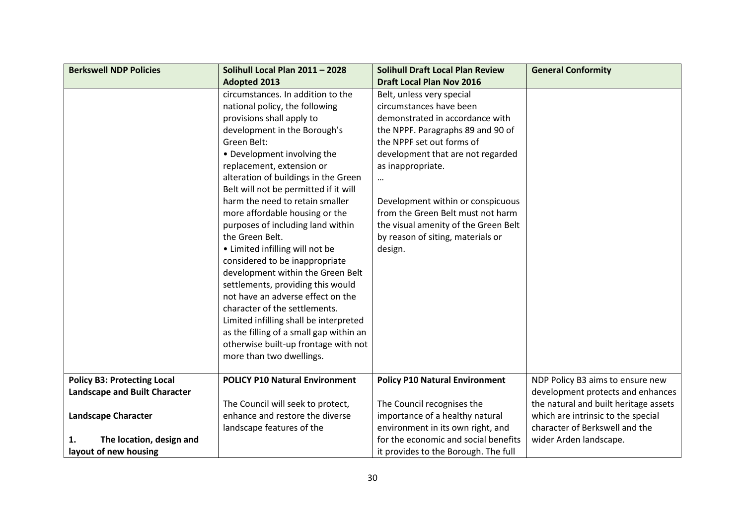| <b>Berkswell NDP Policies</b>      | Solihull Local Plan 2011 - 2028         | <b>Solihull Draft Local Plan Review</b> | <b>General Conformity</b>             |
|------------------------------------|-----------------------------------------|-----------------------------------------|---------------------------------------|
|                                    | <b>Adopted 2013</b>                     | <b>Draft Local Plan Nov 2016</b>        |                                       |
|                                    | circumstances. In addition to the       | Belt, unless very special               |                                       |
|                                    | national policy, the following          | circumstances have been                 |                                       |
|                                    | provisions shall apply to               | demonstrated in accordance with         |                                       |
|                                    | development in the Borough's            | the NPPF. Paragraphs 89 and 90 of       |                                       |
|                                    | Green Belt:                             | the NPPF set out forms of               |                                       |
|                                    | • Development involving the             | development that are not regarded       |                                       |
|                                    | replacement, extension or               | as inappropriate.                       |                                       |
|                                    | alteration of buildings in the Green    | $\cdots$                                |                                       |
|                                    | Belt will not be permitted if it will   |                                         |                                       |
|                                    | harm the need to retain smaller         | Development within or conspicuous       |                                       |
|                                    | more affordable housing or the          | from the Green Belt must not harm       |                                       |
|                                    | purposes of including land within       | the visual amenity of the Green Belt    |                                       |
|                                    | the Green Belt.                         | by reason of siting, materials or       |                                       |
|                                    | • Limited infilling will not be         | design.                                 |                                       |
|                                    | considered to be inappropriate          |                                         |                                       |
|                                    | development within the Green Belt       |                                         |                                       |
|                                    | settlements, providing this would       |                                         |                                       |
|                                    | not have an adverse effect on the       |                                         |                                       |
|                                    | character of the settlements.           |                                         |                                       |
|                                    | Limited infilling shall be interpreted  |                                         |                                       |
|                                    | as the filling of a small gap within an |                                         |                                       |
|                                    | otherwise built-up frontage with not    |                                         |                                       |
|                                    | more than two dwellings.                |                                         |                                       |
|                                    |                                         |                                         |                                       |
| <b>Policy B3: Protecting Local</b> | <b>POLICY P10 Natural Environment</b>   | <b>Policy P10 Natural Environment</b>   | NDP Policy B3 aims to ensure new      |
| Landscape and Built Character      |                                         |                                         | development protects and enhances     |
|                                    | The Council will seek to protect,       | The Council recognises the              | the natural and built heritage assets |
| <b>Landscape Character</b>         | enhance and restore the diverse         | importance of a healthy natural         | which are intrinsic to the special    |
|                                    | landscape features of the               | environment in its own right, and       | character of Berkswell and the        |
| The location, design and<br>1.     |                                         | for the economic and social benefits    | wider Arden landscape.                |
| layout of new housing              |                                         | it provides to the Borough. The full    |                                       |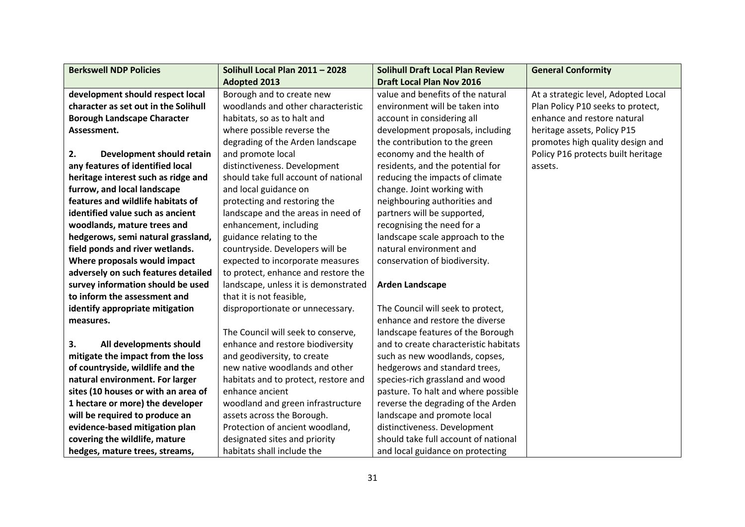| <b>Berkswell NDP Policies</b>        | Solihull Local Plan 2011 - 2028      | <b>Solihull Draft Local Plan Review</b> | <b>General Conformity</b>           |
|--------------------------------------|--------------------------------------|-----------------------------------------|-------------------------------------|
|                                      | <b>Adopted 2013</b>                  | <b>Draft Local Plan Nov 2016</b>        |                                     |
| development should respect local     | Borough and to create new            | value and benefits of the natural       | At a strategic level, Adopted Local |
| character as set out in the Solihull | woodlands and other characteristic   | environment will be taken into          | Plan Policy P10 seeks to protect,   |
| <b>Borough Landscape Character</b>   | habitats, so as to halt and          | account in considering all              | enhance and restore natural         |
| Assessment.                          | where possible reverse the           | development proposals, including        | heritage assets, Policy P15         |
|                                      | degrading of the Arden landscape     | the contribution to the green           | promotes high quality design and    |
| 2.<br>Development should retain      | and promote local                    | economy and the health of               | Policy P16 protects built heritage  |
| any features of identified local     | distinctiveness. Development         | residents, and the potential for        | assets.                             |
| heritage interest such as ridge and  | should take full account of national | reducing the impacts of climate         |                                     |
| furrow, and local landscape          | and local guidance on                | change. Joint working with              |                                     |
| features and wildlife habitats of    | protecting and restoring the         | neighbouring authorities and            |                                     |
| identified value such as ancient     | landscape and the areas in need of   | partners will be supported,             |                                     |
| woodlands, mature trees and          | enhancement, including               | recognising the need for a              |                                     |
| hedgerows, semi natural grassland,   | guidance relating to the             | landscape scale approach to the         |                                     |
| field ponds and river wetlands.      | countryside. Developers will be      | natural environment and                 |                                     |
| Where proposals would impact         | expected to incorporate measures     | conservation of biodiversity.           |                                     |
| adversely on such features detailed  | to protect, enhance and restore the  |                                         |                                     |
| survey information should be used    | landscape, unless it is demonstrated | <b>Arden Landscape</b>                  |                                     |
| to inform the assessment and         | that it is not feasible,             |                                         |                                     |
| identify appropriate mitigation      | disproportionate or unnecessary.     | The Council will seek to protect,       |                                     |
| measures.                            |                                      | enhance and restore the diverse         |                                     |
|                                      | The Council will seek to conserve,   | landscape features of the Borough       |                                     |
| 3.<br>All developments should        | enhance and restore biodiversity     | and to create characteristic habitats   |                                     |
| mitigate the impact from the loss    | and geodiversity, to create          | such as new woodlands, copses,          |                                     |
| of countryside, wildlife and the     | new native woodlands and other       | hedgerows and standard trees,           |                                     |
| natural environment. For larger      | habitats and to protect, restore and | species-rich grassland and wood         |                                     |
| sites (10 houses or with an area of  | enhance ancient                      | pasture. To halt and where possible     |                                     |
| 1 hectare or more) the developer     | woodland and green infrastructure    | reverse the degrading of the Arden      |                                     |
| will be required to produce an       | assets across the Borough.           | landscape and promote local             |                                     |
| evidence-based mitigation plan       | Protection of ancient woodland,      | distinctiveness. Development            |                                     |
| covering the wildlife, mature        | designated sites and priority        | should take full account of national    |                                     |
| hedges, mature trees, streams,       | habitats shall include the           | and local guidance on protecting        |                                     |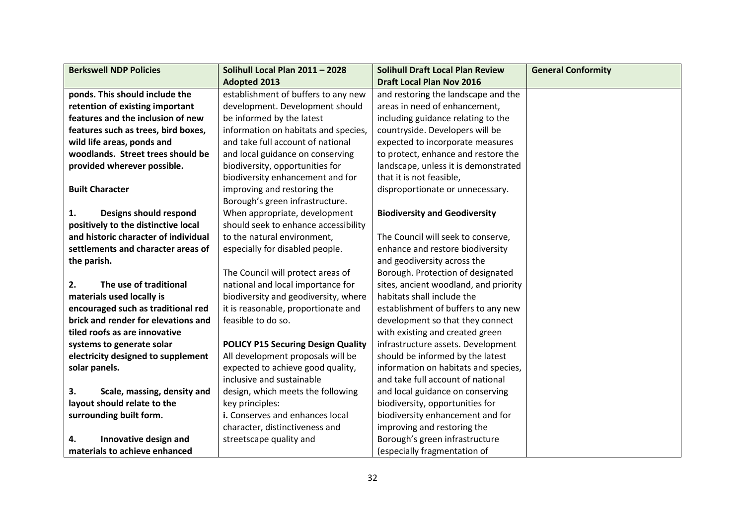| <b>Berkswell NDP Policies</b>        | Solihull Local Plan 2011 - 2028           | <b>Solihull Draft Local Plan Review</b> | <b>General Conformity</b> |
|--------------------------------------|-------------------------------------------|-----------------------------------------|---------------------------|
|                                      | <b>Adopted 2013</b>                       | <b>Draft Local Plan Nov 2016</b>        |                           |
| ponds. This should include the       | establishment of buffers to any new       | and restoring the landscape and the     |                           |
| retention of existing important      | development. Development should           | areas in need of enhancement,           |                           |
| features and the inclusion of new    | be informed by the latest                 | including guidance relating to the      |                           |
| features such as trees, bird boxes,  | information on habitats and species,      | countryside. Developers will be         |                           |
| wild life areas, ponds and           | and take full account of national         | expected to incorporate measures        |                           |
| woodlands. Street trees should be    | and local guidance on conserving          | to protect, enhance and restore the     |                           |
| provided wherever possible.          | biodiversity, opportunities for           | landscape, unless it is demonstrated    |                           |
|                                      | biodiversity enhancement and for          | that it is not feasible,                |                           |
| <b>Built Character</b>               | improving and restoring the               | disproportionate or unnecessary.        |                           |
|                                      | Borough's green infrastructure.           |                                         |                           |
| 1.<br>Designs should respond         | When appropriate, development             | <b>Biodiversity and Geodiversity</b>    |                           |
| positively to the distinctive local  | should seek to enhance accessibility      |                                         |                           |
| and historic character of individual | to the natural environment,               | The Council will seek to conserve,      |                           |
| settlements and character areas of   | especially for disabled people.           | enhance and restore biodiversity        |                           |
| the parish.                          |                                           | and geodiversity across the             |                           |
|                                      | The Council will protect areas of         | Borough. Protection of designated       |                           |
| 2.<br>The use of traditional         | national and local importance for         | sites, ancient woodland, and priority   |                           |
| materials used locally is            | biodiversity and geodiversity, where      | habitats shall include the              |                           |
| encouraged such as traditional red   | it is reasonable, proportionate and       | establishment of buffers to any new     |                           |
| brick and render for elevations and  | feasible to do so.                        | development so that they connect        |                           |
| tiled roofs as are innovative        |                                           | with existing and created green         |                           |
| systems to generate solar            | <b>POLICY P15 Securing Design Quality</b> | infrastructure assets. Development      |                           |
| electricity designed to supplement   | All development proposals will be         | should be informed by the latest        |                           |
| solar panels.                        | expected to achieve good quality,         | information on habitats and species,    |                           |
|                                      | inclusive and sustainable                 | and take full account of national       |                           |
| 3.<br>Scale, massing, density and    | design, which meets the following         | and local guidance on conserving        |                           |
| layout should relate to the          | key principles:                           | biodiversity, opportunities for         |                           |
| surrounding built form.              | i. Conserves and enhances local           | biodiversity enhancement and for        |                           |
|                                      | character, distinctiveness and            | improving and restoring the             |                           |
| Innovative design and<br>4.          | streetscape quality and                   | Borough's green infrastructure          |                           |
| materials to achieve enhanced        |                                           | (especially fragmentation of            |                           |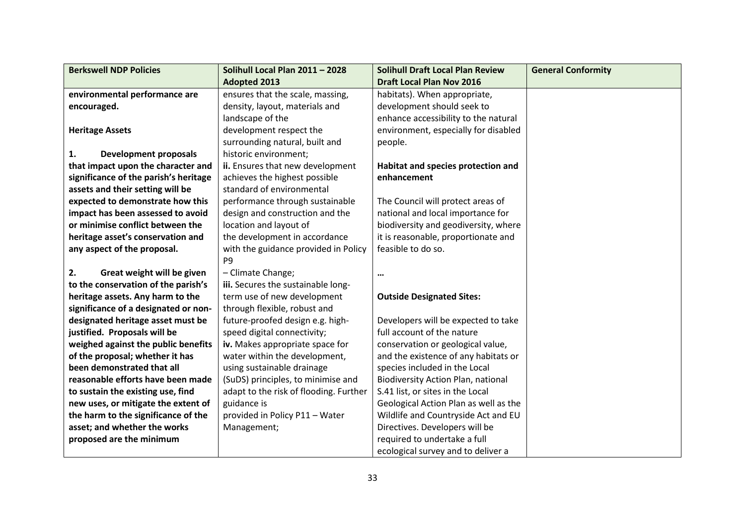| <b>Berkswell NDP Policies</b>         | Solihull Local Plan 2011 - 2028        | <b>Solihull Draft Local Plan Review</b>   | <b>General Conformity</b> |
|---------------------------------------|----------------------------------------|-------------------------------------------|---------------------------|
|                                       | <b>Adopted 2013</b>                    | <b>Draft Local Plan Nov 2016</b>          |                           |
| environmental performance are         | ensures that the scale, massing,       | habitats). When appropriate,              |                           |
| encouraged.                           | density, layout, materials and         | development should seek to                |                           |
|                                       | landscape of the                       | enhance accessibility to the natural      |                           |
| <b>Heritage Assets</b>                | development respect the                | environment, especially for disabled      |                           |
|                                       | surrounding natural, built and         | people.                                   |                           |
| 1.<br><b>Development proposals</b>    | historic environment;                  |                                           |                           |
| that impact upon the character and    | ii. Ensures that new development       | Habitat and species protection and        |                           |
| significance of the parish's heritage | achieves the highest possible          | enhancement                               |                           |
| assets and their setting will be      | standard of environmental              |                                           |                           |
| expected to demonstrate how this      | performance through sustainable        | The Council will protect areas of         |                           |
| impact has been assessed to avoid     | design and construction and the        | national and local importance for         |                           |
| or minimise conflict between the      | location and layout of                 | biodiversity and geodiversity, where      |                           |
| heritage asset's conservation and     | the development in accordance          | it is reasonable, proportionate and       |                           |
| any aspect of the proposal.           | with the guidance provided in Policy   | feasible to do so.                        |                           |
|                                       | P <sub>9</sub>                         |                                           |                           |
| Great weight will be given<br>2.      | - Climate Change;                      | $\cdots$                                  |                           |
| to the conservation of the parish's   | iii. Secures the sustainable long-     |                                           |                           |
| heritage assets. Any harm to the      | term use of new development            | <b>Outside Designated Sites:</b>          |                           |
| significance of a designated or non-  | through flexible, robust and           |                                           |                           |
| designated heritage asset must be     | future-proofed design e.g. high-       | Developers will be expected to take       |                           |
| justified. Proposals will be          | speed digital connectivity;            | full account of the nature                |                           |
| weighed against the public benefits   | iv. Makes appropriate space for        | conservation or geological value,         |                           |
| of the proposal; whether it has       | water within the development,          | and the existence of any habitats or      |                           |
| been demonstrated that all            | using sustainable drainage             | species included in the Local             |                           |
| reasonable efforts have been made     | (SuDS) principles, to minimise and     | <b>Biodiversity Action Plan, national</b> |                           |
| to sustain the existing use, find     | adapt to the risk of flooding. Further | S.41 list, or sites in the Local          |                           |
| new uses, or mitigate the extent of   | guidance is                            | Geological Action Plan as well as the     |                           |
| the harm to the significance of the   | provided in Policy P11 - Water         | Wildlife and Countryside Act and EU       |                           |
| asset; and whether the works          | Management;                            | Directives. Developers will be            |                           |
| proposed are the minimum              |                                        | required to undertake a full              |                           |
|                                       |                                        | ecological survey and to deliver a        |                           |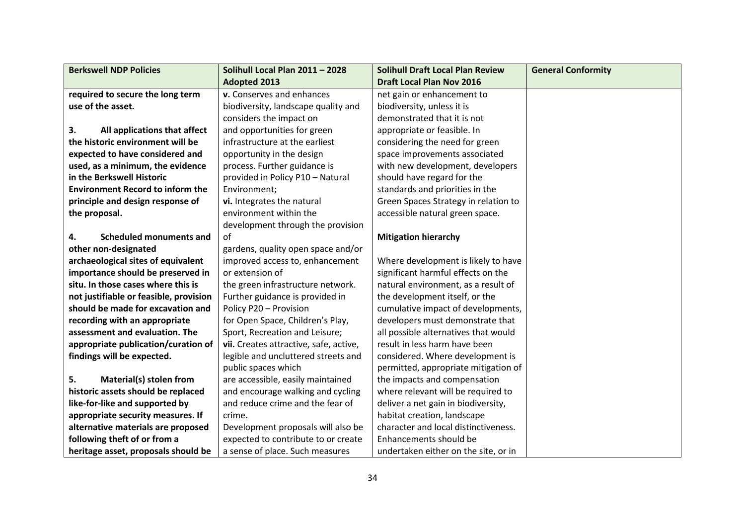| <b>Berkswell NDP Policies</b>           | Solihull Local Plan 2011 - 2028        | <b>Solihull Draft Local Plan Review</b> | <b>General Conformity</b> |
|-----------------------------------------|----------------------------------------|-----------------------------------------|---------------------------|
|                                         | <b>Adopted 2013</b>                    | <b>Draft Local Plan Nov 2016</b>        |                           |
| required to secure the long term        | v. Conserves and enhances              | net gain or enhancement to              |                           |
| use of the asset.                       | biodiversity, landscape quality and    | biodiversity, unless it is              |                           |
|                                         | considers the impact on                | demonstrated that it is not             |                           |
| 3.<br>All applications that affect      | and opportunities for green            | appropriate or feasible. In             |                           |
| the historic environment will be        | infrastructure at the earliest         | considering the need for green          |                           |
| expected to have considered and         | opportunity in the design              | space improvements associated           |                           |
| used, as a minimum, the evidence        | process. Further guidance is           | with new development, developers        |                           |
| in the Berkswell Historic               | provided in Policy P10 - Natural       | should have regard for the              |                           |
| <b>Environment Record to inform the</b> | Environment;                           | standards and priorities in the         |                           |
| principle and design response of        | vi. Integrates the natural             | Green Spaces Strategy in relation to    |                           |
| the proposal.                           | environment within the                 | accessible natural green space.         |                           |
|                                         | development through the provision      |                                         |                           |
| 4.<br><b>Scheduled monuments and</b>    | of                                     | <b>Mitigation hierarchy</b>             |                           |
| other non-designated                    | gardens, quality open space and/or     |                                         |                           |
| archaeological sites of equivalent      | improved access to, enhancement        | Where development is likely to have     |                           |
| importance should be preserved in       | or extension of                        | significant harmful effects on the      |                           |
| situ. In those cases where this is      | the green infrastructure network.      | natural environment, as a result of     |                           |
| not justifiable or feasible, provision  | Further guidance is provided in        | the development itself, or the          |                           |
| should be made for excavation and       | Policy P20 - Provision                 | cumulative impact of developments,      |                           |
| recording with an appropriate           | for Open Space, Children's Play,       | developers must demonstrate that        |                           |
| assessment and evaluation. The          | Sport, Recreation and Leisure;         | all possible alternatives that would    |                           |
| appropriate publication/curation of     | vii. Creates attractive, safe, active, | result in less harm have been           |                           |
| findings will be expected.              | legible and uncluttered streets and    | considered. Where development is        |                           |
|                                         | public spaces which                    | permitted, appropriate mitigation of    |                           |
| 5.<br>Material(s) stolen from           | are accessible, easily maintained      | the impacts and compensation            |                           |
| historic assets should be replaced      | and encourage walking and cycling      | where relevant will be required to      |                           |
| like-for-like and supported by          | and reduce crime and the fear of       | deliver a net gain in biodiversity,     |                           |
| appropriate security measures. If       | crime.                                 | habitat creation, landscape             |                           |
| alternative materials are proposed      | Development proposals will also be     | character and local distinctiveness.    |                           |
| following theft of or from a            | expected to contribute to or create    | Enhancements should be                  |                           |
| heritage asset, proposals should be     | a sense of place. Such measures        | undertaken either on the site, or in    |                           |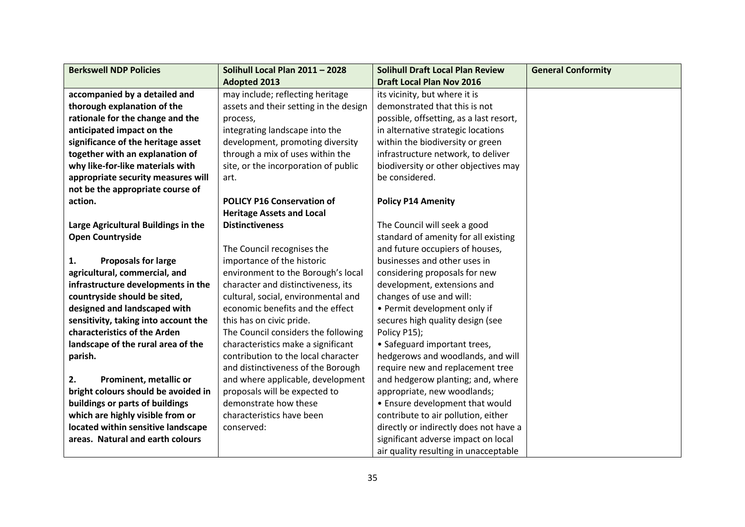| <b>Berkswell NDP Policies</b>        | Solihull Local Plan 2011 - 2028        | <b>Solihull Draft Local Plan Review</b> | <b>General Conformity</b> |
|--------------------------------------|----------------------------------------|-----------------------------------------|---------------------------|
|                                      | <b>Adopted 2013</b>                    | <b>Draft Local Plan Nov 2016</b>        |                           |
| accompanied by a detailed and        | may include; reflecting heritage       | its vicinity, but where it is           |                           |
| thorough explanation of the          | assets and their setting in the design | demonstrated that this is not           |                           |
| rationale for the change and the     | process,                               | possible, offsetting, as a last resort, |                           |
| anticipated impact on the            | integrating landscape into the         | in alternative strategic locations      |                           |
| significance of the heritage asset   | development, promoting diversity       | within the biodiversity or green        |                           |
| together with an explanation of      | through a mix of uses within the       | infrastructure network, to deliver      |                           |
| why like-for-like materials with     | site, or the incorporation of public   | biodiversity or other objectives may    |                           |
| appropriate security measures will   | art.                                   | be considered.                          |                           |
| not be the appropriate course of     |                                        |                                         |                           |
| action.                              | <b>POLICY P16 Conservation of</b>      | <b>Policy P14 Amenity</b>               |                           |
|                                      | <b>Heritage Assets and Local</b>       |                                         |                           |
| Large Agricultural Buildings in the  | <b>Distinctiveness</b>                 | The Council will seek a good            |                           |
| <b>Open Countryside</b>              |                                        | standard of amenity for all existing    |                           |
|                                      | The Council recognises the             | and future occupiers of houses,         |                           |
| <b>Proposals for large</b><br>1.     | importance of the historic             | businesses and other uses in            |                           |
| agricultural, commercial, and        | environment to the Borough's local     | considering proposals for new           |                           |
| infrastructure developments in the   | character and distinctiveness, its     | development, extensions and             |                           |
| countryside should be sited,         | cultural, social, environmental and    | changes of use and will:                |                           |
| designed and landscaped with         | economic benefits and the effect       | • Permit development only if            |                           |
| sensitivity, taking into account the | this has on civic pride.               | secures high quality design (see        |                           |
| characteristics of the Arden         | The Council considers the following    | Policy P15);                            |                           |
| landscape of the rural area of the   | characteristics make a significant     | • Safeguard important trees,            |                           |
| parish.                              | contribution to the local character    | hedgerows and woodlands, and will       |                           |
|                                      | and distinctiveness of the Borough     | require new and replacement tree        |                           |
| 2.<br>Prominent, metallic or         | and where applicable, development      | and hedgerow planting; and, where       |                           |
| bright colours should be avoided in  | proposals will be expected to          | appropriate, new woodlands;             |                           |
| buildings or parts of buildings      | demonstrate how these                  | • Ensure development that would         |                           |
| which are highly visible from or     | characteristics have been              | contribute to air pollution, either     |                           |
| located within sensitive landscape   | conserved:                             | directly or indirectly does not have a  |                           |
| areas. Natural and earth colours     |                                        | significant adverse impact on local     |                           |
|                                      |                                        | air quality resulting in unacceptable   |                           |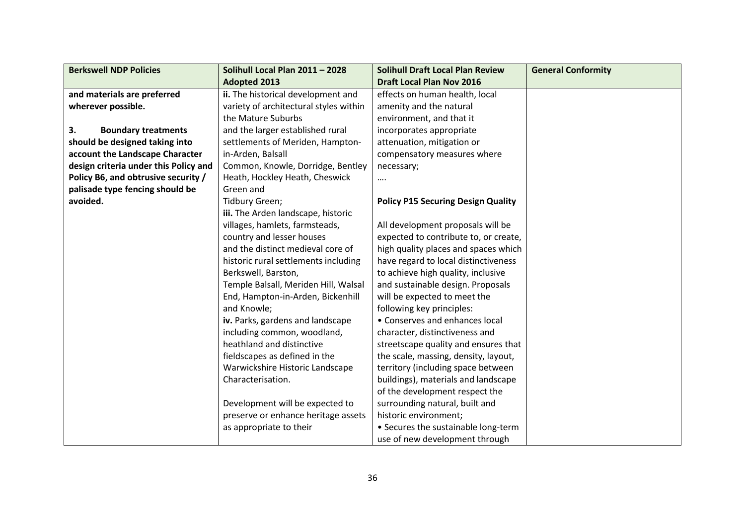| <b>Berkswell NDP Policies</b>         | Solihull Local Plan 2011 - 2028        | <b>Solihull Draft Local Plan Review</b>   | <b>General Conformity</b> |
|---------------------------------------|----------------------------------------|-------------------------------------------|---------------------------|
|                                       | <b>Adopted 2013</b>                    | <b>Draft Local Plan Nov 2016</b>          |                           |
| and materials are preferred           | ii. The historical development and     | effects on human health, local            |                           |
| wherever possible.                    | variety of architectural styles within | amenity and the natural                   |                           |
|                                       | the Mature Suburbs                     | environment, and that it                  |                           |
| 3.<br><b>Boundary treatments</b>      | and the larger established rural       | incorporates appropriate                  |                           |
| should be designed taking into        | settlements of Meriden, Hampton-       | attenuation, mitigation or                |                           |
| account the Landscape Character       | in-Arden, Balsall                      | compensatory measures where               |                           |
| design criteria under this Policy and | Common, Knowle, Dorridge, Bentley      | necessary;                                |                           |
| Policy B6, and obtrusive security /   | Heath, Hockley Heath, Cheswick         |                                           |                           |
| palisade type fencing should be       | Green and                              |                                           |                           |
| avoided.                              | Tidbury Green;                         | <b>Policy P15 Securing Design Quality</b> |                           |
|                                       | iii. The Arden landscape, historic     |                                           |                           |
|                                       | villages, hamlets, farmsteads,         | All development proposals will be         |                           |
|                                       | country and lesser houses              | expected to contribute to, or create,     |                           |
|                                       | and the distinct medieval core of      | high quality places and spaces which      |                           |
|                                       | historic rural settlements including   | have regard to local distinctiveness      |                           |
|                                       | Berkswell, Barston,                    | to achieve high quality, inclusive        |                           |
|                                       | Temple Balsall, Meriden Hill, Walsal   | and sustainable design. Proposals         |                           |
|                                       | End, Hampton-in-Arden, Bickenhill      | will be expected to meet the              |                           |
|                                       | and Knowle;                            | following key principles:                 |                           |
|                                       | iv. Parks, gardens and landscape       | • Conserves and enhances local            |                           |
|                                       | including common, woodland,            | character, distinctiveness and            |                           |
|                                       | heathland and distinctive              | streetscape quality and ensures that      |                           |
|                                       | fieldscapes as defined in the          | the scale, massing, density, layout,      |                           |
|                                       | Warwickshire Historic Landscape        | territory (including space between        |                           |
|                                       | Characterisation.                      | buildings), materials and landscape       |                           |
|                                       |                                        | of the development respect the            |                           |
|                                       | Development will be expected to        | surrounding natural, built and            |                           |
|                                       | preserve or enhance heritage assets    | historic environment;                     |                           |
|                                       | as appropriate to their                | • Secures the sustainable long-term       |                           |
|                                       |                                        | use of new development through            |                           |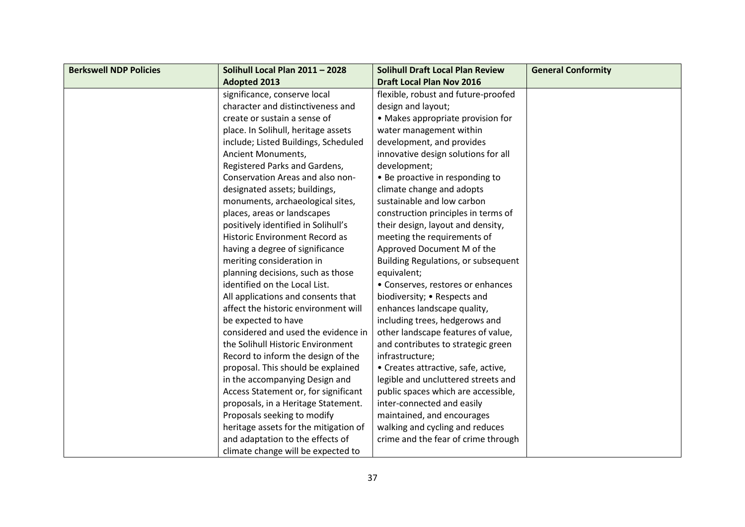| <b>Berkswell NDP Policies</b> | Solihull Local Plan 2011 - 2028       | <b>Solihull Draft Local Plan Review</b> | <b>General Conformity</b> |
|-------------------------------|---------------------------------------|-----------------------------------------|---------------------------|
|                               | <b>Adopted 2013</b>                   | <b>Draft Local Plan Nov 2016</b>        |                           |
|                               | significance, conserve local          | flexible, robust and future-proofed     |                           |
|                               | character and distinctiveness and     | design and layout;                      |                           |
|                               | create or sustain a sense of          | • Makes appropriate provision for       |                           |
|                               | place. In Solihull, heritage assets   | water management within                 |                           |
|                               | include; Listed Buildings, Scheduled  | development, and provides               |                           |
|                               | Ancient Monuments,                    | innovative design solutions for all     |                           |
|                               | Registered Parks and Gardens,         | development;                            |                           |
|                               | Conservation Areas and also non-      | • Be proactive in responding to         |                           |
|                               | designated assets; buildings,         | climate change and adopts               |                           |
|                               | monuments, archaeological sites,      | sustainable and low carbon              |                           |
|                               | places, areas or landscapes           | construction principles in terms of     |                           |
|                               | positively identified in Solihull's   | their design, layout and density,       |                           |
|                               | Historic Environment Record as        | meeting the requirements of             |                           |
|                               | having a degree of significance       | Approved Document M of the              |                           |
|                               | meriting consideration in             | Building Regulations, or subsequent     |                           |
|                               | planning decisions, such as those     | equivalent;                             |                           |
|                               | identified on the Local List.         | • Conserves, restores or enhances       |                           |
|                               | All applications and consents that    | biodiversity; • Respects and            |                           |
|                               | affect the historic environment will  | enhances landscape quality,             |                           |
|                               | be expected to have                   | including trees, hedgerows and          |                           |
|                               | considered and used the evidence in   | other landscape features of value,      |                           |
|                               | the Solihull Historic Environment     | and contributes to strategic green      |                           |
|                               | Record to inform the design of the    | infrastructure;                         |                           |
|                               | proposal. This should be explained    | • Creates attractive, safe, active,     |                           |
|                               | in the accompanying Design and        | legible and uncluttered streets and     |                           |
|                               | Access Statement or, for significant  | public spaces which are accessible,     |                           |
|                               | proposals, in a Heritage Statement.   | inter-connected and easily              |                           |
|                               | Proposals seeking to modify           | maintained, and encourages              |                           |
|                               | heritage assets for the mitigation of | walking and cycling and reduces         |                           |
|                               | and adaptation to the effects of      | crime and the fear of crime through     |                           |
|                               | climate change will be expected to    |                                         |                           |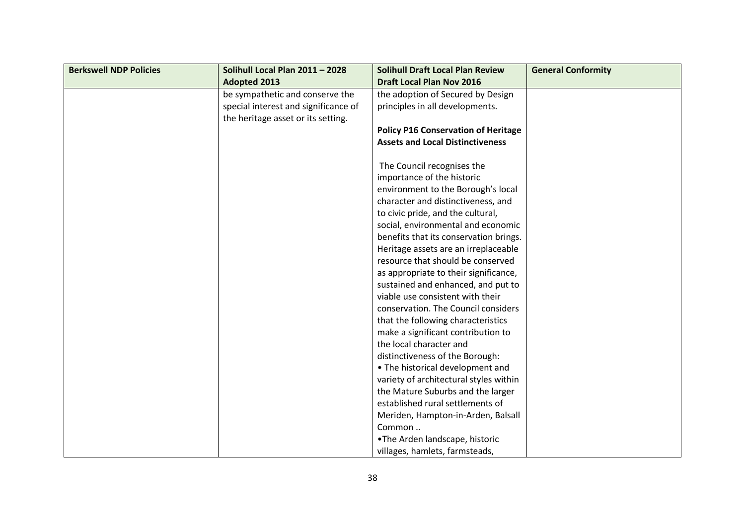| <b>Berkswell NDP Policies</b> | Solihull Local Plan 2011 - 2028      | <b>Solihull Draft Local Plan Review</b>    | <b>General Conformity</b> |
|-------------------------------|--------------------------------------|--------------------------------------------|---------------------------|
|                               | <b>Adopted 2013</b>                  | <b>Draft Local Plan Nov 2016</b>           |                           |
|                               | be sympathetic and conserve the      | the adoption of Secured by Design          |                           |
|                               | special interest and significance of | principles in all developments.            |                           |
|                               | the heritage asset or its setting.   |                                            |                           |
|                               |                                      | <b>Policy P16 Conservation of Heritage</b> |                           |
|                               |                                      | <b>Assets and Local Distinctiveness</b>    |                           |
|                               |                                      |                                            |                           |
|                               |                                      | The Council recognises the                 |                           |
|                               |                                      | importance of the historic                 |                           |
|                               |                                      | environment to the Borough's local         |                           |
|                               |                                      | character and distinctiveness, and         |                           |
|                               |                                      | to civic pride, and the cultural,          |                           |
|                               |                                      | social, environmental and economic         |                           |
|                               |                                      | benefits that its conservation brings.     |                           |
|                               |                                      | Heritage assets are an irreplaceable       |                           |
|                               |                                      | resource that should be conserved          |                           |
|                               |                                      | as appropriate to their significance,      |                           |
|                               |                                      | sustained and enhanced, and put to         |                           |
|                               |                                      | viable use consistent with their           |                           |
|                               |                                      | conservation. The Council considers        |                           |
|                               |                                      | that the following characteristics         |                           |
|                               |                                      | make a significant contribution to         |                           |
|                               |                                      | the local character and                    |                           |
|                               |                                      | distinctiveness of the Borough:            |                           |
|                               |                                      | • The historical development and           |                           |
|                               |                                      | variety of architectural styles within     |                           |
|                               |                                      | the Mature Suburbs and the larger          |                           |
|                               |                                      | established rural settlements of           |                           |
|                               |                                      | Meriden, Hampton-in-Arden, Balsall         |                           |
|                               |                                      | Common                                     |                           |
|                               |                                      | .The Arden landscape, historic             |                           |
|                               |                                      | villages, hamlets, farmsteads,             |                           |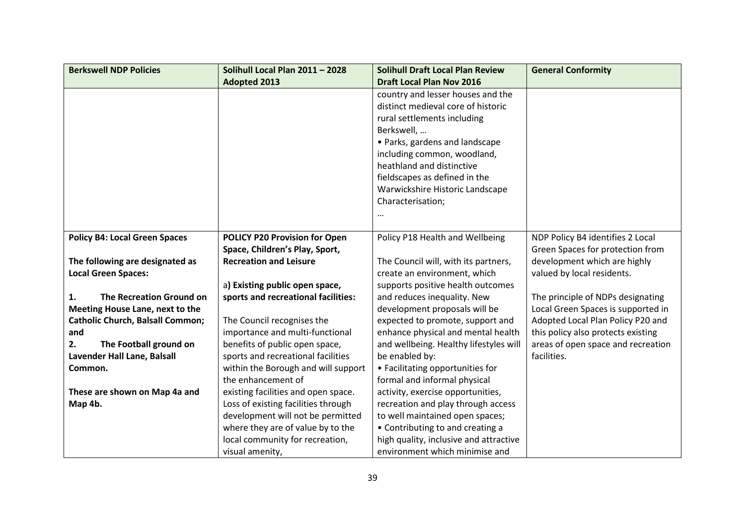| <b>Berkswell NDP Policies</b>           | Solihull Local Plan 2011 - 2028     | <b>Solihull Draft Local Plan Review</b> | <b>General Conformity</b>          |
|-----------------------------------------|-------------------------------------|-----------------------------------------|------------------------------------|
|                                         | <b>Adopted 2013</b>                 | <b>Draft Local Plan Nov 2016</b>        |                                    |
|                                         |                                     | country and lesser houses and the       |                                    |
|                                         |                                     | distinct medieval core of historic      |                                    |
|                                         |                                     | rural settlements including             |                                    |
|                                         |                                     | Berkswell,                              |                                    |
|                                         |                                     | · Parks, gardens and landscape          |                                    |
|                                         |                                     | including common, woodland,             |                                    |
|                                         |                                     | heathland and distinctive               |                                    |
|                                         |                                     | fieldscapes as defined in the           |                                    |
|                                         |                                     | Warwickshire Historic Landscape         |                                    |
|                                         |                                     | Characterisation;                       |                                    |
|                                         |                                     |                                         |                                    |
|                                         |                                     |                                         |                                    |
| <b>Policy B4: Local Green Spaces</b>    | POLICY P20 Provision for Open       | Policy P18 Health and Wellbeing         | NDP Policy B4 identifies 2 Local   |
|                                         | Space, Children's Play, Sport,      |                                         | Green Spaces for protection from   |
| The following are designated as         | <b>Recreation and Leisure</b>       | The Council will, with its partners,    | development which are highly       |
| <b>Local Green Spaces:</b>              |                                     | create an environment, which            | valued by local residents.         |
|                                         | a) Existing public open space,      | supports positive health outcomes       |                                    |
| <b>The Recreation Ground on</b><br>1.   | sports and recreational facilities: | and reduces inequality. New             | The principle of NDPs designating  |
| Meeting House Lane, next to the         |                                     | development proposals will be           | Local Green Spaces is supported in |
| <b>Catholic Church, Balsall Common;</b> | The Council recognises the          | expected to promote, support and        | Adopted Local Plan Policy P20 and  |
| and                                     | importance and multi-functional     | enhance physical and mental health      | this policy also protects existing |
| The Football ground on<br>2.            | benefits of public open space,      | and wellbeing. Healthy lifestyles will  | areas of open space and recreation |
| Lavender Hall Lane, Balsall             | sports and recreational facilities  | be enabled by:                          | facilities.                        |
| Common.                                 | within the Borough and will support | • Facilitating opportunities for        |                                    |
|                                         | the enhancement of                  | formal and informal physical            |                                    |
| These are shown on Map 4a and           | existing facilities and open space. | activity, exercise opportunities,       |                                    |
| Map 4b.                                 | Loss of existing facilities through | recreation and play through access      |                                    |
|                                         | development will not be permitted   | to well maintained open spaces;         |                                    |
|                                         | where they are of value by to the   | • Contributing to and creating a        |                                    |
|                                         | local community for recreation,     | high quality, inclusive and attractive  |                                    |
|                                         | visual amenity,                     | environment which minimise and          |                                    |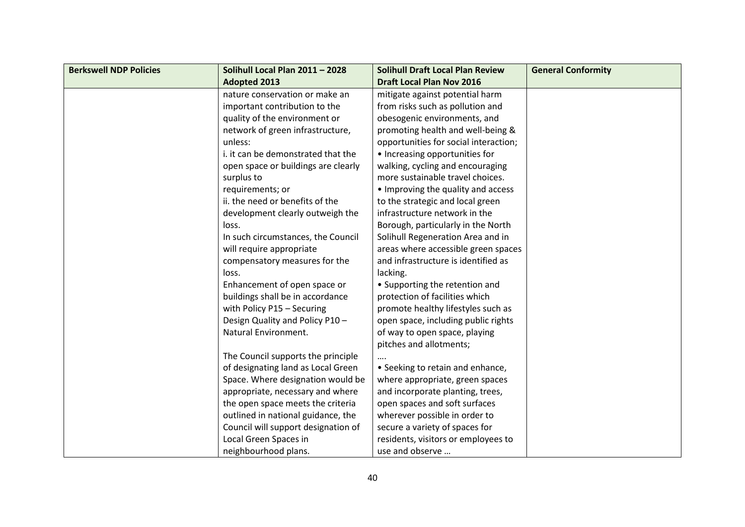| <b>Berkswell NDP Policies</b> | Solihull Local Plan 2011 - 2028     | <b>Solihull Draft Local Plan Review</b> | <b>General Conformity</b> |
|-------------------------------|-------------------------------------|-----------------------------------------|---------------------------|
|                               | <b>Adopted 2013</b>                 | <b>Draft Local Plan Nov 2016</b>        |                           |
|                               | nature conservation or make an      | mitigate against potential harm         |                           |
|                               | important contribution to the       | from risks such as pollution and        |                           |
|                               | quality of the environment or       | obesogenic environments, and            |                           |
|                               | network of green infrastructure,    | promoting health and well-being &       |                           |
|                               | unless:                             | opportunities for social interaction;   |                           |
|                               | i. it can be demonstrated that the  | • Increasing opportunities for          |                           |
|                               | open space or buildings are clearly | walking, cycling and encouraging        |                           |
|                               | surplus to                          | more sustainable travel choices.        |                           |
|                               | requirements; or                    | • Improving the quality and access      |                           |
|                               | ii. the need or benefits of the     | to the strategic and local green        |                           |
|                               | development clearly outweigh the    | infrastructure network in the           |                           |
|                               | loss.                               | Borough, particularly in the North      |                           |
|                               | In such circumstances, the Council  | Solihull Regeneration Area and in       |                           |
|                               | will require appropriate            | areas where accessible green spaces     |                           |
|                               | compensatory measures for the       | and infrastructure is identified as     |                           |
|                               | loss.                               | lacking.                                |                           |
|                               | Enhancement of open space or        | • Supporting the retention and          |                           |
|                               | buildings shall be in accordance    | protection of facilities which          |                           |
|                               | with Policy P15 - Securing          | promote healthy lifestyles such as      |                           |
|                               | Design Quality and Policy P10-      | open space, including public rights     |                           |
|                               | Natural Environment.                | of way to open space, playing           |                           |
|                               |                                     | pitches and allotments;                 |                           |
|                               | The Council supports the principle  |                                         |                           |
|                               | of designating land as Local Green  | • Seeking to retain and enhance,        |                           |
|                               | Space. Where designation would be   | where appropriate, green spaces         |                           |
|                               | appropriate, necessary and where    | and incorporate planting, trees,        |                           |
|                               | the open space meets the criteria   | open spaces and soft surfaces           |                           |
|                               | outlined in national guidance, the  | wherever possible in order to           |                           |
|                               | Council will support designation of | secure a variety of spaces for          |                           |
|                               | Local Green Spaces in               | residents, visitors or employees to     |                           |
|                               | neighbourhood plans.                | use and observe                         |                           |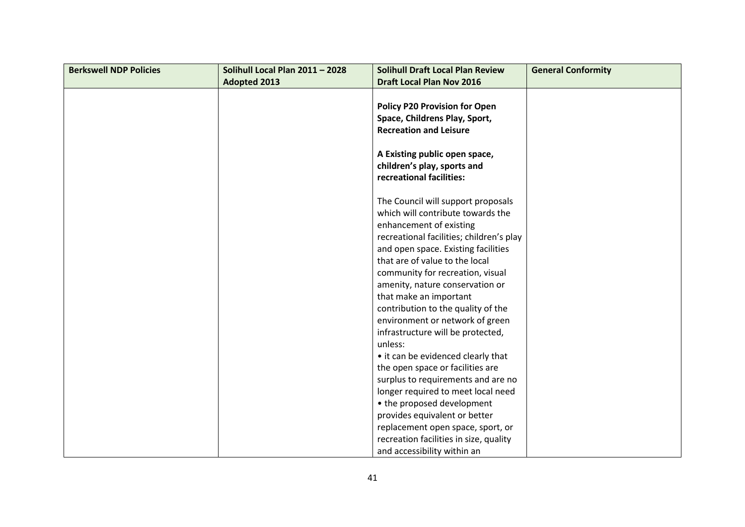| <b>Berkswell NDP Policies</b> | Solihull Local Plan 2011 - 2028 | <b>Solihull Draft Local Plan Review</b>  | <b>General Conformity</b> |
|-------------------------------|---------------------------------|------------------------------------------|---------------------------|
|                               | <b>Adopted 2013</b>             | <b>Draft Local Plan Nov 2016</b>         |                           |
|                               |                                 |                                          |                           |
|                               |                                 | <b>Policy P20 Provision for Open</b>     |                           |
|                               |                                 | Space, Childrens Play, Sport,            |                           |
|                               |                                 | <b>Recreation and Leisure</b>            |                           |
|                               |                                 |                                          |                           |
|                               |                                 | A Existing public open space,            |                           |
|                               |                                 | children's play, sports and              |                           |
|                               |                                 | recreational facilities:                 |                           |
|                               |                                 |                                          |                           |
|                               |                                 | The Council will support proposals       |                           |
|                               |                                 | which will contribute towards the        |                           |
|                               |                                 | enhancement of existing                  |                           |
|                               |                                 | recreational facilities; children's play |                           |
|                               |                                 | and open space. Existing facilities      |                           |
|                               |                                 | that are of value to the local           |                           |
|                               |                                 | community for recreation, visual         |                           |
|                               |                                 | amenity, nature conservation or          |                           |
|                               |                                 | that make an important                   |                           |
|                               |                                 | contribution to the quality of the       |                           |
|                               |                                 | environment or network of green          |                           |
|                               |                                 | infrastructure will be protected,        |                           |
|                               |                                 | unless:                                  |                           |
|                               |                                 | • it can be evidenced clearly that       |                           |
|                               |                                 | the open space or facilities are         |                           |
|                               |                                 | surplus to requirements and are no       |                           |
|                               |                                 | longer required to meet local need       |                           |
|                               |                                 | • the proposed development               |                           |
|                               |                                 | provides equivalent or better            |                           |
|                               |                                 | replacement open space, sport, or        |                           |
|                               |                                 | recreation facilities in size, quality   |                           |
|                               |                                 | and accessibility within an              |                           |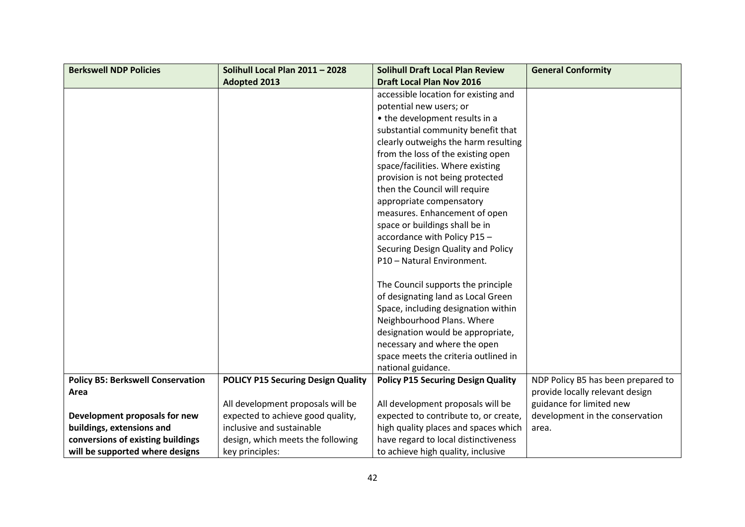| <b>Berkswell NDP Policies</b>            | Solihull Local Plan 2011 - 2028           | <b>Solihull Draft Local Plan Review</b>   | <b>General Conformity</b>          |
|------------------------------------------|-------------------------------------------|-------------------------------------------|------------------------------------|
|                                          | <b>Adopted 2013</b>                       | <b>Draft Local Plan Nov 2016</b>          |                                    |
|                                          |                                           | accessible location for existing and      |                                    |
|                                          |                                           | potential new users; or                   |                                    |
|                                          |                                           | • the development results in a            |                                    |
|                                          |                                           | substantial community benefit that        |                                    |
|                                          |                                           | clearly outweighs the harm resulting      |                                    |
|                                          |                                           | from the loss of the existing open        |                                    |
|                                          |                                           | space/facilities. Where existing          |                                    |
|                                          |                                           | provision is not being protected          |                                    |
|                                          |                                           | then the Council will require             |                                    |
|                                          |                                           | appropriate compensatory                  |                                    |
|                                          |                                           | measures. Enhancement of open             |                                    |
|                                          |                                           | space or buildings shall be in            |                                    |
|                                          |                                           | accordance with Policy P15-               |                                    |
|                                          |                                           | Securing Design Quality and Policy        |                                    |
|                                          |                                           | P10 - Natural Environment.                |                                    |
|                                          |                                           |                                           |                                    |
|                                          |                                           | The Council supports the principle        |                                    |
|                                          |                                           | of designating land as Local Green        |                                    |
|                                          |                                           | Space, including designation within       |                                    |
|                                          |                                           | Neighbourhood Plans. Where                |                                    |
|                                          |                                           | designation would be appropriate,         |                                    |
|                                          |                                           | necessary and where the open              |                                    |
|                                          |                                           | space meets the criteria outlined in      |                                    |
|                                          |                                           | national guidance.                        |                                    |
| <b>Policy B5: Berkswell Conservation</b> | <b>POLICY P15 Securing Design Quality</b> | <b>Policy P15 Securing Design Quality</b> | NDP Policy B5 has been prepared to |
| Area                                     |                                           |                                           | provide locally relevant design    |
|                                          | All development proposals will be         | All development proposals will be         | guidance for limited new           |
| Development proposals for new            | expected to achieve good quality,         | expected to contribute to, or create,     | development in the conservation    |
| buildings, extensions and                | inclusive and sustainable                 | high quality places and spaces which      | area.                              |
| conversions of existing buildings        | design, which meets the following         | have regard to local distinctiveness      |                                    |
| will be supported where designs          | key principles:                           | to achieve high quality, inclusive        |                                    |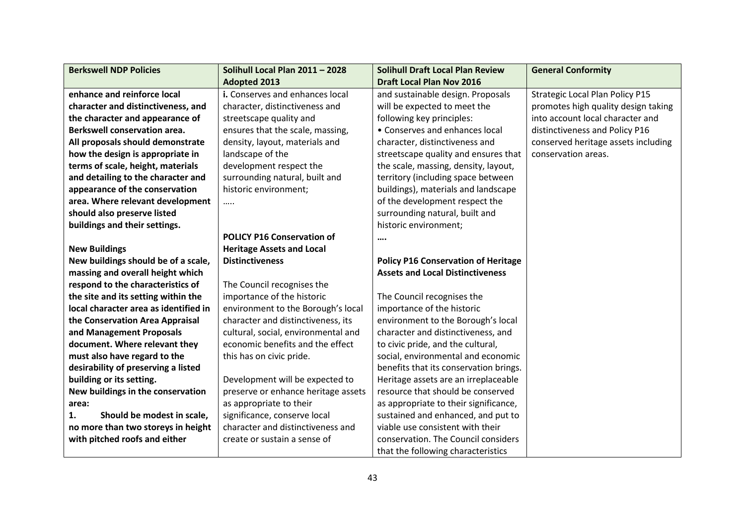| <b>Berkswell NDP Policies</b>         | Solihull Local Plan 2011 - 2028     | <b>Solihull Draft Local Plan Review</b>    | <b>General Conformity</b>              |
|---------------------------------------|-------------------------------------|--------------------------------------------|----------------------------------------|
|                                       | <b>Adopted 2013</b>                 | <b>Draft Local Plan Nov 2016</b>           |                                        |
| enhance and reinforce local           | i. Conserves and enhances local     | and sustainable design. Proposals          | <b>Strategic Local Plan Policy P15</b> |
| character and distinctiveness, and    | character, distinctiveness and      | will be expected to meet the               | promotes high quality design taking    |
| the character and appearance of       | streetscape quality and             | following key principles:                  | into account local character and       |
| <b>Berkswell conservation area.</b>   | ensures that the scale, massing,    | • Conserves and enhances local             | distinctiveness and Policy P16         |
| All proposals should demonstrate      | density, layout, materials and      | character, distinctiveness and             | conserved heritage assets including    |
| how the design is appropriate in      | landscape of the                    | streetscape quality and ensures that       | conservation areas.                    |
| terms of scale, height, materials     | development respect the             | the scale, massing, density, layout,       |                                        |
| and detailing to the character and    | surrounding natural, built and      | territory (including space between         |                                        |
| appearance of the conservation        | historic environment;               | buildings), materials and landscape        |                                        |
| area. Where relevant development      |                                     | of the development respect the             |                                        |
| should also preserve listed           |                                     | surrounding natural, built and             |                                        |
| buildings and their settings.         |                                     | historic environment;                      |                                        |
|                                       | <b>POLICY P16 Conservation of</b>   |                                            |                                        |
| <b>New Buildings</b>                  | <b>Heritage Assets and Local</b>    |                                            |                                        |
| New buildings should be of a scale,   | <b>Distinctiveness</b>              | <b>Policy P16 Conservation of Heritage</b> |                                        |
| massing and overall height which      |                                     | <b>Assets and Local Distinctiveness</b>    |                                        |
| respond to the characteristics of     | The Council recognises the          |                                            |                                        |
| the site and its setting within the   | importance of the historic          | The Council recognises the                 |                                        |
| local character area as identified in | environment to the Borough's local  | importance of the historic                 |                                        |
| the Conservation Area Appraisal       | character and distinctiveness, its  | environment to the Borough's local         |                                        |
| and Management Proposals              | cultural, social, environmental and | character and distinctiveness, and         |                                        |
| document. Where relevant they         | economic benefits and the effect    | to civic pride, and the cultural,          |                                        |
| must also have regard to the          | this has on civic pride.            | social, environmental and economic         |                                        |
| desirability of preserving a listed   |                                     | benefits that its conservation brings.     |                                        |
| building or its setting.              | Development will be expected to     | Heritage assets are an irreplaceable       |                                        |
| New buildings in the conservation     | preserve or enhance heritage assets | resource that should be conserved          |                                        |
| area:                                 | as appropriate to their             | as appropriate to their significance,      |                                        |
| 1.<br>Should be modest in scale,      | significance, conserve local        | sustained and enhanced, and put to         |                                        |
| no more than two storeys in height    | character and distinctiveness and   | viable use consistent with their           |                                        |
| with pitched roofs and either         | create or sustain a sense of        | conservation. The Council considers        |                                        |
|                                       |                                     | that the following characteristics         |                                        |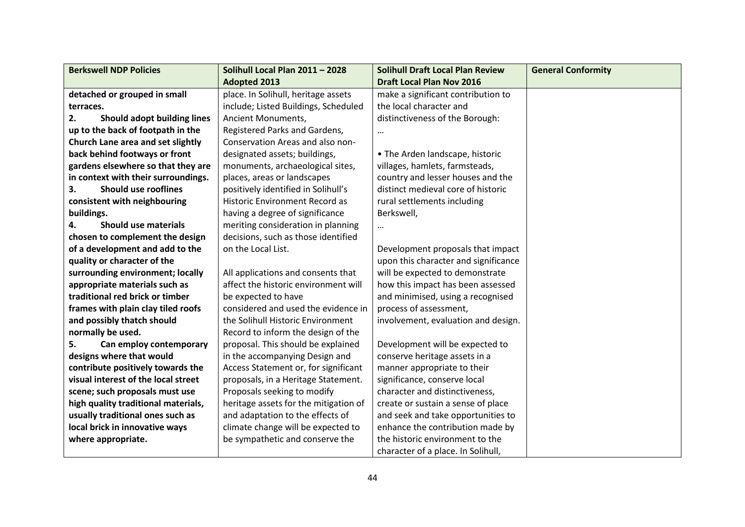| <b>Berkswell NDP Policies</b>            | Solihull Local Plan 2011 - 2028       | <b>Solihull Draft Local Plan Review</b> | <b>General Conformity</b> |
|------------------------------------------|---------------------------------------|-----------------------------------------|---------------------------|
|                                          | <b>Adopted 2013</b>                   | <b>Draft Local Plan Nov 2016</b>        |                           |
| detached or grouped in small             | place. In Solihull, heritage assets   | make a significant contribution to      |                           |
| terraces.                                | include; Listed Buildings, Scheduled  | the local character and                 |                           |
| <b>Should adopt building lines</b><br>2. | Ancient Monuments,                    | distinctiveness of the Borough:         |                           |
| up to the back of footpath in the        | Registered Parks and Gardens,         |                                         |                           |
| Church Lane area and set slightly        | Conservation Areas and also non-      |                                         |                           |
| back behind footways or front            | designated assets; buildings,         | • The Arden landscape, historic         |                           |
| gardens elsewhere so that they are       | monuments, archaeological sites,      | villages, hamlets, farmsteads,          |                           |
| in context with their surroundings.      | places, areas or landscapes           | country and lesser houses and the       |                           |
| <b>Should use rooflines</b><br>3.        | positively identified in Solihull's   | distinct medieval core of historic      |                           |
| consistent with neighbouring             | <b>Historic Environment Record as</b> | rural settlements including             |                           |
| buildings.                               | having a degree of significance       | Berkswell,                              |                           |
| <b>Should use materials</b><br>4.        | meriting consideration in planning    | $\cdots$                                |                           |
| chosen to complement the design          | decisions, such as those identified   |                                         |                           |
| of a development and add to the          | on the Local List.                    | Development proposals that impact       |                           |
| quality or character of the              |                                       | upon this character and significance    |                           |
| surrounding environment; locally         | All applications and consents that    | will be expected to demonstrate         |                           |
| appropriate materials such as            | affect the historic environment will  | how this impact has been assessed       |                           |
| traditional red brick or timber          | be expected to have                   | and minimised, using a recognised       |                           |
| frames with plain clay tiled roofs       | considered and used the evidence in   | process of assessment,                  |                           |
| and possibly thatch should               | the Solihull Historic Environment     | involvement, evaluation and design.     |                           |
| normally be used.                        | Record to inform the design of the    |                                         |                           |
| Can employ contemporary<br>5.            | proposal. This should be explained    | Development will be expected to         |                           |
| designs where that would                 | in the accompanying Design and        | conserve heritage assets in a           |                           |
| contribute positively towards the        | Access Statement or, for significant  | manner appropriate to their             |                           |
| visual interest of the local street      | proposals, in a Heritage Statement.   | significance, conserve local            |                           |
| scene; such proposals must use           | Proposals seeking to modify           | character and distinctiveness,          |                           |
| high quality traditional materials,      | heritage assets for the mitigation of | create or sustain a sense of place      |                           |
| usually traditional ones such as         | and adaptation to the effects of      | and seek and take opportunities to      |                           |
| local brick in innovative ways           | climate change will be expected to    | enhance the contribution made by        |                           |
| where appropriate.                       | be sympathetic and conserve the       | the historic environment to the         |                           |
|                                          |                                       | character of a place. In Solihull,      |                           |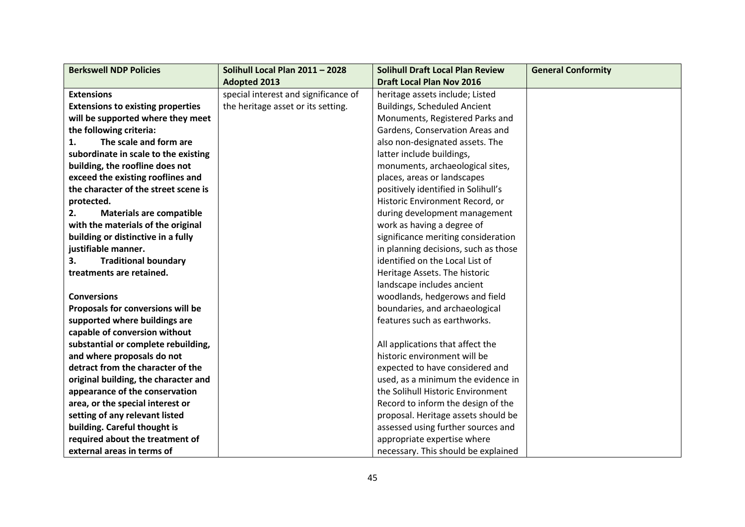| <b>Berkswell NDP Policies</b>            | Solihull Local Plan 2011 - 2028      | <b>Solihull Draft Local Plan Review</b> | <b>General Conformity</b> |
|------------------------------------------|--------------------------------------|-----------------------------------------|---------------------------|
|                                          | <b>Adopted 2013</b>                  | <b>Draft Local Plan Nov 2016</b>        |                           |
| <b>Extensions</b>                        | special interest and significance of | heritage assets include; Listed         |                           |
| <b>Extensions to existing properties</b> | the heritage asset or its setting.   | <b>Buildings, Scheduled Ancient</b>     |                           |
| will be supported where they meet        |                                      | Monuments, Registered Parks and         |                           |
| the following criteria:                  |                                      | Gardens, Conservation Areas and         |                           |
| The scale and form are<br>1.             |                                      | also non-designated assets. The         |                           |
| subordinate in scale to the existing     |                                      | latter include buildings,               |                           |
| building, the roofline does not          |                                      | monuments, archaeological sites,        |                           |
| exceed the existing rooflines and        |                                      | places, areas or landscapes             |                           |
| the character of the street scene is     |                                      | positively identified in Solihull's     |                           |
| protected.                               |                                      | Historic Environment Record, or         |                           |
| <b>Materials are compatible</b><br>2.    |                                      | during development management           |                           |
| with the materials of the original       |                                      | work as having a degree of              |                           |
| building or distinctive in a fully       |                                      | significance meriting consideration     |                           |
| justifiable manner.                      |                                      | in planning decisions, such as those    |                           |
| <b>Traditional boundary</b><br>3.        |                                      | identified on the Local List of         |                           |
| treatments are retained.                 |                                      | Heritage Assets. The historic           |                           |
|                                          |                                      | landscape includes ancient              |                           |
| <b>Conversions</b>                       |                                      | woodlands, hedgerows and field          |                           |
| Proposals for conversions will be        |                                      | boundaries, and archaeological          |                           |
| supported where buildings are            |                                      | features such as earthworks.            |                           |
| capable of conversion without            |                                      |                                         |                           |
| substantial or complete rebuilding,      |                                      | All applications that affect the        |                           |
| and where proposals do not               |                                      | historic environment will be            |                           |
| detract from the character of the        |                                      | expected to have considered and         |                           |
| original building, the character and     |                                      | used, as a minimum the evidence in      |                           |
| appearance of the conservation           |                                      | the Solihull Historic Environment       |                           |
| area, or the special interest or         |                                      | Record to inform the design of the      |                           |
| setting of any relevant listed           |                                      | proposal. Heritage assets should be     |                           |
| building. Careful thought is             |                                      | assessed using further sources and      |                           |
| required about the treatment of          |                                      | appropriate expertise where             |                           |
| external areas in terms of               |                                      | necessary. This should be explained     |                           |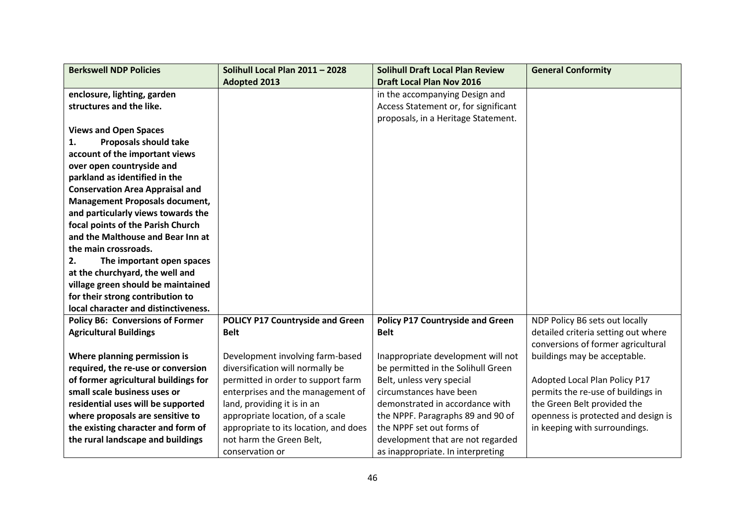| <b>Berkswell NDP Policies</b>           | Solihull Local Plan 2011 - 2028         | <b>Solihull Draft Local Plan Review</b> | <b>General Conformity</b>           |
|-----------------------------------------|-----------------------------------------|-----------------------------------------|-------------------------------------|
|                                         | <b>Adopted 2013</b>                     | <b>Draft Local Plan Nov 2016</b>        |                                     |
| enclosure, lighting, garden             |                                         | in the accompanying Design and          |                                     |
| structures and the like.                |                                         | Access Statement or, for significant    |                                     |
|                                         |                                         | proposals, in a Heritage Statement.     |                                     |
| <b>Views and Open Spaces</b>            |                                         |                                         |                                     |
| <b>Proposals should take</b><br>1.      |                                         |                                         |                                     |
| account of the important views          |                                         |                                         |                                     |
| over open countryside and               |                                         |                                         |                                     |
| parkland as identified in the           |                                         |                                         |                                     |
| <b>Conservation Area Appraisal and</b>  |                                         |                                         |                                     |
| <b>Management Proposals document,</b>   |                                         |                                         |                                     |
| and particularly views towards the      |                                         |                                         |                                     |
| focal points of the Parish Church       |                                         |                                         |                                     |
| and the Malthouse and Bear Inn at       |                                         |                                         |                                     |
| the main crossroads.                    |                                         |                                         |                                     |
| 2.<br>The important open spaces         |                                         |                                         |                                     |
| at the churchyard, the well and         |                                         |                                         |                                     |
| village green should be maintained      |                                         |                                         |                                     |
| for their strong contribution to        |                                         |                                         |                                     |
| local character and distinctiveness.    |                                         |                                         |                                     |
| <b>Policy B6: Conversions of Former</b> | <b>POLICY P17 Countryside and Green</b> | <b>Policy P17 Countryside and Green</b> | NDP Policy B6 sets out locally      |
| <b>Agricultural Buildings</b>           | <b>Belt</b>                             | <b>Belt</b>                             | detailed criteria setting out where |
|                                         |                                         |                                         | conversions of former agricultural  |
| Where planning permission is            | Development involving farm-based        | Inappropriate development will not      | buildings may be acceptable.        |
| required, the re-use or conversion      | diversification will normally be        | be permitted in the Solihull Green      |                                     |
| of former agricultural buildings for    | permitted in order to support farm      | Belt, unless very special               | Adopted Local Plan Policy P17       |
| small scale business uses or            | enterprises and the management of       | circumstances have been                 | permits the re-use of buildings in  |
| residential uses will be supported      | land, providing it is in an             | demonstrated in accordance with         | the Green Belt provided the         |
| where proposals are sensitive to        | appropriate location, of a scale        | the NPPF. Paragraphs 89 and 90 of       | openness is protected and design is |
| the existing character and form of      | appropriate to its location, and does   | the NPPF set out forms of               | in keeping with surroundings.       |
| the rural landscape and buildings       | not harm the Green Belt,                | development that are not regarded       |                                     |
|                                         | conservation or                         | as inappropriate. In interpreting       |                                     |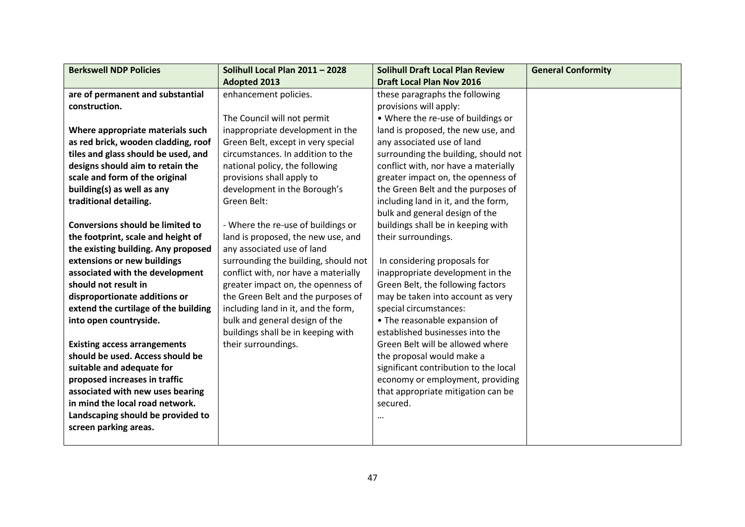| <b>Berkswell NDP Policies</b>           | Solihull Local Plan 2011 - 2028      | <b>Solihull Draft Local Plan Review</b> | <b>General Conformity</b> |
|-----------------------------------------|--------------------------------------|-----------------------------------------|---------------------------|
|                                         | <b>Adopted 2013</b>                  | <b>Draft Local Plan Nov 2016</b>        |                           |
| are of permanent and substantial        | enhancement policies.                | these paragraphs the following          |                           |
| construction.                           |                                      | provisions will apply:                  |                           |
|                                         | The Council will not permit          | • Where the re-use of buildings or      |                           |
| Where appropriate materials such        | inappropriate development in the     | land is proposed, the new use, and      |                           |
| as red brick, wooden cladding, roof     | Green Belt, except in very special   | any associated use of land              |                           |
| tiles and glass should be used, and     | circumstances. In addition to the    | surrounding the building, should not    |                           |
| designs should aim to retain the        | national policy, the following       | conflict with, nor have a materially    |                           |
| scale and form of the original          | provisions shall apply to            | greater impact on, the openness of      |                           |
| building(s) as well as any              | development in the Borough's         | the Green Belt and the purposes of      |                           |
| traditional detailing.                  | Green Belt:                          | including land in it, and the form,     |                           |
|                                         |                                      | bulk and general design of the          |                           |
| <b>Conversions should be limited to</b> | - Where the re-use of buildings or   | buildings shall be in keeping with      |                           |
| the footprint, scale and height of      | land is proposed, the new use, and   | their surroundings.                     |                           |
| the existing building. Any proposed     | any associated use of land           |                                         |                           |
| extensions or new buildings             | surrounding the building, should not | In considering proposals for            |                           |
| associated with the development         | conflict with, nor have a materially | inappropriate development in the        |                           |
| should not result in                    | greater impact on, the openness of   | Green Belt, the following factors       |                           |
| disproportionate additions or           | the Green Belt and the purposes of   | may be taken into account as very       |                           |
| extend the curtilage of the building    | including land in it, and the form,  | special circumstances:                  |                           |
| into open countryside.                  | bulk and general design of the       | • The reasonable expansion of           |                           |
|                                         | buildings shall be in keeping with   | established businesses into the         |                           |
| <b>Existing access arrangements</b>     | their surroundings.                  | Green Belt will be allowed where        |                           |
| should be used. Access should be        |                                      | the proposal would make a               |                           |
| suitable and adequate for               |                                      | significant contribution to the local   |                           |
| proposed increases in traffic           |                                      | economy or employment, providing        |                           |
| associated with new uses bearing        |                                      | that appropriate mitigation can be      |                           |
| in mind the local road network.         |                                      | secured.                                |                           |
| Landscaping should be provided to       |                                      |                                         |                           |
| screen parking areas.                   |                                      |                                         |                           |
|                                         |                                      |                                         |                           |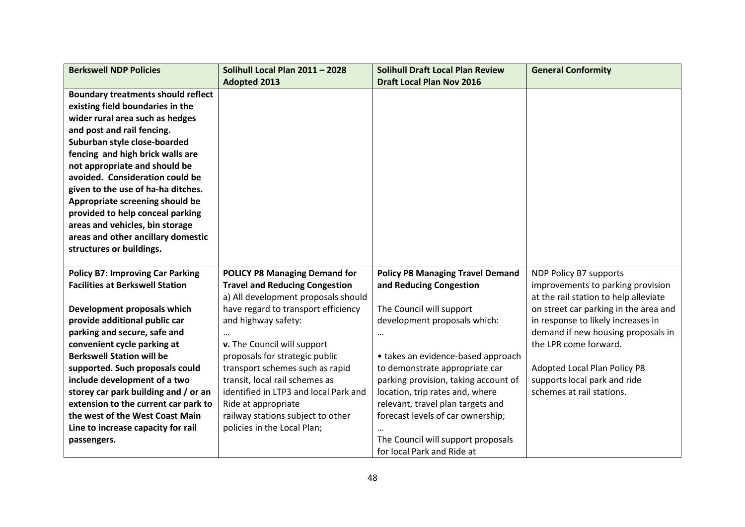| <b>Berkswell NDP Policies</b>                                                | Solihull Local Plan 2011 - 2028                                  | <b>Solihull Draft Local Plan Review</b>                                | <b>General Conformity</b>             |
|------------------------------------------------------------------------------|------------------------------------------------------------------|------------------------------------------------------------------------|---------------------------------------|
|                                                                              | <b>Adopted 2013</b>                                              | <b>Draft Local Plan Nov 2016</b>                                       |                                       |
| <b>Boundary treatments should reflect</b>                                    |                                                                  |                                                                        |                                       |
| existing field boundaries in the                                             |                                                                  |                                                                        |                                       |
| wider rural area such as hedges                                              |                                                                  |                                                                        |                                       |
| and post and rail fencing.                                                   |                                                                  |                                                                        |                                       |
| Suburban style close-boarded                                                 |                                                                  |                                                                        |                                       |
| fencing and high brick walls are                                             |                                                                  |                                                                        |                                       |
| not appropriate and should be                                                |                                                                  |                                                                        |                                       |
| avoided. Consideration could be                                              |                                                                  |                                                                        |                                       |
| given to the use of ha-ha ditches.                                           |                                                                  |                                                                        |                                       |
| Appropriate screening should be                                              |                                                                  |                                                                        |                                       |
| provided to help conceal parking                                             |                                                                  |                                                                        |                                       |
| areas and vehicles, bin storage                                              |                                                                  |                                                                        |                                       |
| areas and other ancillary domestic                                           |                                                                  |                                                                        |                                       |
| structures or buildings.                                                     |                                                                  |                                                                        |                                       |
|                                                                              |                                                                  |                                                                        |                                       |
| <b>Policy B7: Improving Car Parking</b>                                      | <b>POLICY P8 Managing Demand for</b>                             | <b>Policy P8 Managing Travel Demand</b>                                | NDP Policy B7 supports                |
| <b>Facilities at Berkswell Station</b>                                       | <b>Travel and Reducing Congestion</b>                            | and Reducing Congestion                                                | improvements to parking provision     |
|                                                                              | a) All development proposals should                              |                                                                        | at the rail station to help alleviate |
| Development proposals which                                                  | have regard to transport efficiency                              | The Council will support                                               | on street car parking in the area and |
| provide additional public car                                                | and highway safety:                                              | development proposals which:                                           | in response to likely increases in    |
| parking and secure, safe and                                                 |                                                                  |                                                                        | demand if new housing proposals in    |
| convenient cycle parking at                                                  | v. The Council will support                                      |                                                                        | the LPR come forward.                 |
| <b>Berkswell Station will be</b>                                             | proposals for strategic public                                   | • takes an evidence-based approach                                     |                                       |
| supported. Such proposals could                                              | transport schemes such as rapid                                  | to demonstrate appropriate car                                         | Adopted Local Plan Policy P8          |
| include development of a two                                                 | transit, local rail schemes as                                   | parking provision, taking account of                                   | supports local park and ride          |
| storey car park building and / or an<br>extension to the current car park to | identified in LTP3 and local Park and                            | location, trip rates and, where                                        | schemes at rail stations.             |
| the west of the West Coast Main                                              | Ride at appropriate                                              | relevant, travel plan targets and<br>forecast levels of car ownership; |                                       |
|                                                                              | railway stations subject to other<br>policies in the Local Plan; |                                                                        |                                       |
| Line to increase capacity for rail                                           |                                                                  | The Council will support proposals                                     |                                       |
| passengers.                                                                  |                                                                  | for local Park and Ride at                                             |                                       |
|                                                                              |                                                                  |                                                                        |                                       |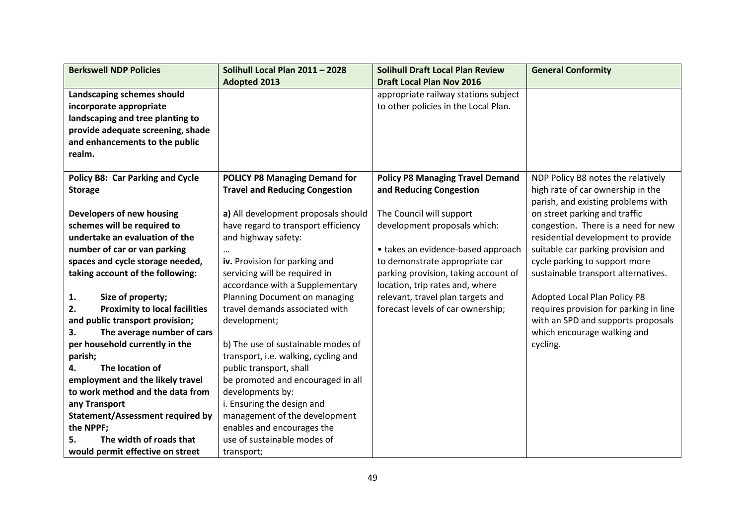| <b>Berkswell NDP Policies</b>              | Solihull Local Plan 2011 - 2028       | <b>Solihull Draft Local Plan Review</b> | <b>General Conformity</b>              |
|--------------------------------------------|---------------------------------------|-----------------------------------------|----------------------------------------|
|                                            | <b>Adopted 2013</b>                   | <b>Draft Local Plan Nov 2016</b>        |                                        |
| Landscaping schemes should                 |                                       | appropriate railway stations subject    |                                        |
| incorporate appropriate                    |                                       | to other policies in the Local Plan.    |                                        |
| landscaping and tree planting to           |                                       |                                         |                                        |
| provide adequate screening, shade          |                                       |                                         |                                        |
| and enhancements to the public             |                                       |                                         |                                        |
| realm.                                     |                                       |                                         |                                        |
|                                            |                                       |                                         |                                        |
| <b>Policy B8: Car Parking and Cycle</b>    | <b>POLICY P8 Managing Demand for</b>  | <b>Policy P8 Managing Travel Demand</b> | NDP Policy B8 notes the relatively     |
| <b>Storage</b>                             | <b>Travel and Reducing Congestion</b> | and Reducing Congestion                 | high rate of car ownership in the      |
|                                            |                                       |                                         | parish, and existing problems with     |
| Developers of new housing                  | a) All development proposals should   | The Council will support                | on street parking and traffic          |
| schemes will be required to                | have regard to transport efficiency   | development proposals which:            | congestion. There is a need for new    |
| undertake an evaluation of the             | and highway safety:                   |                                         | residential development to provide     |
| number of car or van parking               |                                       | • takes an evidence-based approach      | suitable car parking provision and     |
| spaces and cycle storage needed,           | iv. Provision for parking and         | to demonstrate appropriate car          | cycle parking to support more          |
| taking account of the following:           | servicing will be required in         | parking provision, taking account of    | sustainable transport alternatives.    |
|                                            | accordance with a Supplementary       | location, trip rates and, where         |                                        |
| 1.<br>Size of property;                    | Planning Document on managing         | relevant, travel plan targets and       | <b>Adopted Local Plan Policy P8</b>    |
| <b>Proximity to local facilities</b><br>2. | travel demands associated with        | forecast levels of car ownership;       | requires provision for parking in line |
| and public transport provision;            | development;                          |                                         | with an SPD and supports proposals     |
| The average number of cars<br>3.           |                                       |                                         | which encourage walking and            |
| per household currently in the             | b) The use of sustainable modes of    |                                         | cycling.                               |
| parish;                                    | transport, i.e. walking, cycling and  |                                         |                                        |
| The location of<br>4.                      | public transport, shall               |                                         |                                        |
| employment and the likely travel           | be promoted and encouraged in all     |                                         |                                        |
| to work method and the data from           | developments by:                      |                                         |                                        |
| any Transport                              | i. Ensuring the design and            |                                         |                                        |
| Statement/Assessment required by           | management of the development         |                                         |                                        |
| the NPPF;                                  | enables and encourages the            |                                         |                                        |
| The width of roads that<br>5.              | use of sustainable modes of           |                                         |                                        |
| would permit effective on street           | transport;                            |                                         |                                        |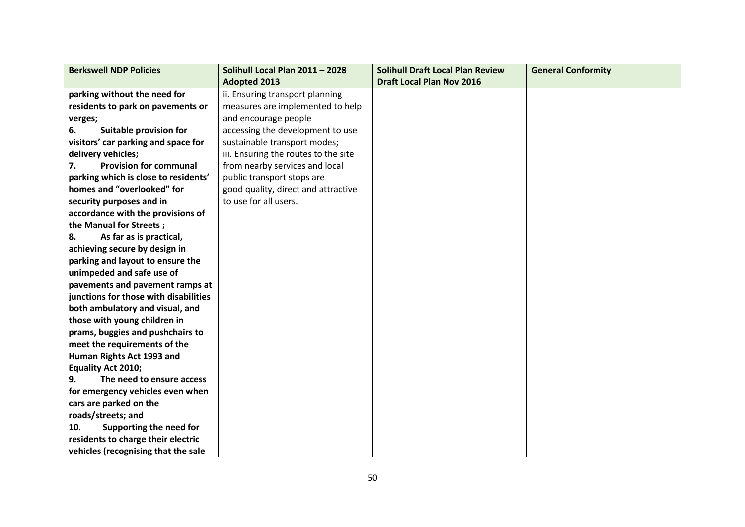| <b>Berkswell NDP Policies</b>         | Solihull Local Plan 2011 - 2028      | <b>Solihull Draft Local Plan Review</b> | <b>General Conformity</b> |
|---------------------------------------|--------------------------------------|-----------------------------------------|---------------------------|
|                                       | <b>Adopted 2013</b>                  | <b>Draft Local Plan Nov 2016</b>        |                           |
| parking without the need for          | ii. Ensuring transport planning      |                                         |                           |
| residents to park on pavements or     | measures are implemented to help     |                                         |                           |
| verges;                               | and encourage people                 |                                         |                           |
| Suitable provision for<br>6.          | accessing the development to use     |                                         |                           |
| visitors' car parking and space for   | sustainable transport modes;         |                                         |                           |
| delivery vehicles;                    | iii. Ensuring the routes to the site |                                         |                           |
| <b>Provision for communal</b><br>7.   | from nearby services and local       |                                         |                           |
| parking which is close to residents'  | public transport stops are           |                                         |                           |
| homes and "overlooked" for            | good quality, direct and attractive  |                                         |                           |
| security purposes and in              | to use for all users.                |                                         |                           |
| accordance with the provisions of     |                                      |                                         |                           |
| the Manual for Streets;               |                                      |                                         |                           |
| As far as is practical,<br>8.         |                                      |                                         |                           |
| achieving secure by design in         |                                      |                                         |                           |
| parking and layout to ensure the      |                                      |                                         |                           |
| unimpeded and safe use of             |                                      |                                         |                           |
| pavements and pavement ramps at       |                                      |                                         |                           |
| junctions for those with disabilities |                                      |                                         |                           |
| both ambulatory and visual, and       |                                      |                                         |                           |
| those with young children in          |                                      |                                         |                           |
| prams, buggies and pushchairs to      |                                      |                                         |                           |
| meet the requirements of the          |                                      |                                         |                           |
| Human Rights Act 1993 and             |                                      |                                         |                           |
| <b>Equality Act 2010;</b>             |                                      |                                         |                           |
| The need to ensure access<br>9.       |                                      |                                         |                           |
| for emergency vehicles even when      |                                      |                                         |                           |
| cars are parked on the                |                                      |                                         |                           |
| roads/streets; and                    |                                      |                                         |                           |
| Supporting the need for<br>10.        |                                      |                                         |                           |
| residents to charge their electric    |                                      |                                         |                           |
| vehicles (recognising that the sale   |                                      |                                         |                           |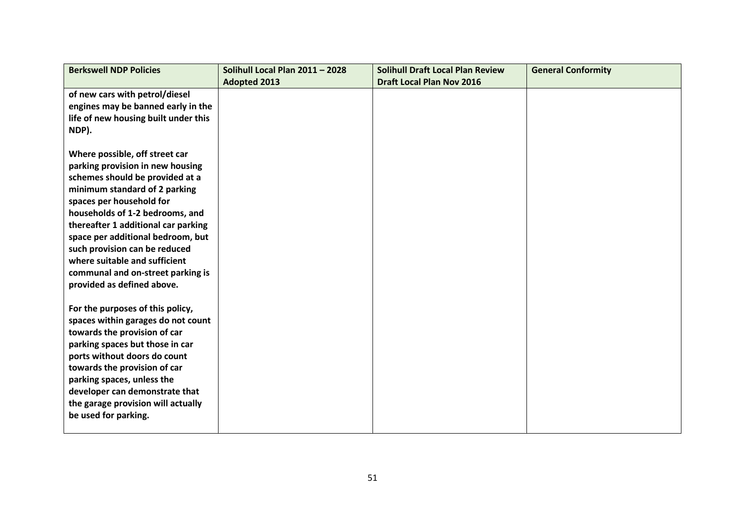| <b>Berkswell NDP Policies</b>        | Solihull Local Plan 2011 - 2028 | <b>Solihull Draft Local Plan Review</b> | <b>General Conformity</b> |
|--------------------------------------|---------------------------------|-----------------------------------------|---------------------------|
|                                      | <b>Adopted 2013</b>             | <b>Draft Local Plan Nov 2016</b>        |                           |
| of new cars with petrol/diesel       |                                 |                                         |                           |
| engines may be banned early in the   |                                 |                                         |                           |
| life of new housing built under this |                                 |                                         |                           |
| NDP).                                |                                 |                                         |                           |
|                                      |                                 |                                         |                           |
| Where possible, off street car       |                                 |                                         |                           |
| parking provision in new housing     |                                 |                                         |                           |
| schemes should be provided at a      |                                 |                                         |                           |
| minimum standard of 2 parking        |                                 |                                         |                           |
| spaces per household for             |                                 |                                         |                           |
| households of 1-2 bedrooms, and      |                                 |                                         |                           |
| thereafter 1 additional car parking  |                                 |                                         |                           |
| space per additional bedroom, but    |                                 |                                         |                           |
| such provision can be reduced        |                                 |                                         |                           |
| where suitable and sufficient        |                                 |                                         |                           |
| communal and on-street parking is    |                                 |                                         |                           |
| provided as defined above.           |                                 |                                         |                           |
| For the purposes of this policy,     |                                 |                                         |                           |
| spaces within garages do not count   |                                 |                                         |                           |
| towards the provision of car         |                                 |                                         |                           |
| parking spaces but those in car      |                                 |                                         |                           |
| ports without doors do count         |                                 |                                         |                           |
| towards the provision of car         |                                 |                                         |                           |
| parking spaces, unless the           |                                 |                                         |                           |
| developer can demonstrate that       |                                 |                                         |                           |
| the garage provision will actually   |                                 |                                         |                           |
| be used for parking.                 |                                 |                                         |                           |
|                                      |                                 |                                         |                           |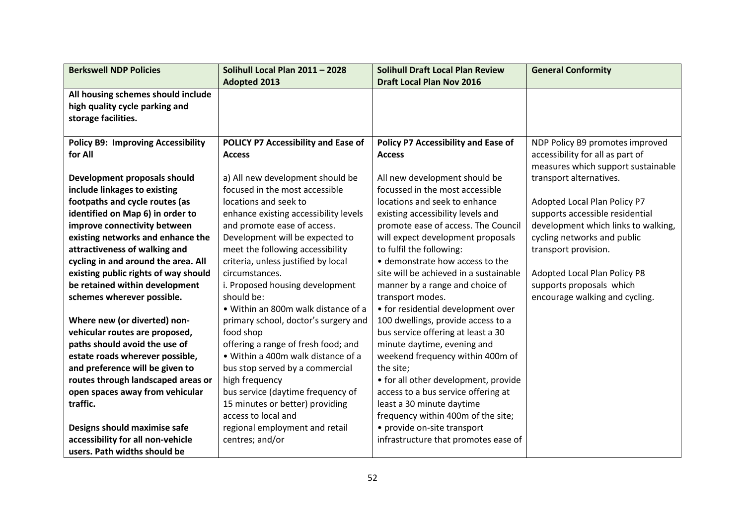| <b>Berkswell NDP Policies</b>             | Solihull Local Plan 2011 - 2028       | <b>Solihull Draft Local Plan Review</b> | <b>General Conformity</b>           |
|-------------------------------------------|---------------------------------------|-----------------------------------------|-------------------------------------|
|                                           | <b>Adopted 2013</b>                   | <b>Draft Local Plan Nov 2016</b>        |                                     |
| All housing schemes should include        |                                       |                                         |                                     |
| high quality cycle parking and            |                                       |                                         |                                     |
| storage facilities.                       |                                       |                                         |                                     |
|                                           |                                       |                                         |                                     |
| <b>Policy B9: Improving Accessibility</b> | POLICY P7 Accessibility and Ease of   | Policy P7 Accessibility and Ease of     | NDP Policy B9 promotes improved     |
| for All                                   | <b>Access</b>                         | <b>Access</b>                           | accessibility for all as part of    |
|                                           |                                       |                                         | measures which support sustainable  |
| Development proposals should              | a) All new development should be      | All new development should be           | transport alternatives.             |
| include linkages to existing              | focused in the most accessible        | focussed in the most accessible         |                                     |
| footpaths and cycle routes (as            | locations and seek to                 | locations and seek to enhance           | Adopted Local Plan Policy P7        |
| identified on Map 6) in order to          | enhance existing accessibility levels | existing accessibility levels and       | supports accessible residential     |
| improve connectivity between              | and promote ease of access.           | promote ease of access. The Council     | development which links to walking, |
| existing networks and enhance the         | Development will be expected to       | will expect development proposals       | cycling networks and public         |
| attractiveness of walking and             | meet the following accessibility      | to fulfil the following:                | transport provision.                |
| cycling in and around the area. All       | criteria, unless justified by local   | • demonstrate how access to the         |                                     |
| existing public rights of way should      | circumstances.                        | site will be achieved in a sustainable  | Adopted Local Plan Policy P8        |
| be retained within development            | i. Proposed housing development       | manner by a range and choice of         | supports proposals which            |
| schemes wherever possible.                | should be:                            | transport modes.                        | encourage walking and cycling.      |
|                                           | . Within an 800m walk distance of a   | • for residential development over      |                                     |
| Where new (or diverted) non-              | primary school, doctor's surgery and  | 100 dwellings, provide access to a      |                                     |
| vehicular routes are proposed,            | food shop                             | bus service offering at least a 30      |                                     |
| paths should avoid the use of             | offering a range of fresh food; and   | minute daytime, evening and             |                                     |
| estate roads wherever possible,           | • Within a 400m walk distance of a    | weekend frequency within 400m of        |                                     |
| and preference will be given to           | bus stop served by a commercial       | the site;                               |                                     |
| routes through landscaped areas or        | high frequency                        | • for all other development, provide    |                                     |
| open spaces away from vehicular           | bus service (daytime frequency of     | access to a bus service offering at     |                                     |
| traffic.                                  | 15 minutes or better) providing       | least a 30 minute daytime               |                                     |
|                                           | access to local and                   | frequency within 400m of the site;      |                                     |
| Designs should maximise safe              | regional employment and retail        | • provide on-site transport             |                                     |
| accessibility for all non-vehicle         | centres; and/or                       | infrastructure that promotes ease of    |                                     |
| users. Path widths should be              |                                       |                                         |                                     |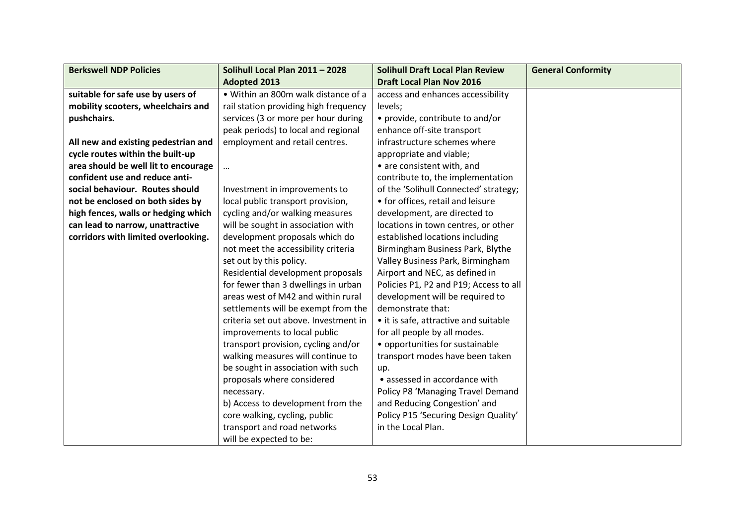| <b>Berkswell NDP Policies</b>        | Solihull Local Plan 2011 - 2028       | <b>Solihull Draft Local Plan Review</b> | <b>General Conformity</b> |
|--------------------------------------|---------------------------------------|-----------------------------------------|---------------------------|
|                                      | <b>Adopted 2013</b>                   | <b>Draft Local Plan Nov 2016</b>        |                           |
| suitable for safe use by users of    | . Within an 800m walk distance of a   | access and enhances accessibility       |                           |
| mobility scooters, wheelchairs and   | rail station providing high frequency | levels;                                 |                           |
| pushchairs.                          | services (3 or more per hour during   | • provide, contribute to and/or         |                           |
|                                      | peak periods) to local and regional   | enhance off-site transport              |                           |
| All new and existing pedestrian and  | employment and retail centres.        | infrastructure schemes where            |                           |
| cycle routes within the built-up     |                                       | appropriate and viable;                 |                           |
| area should be well lit to encourage | $\cdots$                              | • are consistent with, and              |                           |
| confident use and reduce anti-       |                                       | contribute to, the implementation       |                           |
| social behaviour. Routes should      | Investment in improvements to         | of the 'Solihull Connected' strategy;   |                           |
| not be enclosed on both sides by     | local public transport provision,     | • for offices, retail and leisure       |                           |
| high fences, walls or hedging which  | cycling and/or walking measures       | development, are directed to            |                           |
| can lead to narrow, unattractive     | will be sought in association with    | locations in town centres, or other     |                           |
| corridors with limited overlooking.  | development proposals which do        | established locations including         |                           |
|                                      | not meet the accessibility criteria   | Birmingham Business Park, Blythe        |                           |
|                                      | set out by this policy.               | Valley Business Park, Birmingham        |                           |
|                                      | Residential development proposals     | Airport and NEC, as defined in          |                           |
|                                      | for fewer than 3 dwellings in urban   | Policies P1, P2 and P19; Access to all  |                           |
|                                      | areas west of M42 and within rural    | development will be required to         |                           |
|                                      | settlements will be exempt from the   | demonstrate that:                       |                           |
|                                      | criteria set out above. Investment in | • it is safe, attractive and suitable   |                           |
|                                      | improvements to local public          | for all people by all modes.            |                           |
|                                      | transport provision, cycling and/or   | • opportunities for sustainable         |                           |
|                                      | walking measures will continue to     | transport modes have been taken         |                           |
|                                      | be sought in association with such    | up.                                     |                           |
|                                      | proposals where considered            | • assessed in accordance with           |                           |
|                                      | necessary.                            | Policy P8 'Managing Travel Demand       |                           |
|                                      | b) Access to development from the     | and Reducing Congestion' and            |                           |
|                                      | core walking, cycling, public         | Policy P15 'Securing Design Quality'    |                           |
|                                      | transport and road networks           | in the Local Plan.                      |                           |
|                                      | will be expected to be:               |                                         |                           |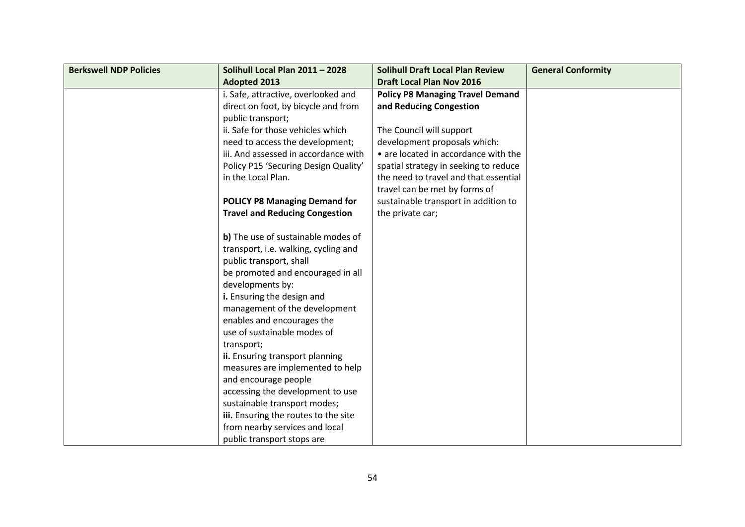| <b>Berkswell NDP Policies</b> | Solihull Local Plan 2011 - 2028       | <b>Solihull Draft Local Plan Review</b> | <b>General Conformity</b> |
|-------------------------------|---------------------------------------|-----------------------------------------|---------------------------|
|                               | <b>Adopted 2013</b>                   | <b>Draft Local Plan Nov 2016</b>        |                           |
|                               | i. Safe, attractive, overlooked and   | <b>Policy P8 Managing Travel Demand</b> |                           |
|                               | direct on foot, by bicycle and from   | and Reducing Congestion                 |                           |
|                               | public transport;                     |                                         |                           |
|                               | ii. Safe for those vehicles which     | The Council will support                |                           |
|                               | need to access the development;       | development proposals which:            |                           |
|                               | iii. And assessed in accordance with  | • are located in accordance with the    |                           |
|                               | Policy P15 'Securing Design Quality'  | spatial strategy in seeking to reduce   |                           |
|                               | in the Local Plan.                    | the need to travel and that essential   |                           |
|                               |                                       | travel can be met by forms of           |                           |
|                               | <b>POLICY P8 Managing Demand for</b>  | sustainable transport in addition to    |                           |
|                               | <b>Travel and Reducing Congestion</b> | the private car;                        |                           |
|                               |                                       |                                         |                           |
|                               | b) The use of sustainable modes of    |                                         |                           |
|                               | transport, i.e. walking, cycling and  |                                         |                           |
|                               | public transport, shall               |                                         |                           |
|                               | be promoted and encouraged in all     |                                         |                           |
|                               | developments by:                      |                                         |                           |
|                               | i. Ensuring the design and            |                                         |                           |
|                               | management of the development         |                                         |                           |
|                               | enables and encourages the            |                                         |                           |
|                               | use of sustainable modes of           |                                         |                           |
|                               | transport;                            |                                         |                           |
|                               | ii. Ensuring transport planning       |                                         |                           |
|                               | measures are implemented to help      |                                         |                           |
|                               | and encourage people                  |                                         |                           |
|                               | accessing the development to use      |                                         |                           |
|                               | sustainable transport modes;          |                                         |                           |
|                               | iii. Ensuring the routes to the site  |                                         |                           |
|                               | from nearby services and local        |                                         |                           |
|                               | public transport stops are            |                                         |                           |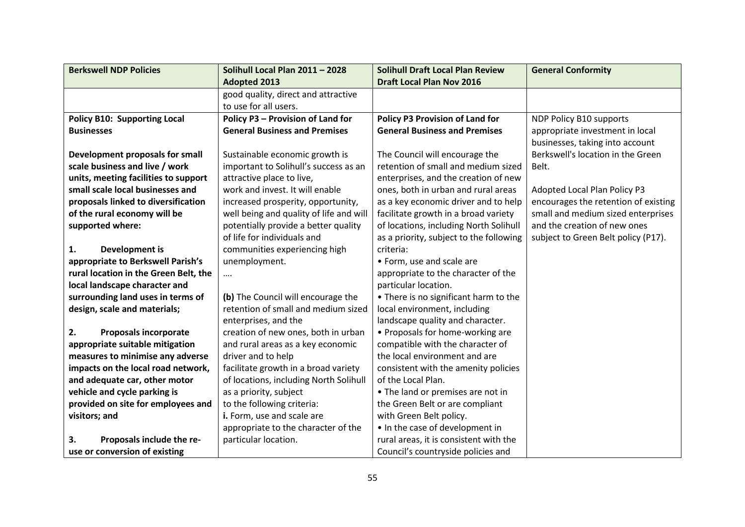| <b>Berkswell NDP Policies</b>         | Solihull Local Plan 2011 - 2028         | <b>Solihull Draft Local Plan Review</b> | <b>General Conformity</b>            |
|---------------------------------------|-----------------------------------------|-----------------------------------------|--------------------------------------|
|                                       | <b>Adopted 2013</b>                     | <b>Draft Local Plan Nov 2016</b>        |                                      |
|                                       | good quality, direct and attractive     |                                         |                                      |
|                                       | to use for all users.                   |                                         |                                      |
| <b>Policy B10: Supporting Local</b>   | Policy P3 - Provision of Land for       | <b>Policy P3 Provision of Land for</b>  | NDP Policy B10 supports              |
| <b>Businesses</b>                     | <b>General Business and Premises</b>    | <b>General Business and Premises</b>    | appropriate investment in local      |
|                                       |                                         |                                         | businesses, taking into account      |
| Development proposals for small       | Sustainable economic growth is          | The Council will encourage the          | Berkswell's location in the Green    |
| scale business and live / work        | important to Solihull's success as an   | retention of small and medium sized     | Belt.                                |
| units, meeting facilities to support  | attractive place to live,               | enterprises, and the creation of new    |                                      |
| small scale local businesses and      | work and invest. It will enable         | ones, both in urban and rural areas     | Adopted Local Plan Policy P3         |
| proposals linked to diversification   | increased prosperity, opportunity,      | as a key economic driver and to help    | encourages the retention of existing |
| of the rural economy will be          | well being and quality of life and will | facilitate growth in a broad variety    | small and medium sized enterprises   |
| supported where:                      | potentially provide a better quality    | of locations, including North Solihull  | and the creation of new ones         |
|                                       | of life for individuals and             | as a priority, subject to the following | subject to Green Belt policy (P17).  |
| <b>Development is</b><br>1.           | communities experiencing high           | criteria:                               |                                      |
| appropriate to Berkswell Parish's     | unemployment.                           | • Form, use and scale are               |                                      |
| rural location in the Green Belt, the | $\cdots$                                | appropriate to the character of the     |                                      |
| local landscape character and         |                                         | particular location.                    |                                      |
| surrounding land uses in terms of     | (b) The Council will encourage the      | • There is no significant harm to the   |                                      |
| design, scale and materials;          | retention of small and medium sized     | local environment, including            |                                      |
|                                       | enterprises, and the                    | landscape quality and character.        |                                      |
| 2.<br><b>Proposals incorporate</b>    | creation of new ones, both in urban     | • Proposals for home-working are        |                                      |
| appropriate suitable mitigation       | and rural areas as a key economic       | compatible with the character of        |                                      |
| measures to minimise any adverse      | driver and to help                      | the local environment and are           |                                      |
| impacts on the local road network,    | facilitate growth in a broad variety    | consistent with the amenity policies    |                                      |
| and adequate car, other motor         | of locations, including North Solihull  | of the Local Plan.                      |                                      |
| vehicle and cycle parking is          | as a priority, subject                  | • The land or premises are not in       |                                      |
| provided on site for employees and    | to the following criteria:              | the Green Belt or are compliant         |                                      |
| visitors; and                         | i. Form, use and scale are              | with Green Belt policy.                 |                                      |
|                                       | appropriate to the character of the     | . In the case of development in         |                                      |
| 3.<br>Proposals include the re-       | particular location.                    | rural areas, it is consistent with the  |                                      |
| use or conversion of existing         |                                         | Council's countryside policies and      |                                      |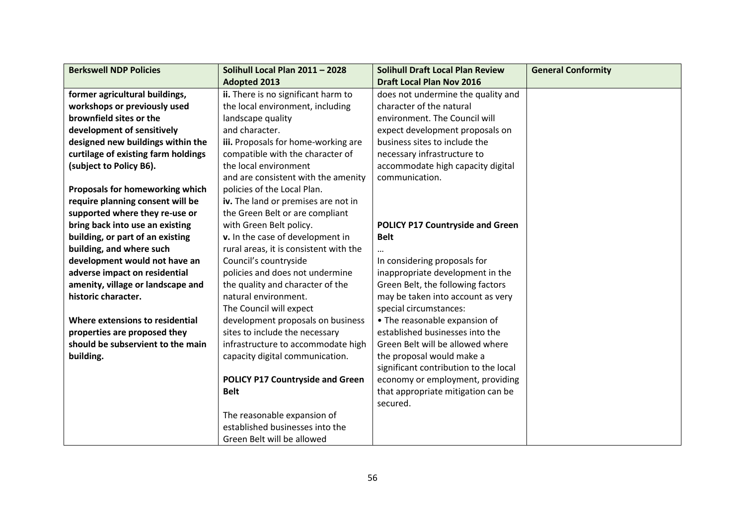| <b>Berkswell NDP Policies</b>       | Solihull Local Plan 2011 - 2028         | <b>Solihull Draft Local Plan Review</b> | <b>General Conformity</b> |
|-------------------------------------|-----------------------------------------|-----------------------------------------|---------------------------|
|                                     | <b>Adopted 2013</b>                     | <b>Draft Local Plan Nov 2016</b>        |                           |
| former agricultural buildings,      | ii. There is no significant harm to     | does not undermine the quality and      |                           |
| workshops or previously used        | the local environment, including        | character of the natural                |                           |
| brownfield sites or the             | landscape quality                       | environment. The Council will           |                           |
| development of sensitively          | and character.                          | expect development proposals on         |                           |
| designed new buildings within the   | iii. Proposals for home-working are     | business sites to include the           |                           |
| curtilage of existing farm holdings | compatible with the character of        | necessary infrastructure to             |                           |
| (subject to Policy B6).             | the local environment                   | accommodate high capacity digital       |                           |
|                                     | and are consistent with the amenity     | communication.                          |                           |
| Proposals for homeworking which     | policies of the Local Plan.             |                                         |                           |
| require planning consent will be    | iv. The land or premises are not in     |                                         |                           |
| supported where they re-use or      | the Green Belt or are compliant         |                                         |                           |
| bring back into use an existing     | with Green Belt policy.                 | <b>POLICY P17 Countryside and Green</b> |                           |
| building, or part of an existing    | v. In the case of development in        | <b>Belt</b>                             |                           |
| building, and where such            | rural areas, it is consistent with the  |                                         |                           |
| development would not have an       | Council's countryside                   | In considering proposals for            |                           |
| adverse impact on residential       | policies and does not undermine         | inappropriate development in the        |                           |
| amenity, village or landscape and   | the quality and character of the        | Green Belt, the following factors       |                           |
| historic character.                 | natural environment.                    | may be taken into account as very       |                           |
|                                     | The Council will expect                 | special circumstances:                  |                           |
| Where extensions to residential     | development proposals on business       | • The reasonable expansion of           |                           |
| properties are proposed they        | sites to include the necessary          | established businesses into the         |                           |
| should be subservient to the main   | infrastructure to accommodate high      | Green Belt will be allowed where        |                           |
| building.                           | capacity digital communication.         | the proposal would make a               |                           |
|                                     |                                         | significant contribution to the local   |                           |
|                                     | <b>POLICY P17 Countryside and Green</b> | economy or employment, providing        |                           |
|                                     | <b>Belt</b>                             | that appropriate mitigation can be      |                           |
|                                     |                                         | secured.                                |                           |
|                                     | The reasonable expansion of             |                                         |                           |
|                                     | established businesses into the         |                                         |                           |
|                                     | Green Belt will be allowed              |                                         |                           |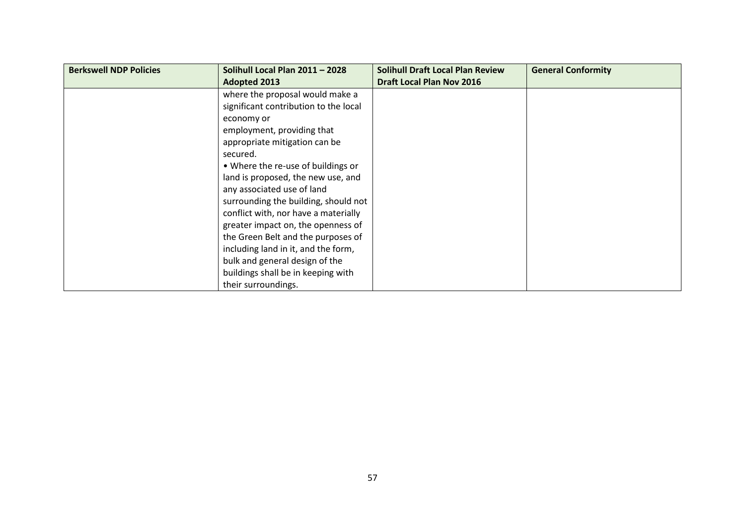| <b>Berkswell NDP Policies</b> | Solihull Local Plan 2011 - 2028       | <b>Solihull Draft Local Plan Review</b> | <b>General Conformity</b> |
|-------------------------------|---------------------------------------|-----------------------------------------|---------------------------|
|                               | <b>Adopted 2013</b>                   | <b>Draft Local Plan Nov 2016</b>        |                           |
|                               | where the proposal would make a       |                                         |                           |
|                               | significant contribution to the local |                                         |                           |
|                               | economy or                            |                                         |                           |
|                               | employment, providing that            |                                         |                           |
|                               | appropriate mitigation can be         |                                         |                           |
|                               | secured.                              |                                         |                           |
|                               | • Where the re-use of buildings or    |                                         |                           |
|                               | land is proposed, the new use, and    |                                         |                           |
|                               | any associated use of land            |                                         |                           |
|                               | surrounding the building, should not  |                                         |                           |
|                               | conflict with, nor have a materially  |                                         |                           |
|                               | greater impact on, the openness of    |                                         |                           |
|                               | the Green Belt and the purposes of    |                                         |                           |
|                               | including land in it, and the form,   |                                         |                           |
|                               | bulk and general design of the        |                                         |                           |
|                               | buildings shall be in keeping with    |                                         |                           |
|                               | their surroundings.                   |                                         |                           |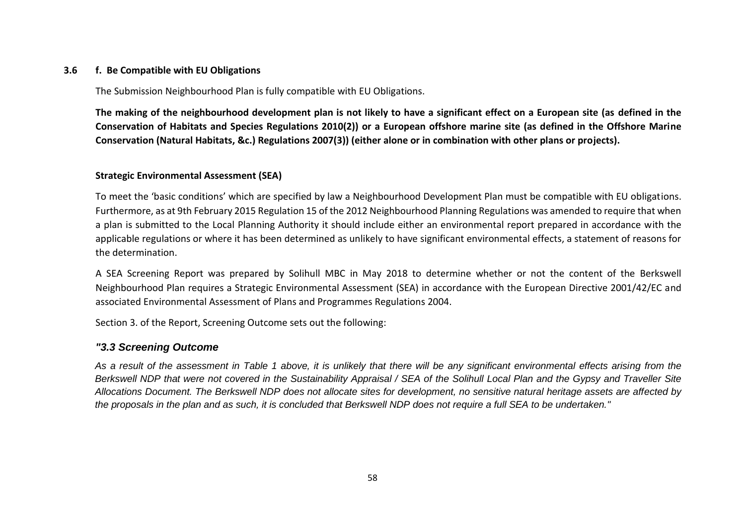### **3.6 f. Be Compatible with EU Obligations**

The Submission Neighbourhood Plan is fully compatible with EU Obligations.

**The making of the neighbourhood development plan is not likely to have a significant effect on a European site (as defined in the Conservation of Habitats and Species Regulations 2010(2)) or a European offshore marine site (as defined in the Offshore Marine Conservation (Natural Habitats, &c.) Regulations 2007(3)) (either alone or in combination with other plans or projects).**

## **Strategic Environmental Assessment (SEA)**

To meet the 'basic conditions' which are specified by law a Neighbourhood Development Plan must be compatible with EU obligations. Furthermore, as at 9th February 2015 Regulation 15 of the 2012 Neighbourhood Planning Regulations was amended to require that when a plan is submitted to the Local Planning Authority it should include either an environmental report prepared in accordance with the applicable regulations or where it has been determined as unlikely to have significant environmental effects, a statement of reasons for the determination.

A SEA Screening Report was prepared by Solihull MBC in May 2018 to determine whether or not the content of the Berkswell Neighbourhood Plan requires a Strategic Environmental Assessment (SEA) in accordance with the European Directive 2001/42/EC and associated Environmental Assessment of Plans and Programmes Regulations 2004.

Section 3. of the Report, Screening Outcome sets out the following:

## *"3.3 Screening Outcome*

*As a result of the assessment in Table 1 above, it is unlikely that there will be any significant environmental effects arising from the Berkswell NDP that were not covered in the Sustainability Appraisal / SEA of the Solihull Local Plan and the Gypsy and Traveller Site Allocations Document. The Berkswell NDP does not allocate sites for development, no sensitive natural heritage assets are affected by the proposals in the plan and as such, it is concluded that Berkswell NDP does not require a full SEA to be undertaken."*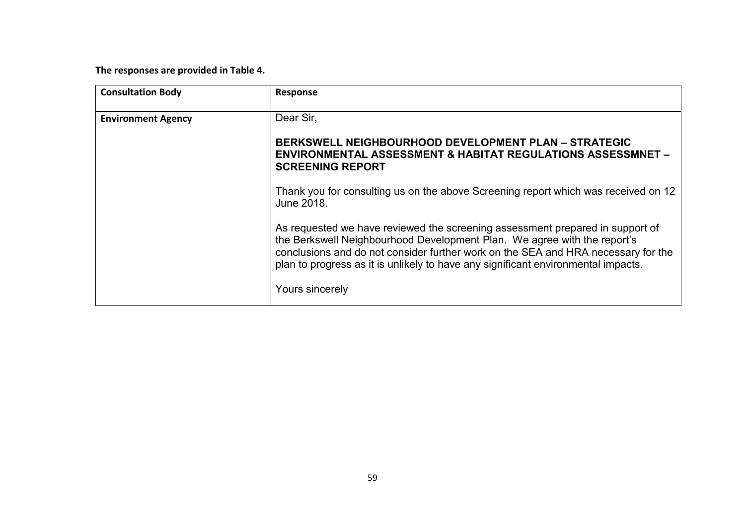**The responses are provided in Table 4.**

| <b>Consultation Body</b>  | Response                                                                                                                                                                                                                                                                                                                            |
|---------------------------|-------------------------------------------------------------------------------------------------------------------------------------------------------------------------------------------------------------------------------------------------------------------------------------------------------------------------------------|
| <b>Environment Agency</b> | Dear Sir,                                                                                                                                                                                                                                                                                                                           |
|                           | <b>BERKSWELL NEIGHBOURHOOD DEVELOPMENT PLAN - STRATEGIC</b><br><b>ENVIRONMENTAL ASSESSMENT &amp; HABITAT REGULATIONS ASSESSMNET -</b><br><b>SCREENING REPORT</b>                                                                                                                                                                    |
|                           | Thank you for consulting us on the above Screening report which was received on 12<br>June 2018.                                                                                                                                                                                                                                    |
|                           | As requested we have reviewed the screening assessment prepared in support of<br>the Berkswell Neighbourhood Development Plan. We agree with the report's<br>conclusions and do not consider further work on the SEA and HRA necessary for the<br>plan to progress as it is unlikely to have any significant environmental impacts. |
|                           | Yours sincerely                                                                                                                                                                                                                                                                                                                     |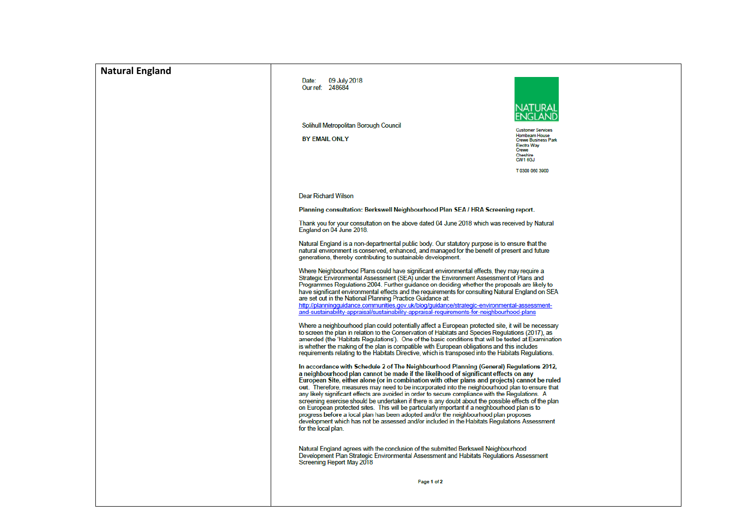| <b>Natural England</b> | 09 July 2018<br>Date:<br>Our ref: 248684<br>Solihull Metropolitan Borough Council<br><b>BY EMAIL ONLY</b>                                                                                                                                                                                                                                                                                                                                                                                                                                                                                                                                                                                                                                                                                                                                                                                                                                                                                                                                                                                                                                                                                                                                                                                                                                                                                                                                                                                                                                                                                                                                                                                                                                                                                                                                                                                                                                                                                                                                                                                                                                                                                                                                                                                                                                                                                                                                                                                                                                                                                                                                                                                                                                                                                                                                           | <b>Customer Services</b><br><b>Hombeam House</b><br><b>Crewe Business Park</b><br><b>Electra Way</b><br>Crewe<br>Cheshire<br>CW1 6GJ<br>T 0300 060 3900 |
|------------------------|-----------------------------------------------------------------------------------------------------------------------------------------------------------------------------------------------------------------------------------------------------------------------------------------------------------------------------------------------------------------------------------------------------------------------------------------------------------------------------------------------------------------------------------------------------------------------------------------------------------------------------------------------------------------------------------------------------------------------------------------------------------------------------------------------------------------------------------------------------------------------------------------------------------------------------------------------------------------------------------------------------------------------------------------------------------------------------------------------------------------------------------------------------------------------------------------------------------------------------------------------------------------------------------------------------------------------------------------------------------------------------------------------------------------------------------------------------------------------------------------------------------------------------------------------------------------------------------------------------------------------------------------------------------------------------------------------------------------------------------------------------------------------------------------------------------------------------------------------------------------------------------------------------------------------------------------------------------------------------------------------------------------------------------------------------------------------------------------------------------------------------------------------------------------------------------------------------------------------------------------------------------------------------------------------------------------------------------------------------------------------------------------------------------------------------------------------------------------------------------------------------------------------------------------------------------------------------------------------------------------------------------------------------------------------------------------------------------------------------------------------------------------------------------------------------------------------------------------------------|---------------------------------------------------------------------------------------------------------------------------------------------------------|
|                        | <b>Dear Richard Wilson</b><br>Planning consultation: Berkswell Neighbourhood Plan SEA / HRA Screening report.<br>Thank you for your consultation on the above dated 04 June 2018 which was received by Natural<br>England on 04 June 2018.<br>Natural England is a non-departmental public body. Our statutory purpose is to ensure that the<br>natural environment is conserved, enhanced, and managed for the benefit of present and future<br>generations, thereby contributing to sustainable development.<br>Where Neighbourhood Plans could have significant environmental effects, they may require a<br>Strategic Environmental Assessment (SEA) under the Environment Assessment of Plans and<br>Programmes Regulations 2004. Further guidance on deciding whether the proposals are likely to<br>have significant environmental effects and the requirements for consulting Natural England on SEA<br>are set out in the National Planning Practice Guidance at:<br>http://planningquidance.communities.gov.uk/blog/quidance/strategic-environmental-assessment-<br>and-sustainability-appraisal/sustainability-appraisal-requirements-for-neighbourhood-plans<br>Where a neighbourhood plan could potentially affect a European protected site, it will be necessary<br>to screen the plan in relation to the Conservation of Habitats and Species Regulations (2017), as<br>amended (the 'Habitats Regulations'). One of the basic conditions that will be tested at Examination<br>is whether the making of the plan is compatible with European obligations and this includes<br>requirements relating to the Habitats Directive, which is transposed into the Habitats Regulations.<br>In accordance with Schedule 2 of The Neighbourhood Planning (General) Regulations 2012,<br>a neighbourhood plan cannot be made if the likelihood of significant effects on any<br>European Site, either alone (or in combination with other plans and projects) cannot be ruled<br>out. Therefore, measures may need to be incorporated into the neighbourhood plan to ensure that<br>any likely significant effects are avoided in order to secure compliance with the Regulations. A<br>screening exercise should be undertaken if there is any doubt about the possible effects of the plan<br>on European protected sites. This will be particularly important if a neighbourhood plan is to<br>progress before a local plan has been adopted and/or the neighbourhood plan proposes<br>development which has not be assessed and/or included in the Habitats Regulations Assessment<br>for the local plan.<br>Natural England agrees with the conclusion of the submitted Berkswell Neighbourhood<br>Development Plan Strategic Environmental Assessment and Habitats Regulations Assessment<br>Screening Report May 2018<br>Page 1 of 2 |                                                                                                                                                         |
|                        |                                                                                                                                                                                                                                                                                                                                                                                                                                                                                                                                                                                                                                                                                                                                                                                                                                                                                                                                                                                                                                                                                                                                                                                                                                                                                                                                                                                                                                                                                                                                                                                                                                                                                                                                                                                                                                                                                                                                                                                                                                                                                                                                                                                                                                                                                                                                                                                                                                                                                                                                                                                                                                                                                                                                                                                                                                                     |                                                                                                                                                         |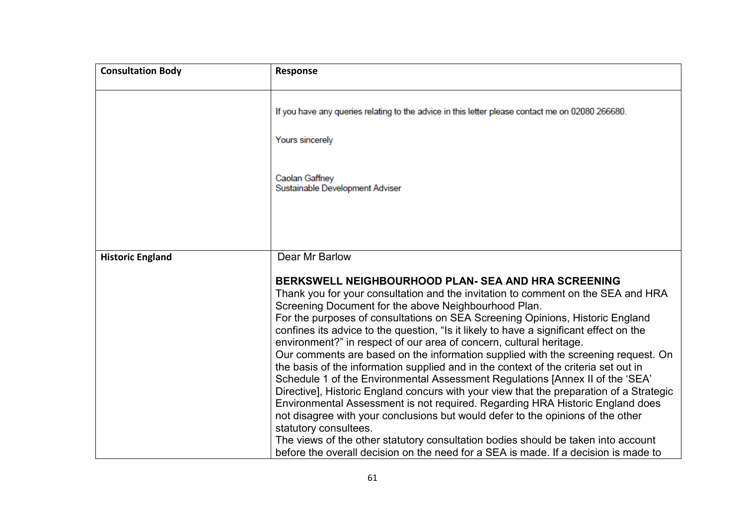| <b>Consultation Body</b> | Response                                                                                                                                                                                                                                                                                                                                                                                                                                                                                                                                                                                                                                                                                                                                                                                                                                                                                                                                                                                                                                                                                                                                                                                  |
|--------------------------|-------------------------------------------------------------------------------------------------------------------------------------------------------------------------------------------------------------------------------------------------------------------------------------------------------------------------------------------------------------------------------------------------------------------------------------------------------------------------------------------------------------------------------------------------------------------------------------------------------------------------------------------------------------------------------------------------------------------------------------------------------------------------------------------------------------------------------------------------------------------------------------------------------------------------------------------------------------------------------------------------------------------------------------------------------------------------------------------------------------------------------------------------------------------------------------------|
|                          | If you have any queries relating to the advice in this letter please contact me on 02080 266680.                                                                                                                                                                                                                                                                                                                                                                                                                                                                                                                                                                                                                                                                                                                                                                                                                                                                                                                                                                                                                                                                                          |
|                          | Yours sincerely                                                                                                                                                                                                                                                                                                                                                                                                                                                                                                                                                                                                                                                                                                                                                                                                                                                                                                                                                                                                                                                                                                                                                                           |
|                          | Caolan Gaffney<br>Sustainable Development Adviser                                                                                                                                                                                                                                                                                                                                                                                                                                                                                                                                                                                                                                                                                                                                                                                                                                                                                                                                                                                                                                                                                                                                         |
|                          |                                                                                                                                                                                                                                                                                                                                                                                                                                                                                                                                                                                                                                                                                                                                                                                                                                                                                                                                                                                                                                                                                                                                                                                           |
| <b>Historic England</b>  | Dear Mr Barlow                                                                                                                                                                                                                                                                                                                                                                                                                                                                                                                                                                                                                                                                                                                                                                                                                                                                                                                                                                                                                                                                                                                                                                            |
|                          | <b>BERKSWELL NEIGHBOURHOOD PLAN- SEA AND HRA SCREENING</b><br>Thank you for your consultation and the invitation to comment on the SEA and HRA<br>Screening Document for the above Neighbourhood Plan.<br>For the purposes of consultations on SEA Screening Opinions, Historic England<br>confines its advice to the question, "Is it likely to have a significant effect on the<br>environment?" in respect of our area of concern, cultural heritage.<br>Our comments are based on the information supplied with the screening request. On<br>the basis of the information supplied and in the context of the criteria set out in<br>Schedule 1 of the Environmental Assessment Regulations [Annex II of the 'SEA'<br>Directive], Historic England concurs with your view that the preparation of a Strategic<br>Environmental Assessment is not required. Regarding HRA Historic England does<br>not disagree with your conclusions but would defer to the opinions of the other<br>statutory consultees.<br>The views of the other statutory consultation bodies should be taken into account<br>before the overall decision on the need for a SEA is made. If a decision is made to |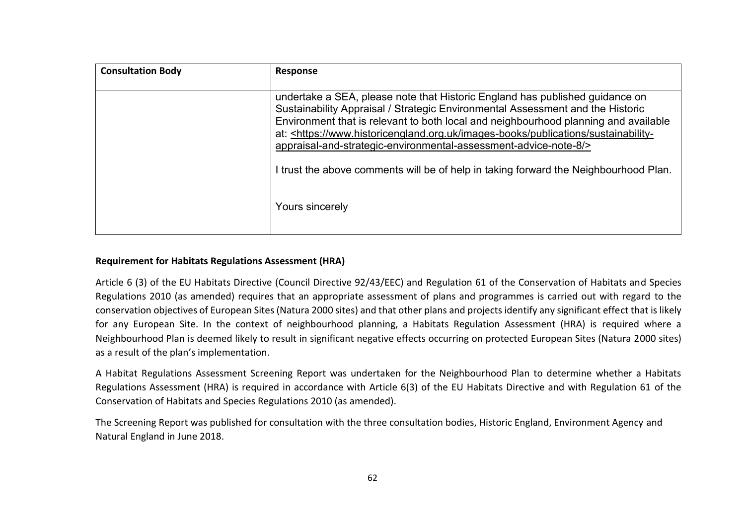| <b>Consultation Body</b> | <b>Response</b>                                                                                                                                                                                                                                                                                                                                                                                                                                                                                                                |
|--------------------------|--------------------------------------------------------------------------------------------------------------------------------------------------------------------------------------------------------------------------------------------------------------------------------------------------------------------------------------------------------------------------------------------------------------------------------------------------------------------------------------------------------------------------------|
|                          | undertake a SEA, please note that Historic England has published guidance on<br>Sustainability Appraisal / Strategic Environmental Assessment and the Historic<br>Environment that is relevant to both local and neighbourhood planning and available<br>at: <https: images-books="" publications="" sustainability-<br="" www.historicengland.org.uk="">appraisal-and-strategic-environmental-assessment-advice-note-8/&gt;<br/>I trust the above comments will be of help in taking forward the Neighbourhood Plan.</https:> |
|                          | Yours sincerely                                                                                                                                                                                                                                                                                                                                                                                                                                                                                                                |

## **Requirement for Habitats Regulations Assessment (HRA)**

Article 6 (3) of the EU Habitats Directive (Council Directive 92/43/EEC) and Regulation 61 of the Conservation of Habitats and Species Regulations 2010 (as amended) requires that an appropriate assessment of plans and programmes is carried out with regard to the conservation objectives of European Sites (Natura 2000 sites) and that other plans and projects identify any significant effect that is likely for any European Site. In the context of neighbourhood planning, a Habitats Regulation Assessment (HRA) is required where a Neighbourhood Plan is deemed likely to result in significant negative effects occurring on protected European Sites (Natura 2000 sites) as a result of the plan's implementation.

A Habitat Regulations Assessment Screening Report was undertaken for the Neighbourhood Plan to determine whether a Habitats Regulations Assessment (HRA) is required in accordance with Article 6(3) of the EU Habitats Directive and with Regulation 61 of the Conservation of Habitats and Species Regulations 2010 (as amended).

The Screening Report was published for consultation with the three consultation bodies, Historic England, Environment Agency and Natural England in June 2018.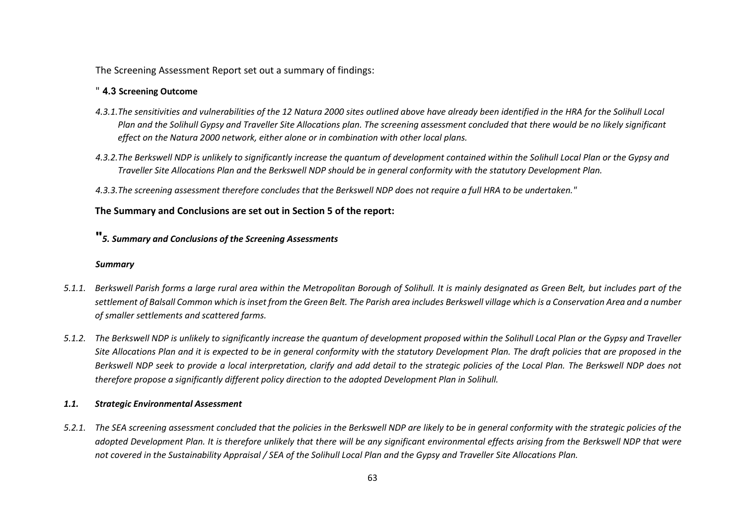The Screening Assessment Report set out a summary of findings:

## " **4.3 Screening Outcome**

- *4.3.1.The sensitivities and vulnerabilities of the 12 Natura 2000 sites outlined above have already been identified in the HRA for the Solihull Local Plan and the Solihull Gypsy and Traveller Site Allocations plan. The screening assessment concluded that there would be no likely significant effect on the Natura 2000 network, either alone or in combination with other local plans.*
- *4.3.2.The Berkswell NDP is unlikely to significantly increase the quantum of development contained within the Solihull Local Plan or the Gypsy and Traveller Site Allocations Plan and the Berkswell NDP should be in general conformity with the statutory Development Plan.*
- *4.3.3.The screening assessment therefore concludes that the Berkswell NDP does not require a full HRA to be undertaken."*

## **The Summary and Conclusions are set out in Section 5 of the report:**

## **"***5. Summary and Conclusions of the Screening Assessments*

#### *Summary*

- *5.1.1. Berkswell Parish forms a large rural area within the Metropolitan Borough of Solihull. It is mainly designated as Green Belt, but includes part of the settlement of Balsall Common which is inset from the Green Belt. The Parish area includes Berkswell village which is a Conservation Area and a number of smaller settlements and scattered farms.*
- *5.1.2. The Berkswell NDP is unlikely to significantly increase the quantum of development proposed within the Solihull Local Plan or the Gypsy and Traveller Site Allocations Plan and it is expected to be in general conformity with the statutory Development Plan. The draft policies that are proposed in the Berkswell NDP seek to provide a local interpretation, clarify and add detail to the strategic policies of the Local Plan. The Berkswell NDP does not therefore propose a significantly different policy direction to the adopted Development Plan in Solihull.*

## *1.1. Strategic Environmental Assessment*

*5.2.1. The SEA screening assessment concluded that the policies in the Berkswell NDP are likely to be in general conformity with the strategic policies of the adopted Development Plan. It is therefore unlikely that there will be any significant environmental effects arising from the Berkswell NDP that were not covered in the Sustainability Appraisal / SEA of the Solihull Local Plan and the Gypsy and Traveller Site Allocations Plan.*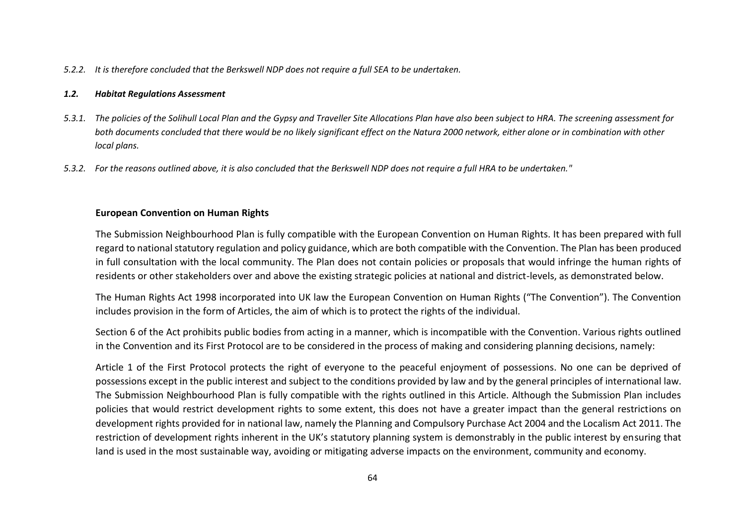#### *5.2.2. It is therefore concluded that the Berkswell NDP does not require a full SEA to be undertaken.*

#### *1.2. Habitat Regulations Assessment*

- *5.3.1. The policies of the Solihull Local Plan and the Gypsy and Traveller Site Allocations Plan have also been subject to HRA. The screening assessment for both documents concluded that there would be no likely significant effect on the Natura 2000 network, either alone or in combination with other local plans.*
- *5.3.2. For the reasons outlined above, it is also concluded that the Berkswell NDP does not require a full HRA to be undertaken."*

#### **European Convention on Human Rights**

The Submission Neighbourhood Plan is fully compatible with the European Convention on Human Rights. It has been prepared with full regard to national statutory regulation and policy guidance, which are both compatible with the Convention. The Plan has been produced in full consultation with the local community. The Plan does not contain policies or proposals that would infringe the human rights of residents or other stakeholders over and above the existing strategic policies at national and district-levels, as demonstrated below.

The Human Rights Act 1998 incorporated into UK law the European Convention on Human Rights ("The Convention"). The Convention includes provision in the form of Articles, the aim of which is to protect the rights of the individual.

Section 6 of the Act prohibits public bodies from acting in a manner, which is incompatible with the Convention. Various rights outlined in the Convention and its First Protocol are to be considered in the process of making and considering planning decisions, namely:

Article 1 of the First Protocol protects the right of everyone to the peaceful enjoyment of possessions. No one can be deprived of possessions except in the public interest and subject to the conditions provided by law and by the general principles of international law. The Submission Neighbourhood Plan is fully compatible with the rights outlined in this Article. Although the Submission Plan includes policies that would restrict development rights to some extent, this does not have a greater impact than the general restrictions on development rights provided for in national law, namely the Planning and Compulsory Purchase Act 2004 and the Localism Act 2011. The restriction of development rights inherent in the UK's statutory planning system is demonstrably in the public interest by ensuring that land is used in the most sustainable way, avoiding or mitigating adverse impacts on the environment, community and economy.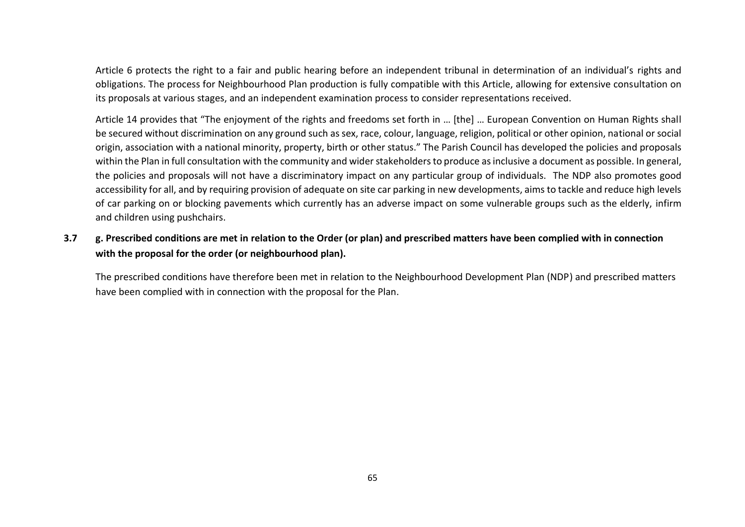Article 6 protects the right to a fair and public hearing before an independent tribunal in determination of an individual's rights and obligations. The process for Neighbourhood Plan production is fully compatible with this Article, allowing for extensive consultation on its proposals at various stages, and an independent examination process to consider representations received.

Article 14 provides that "The enjoyment of the rights and freedoms set forth in … [the] … European Convention on Human Rights shall be secured without discrimination on any ground such as sex, race, colour, language, religion, political or other opinion, national or social origin, association with a national minority, property, birth or other status." The Parish Council has developed the policies and proposals within the Plan in full consultation with the community and wider stakeholders to produce as inclusive a document as possible. In general, the policies and proposals will not have a discriminatory impact on any particular group of individuals. The NDP also promotes good accessibility for all, and by requiring provision of adequate on site car parking in new developments, aims to tackle and reduce high levels of car parking on or blocking pavements which currently has an adverse impact on some vulnerable groups such as the elderly, infirm and children using pushchairs.

## **3.7 g. Prescribed conditions are met in relation to the Order (or plan) and prescribed matters have been complied with in connection with the proposal for the order (or neighbourhood plan).**

The prescribed conditions have therefore been met in relation to the Neighbourhood Development Plan (NDP) and prescribed matters have been complied with in connection with the proposal for the Plan.